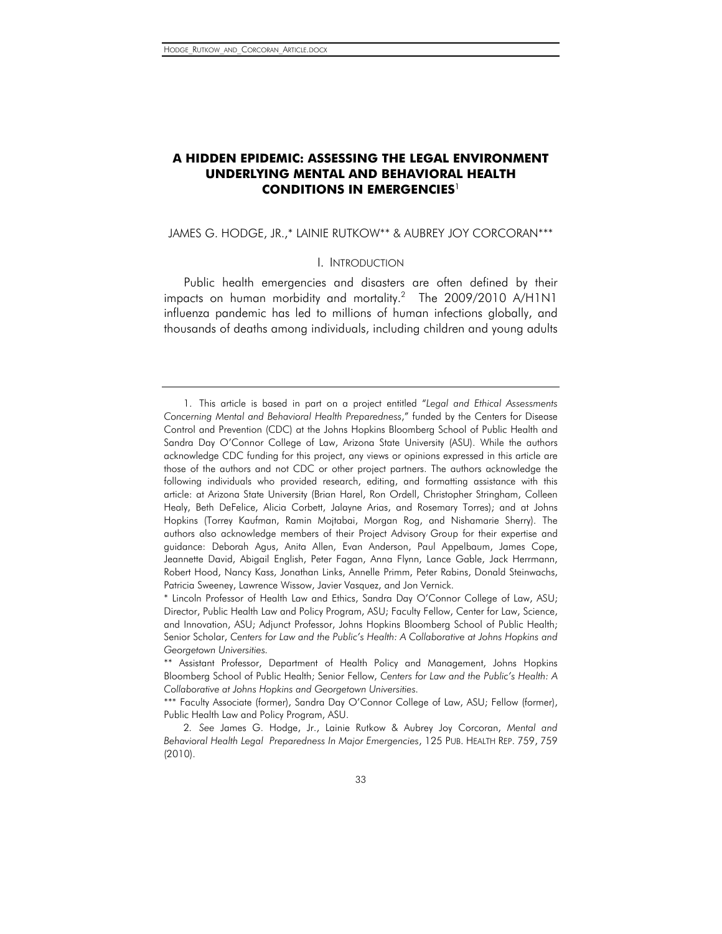# **A HIDDEN EPIDEMIC: ASSESSING THE LEGAL ENVIRONMENT UNDERLYING MENTAL AND BEHAVIORAL HEALTH CONDITIONS IN EMERGENCIES**<sup>1</sup>

# JAMES G. HODGE, JR.,\* LAINIE RUTKOW\*\* & AUBREY JOY CORCORAN\*\*\*

#### I. INTRODUCTION

Public health emergencies and disasters are often defined by their impacts on human morbidity and mortality.2 The 2009/2010 A/H1N1 influenza pandemic has led to millions of human infections globally, and thousands of deaths among individuals, including children and young adults

 <sup>1.</sup> This article is based in part on a project entitled "*Legal and Ethical Assessments Concerning Mental and Behavioral Health Preparedness*," funded by the Centers for Disease Control and Prevention (CDC) at the Johns Hopkins Bloomberg School of Public Health and Sandra Day O'Connor College of Law, Arizona State University (ASU). While the authors acknowledge CDC funding for this project, any views or opinions expressed in this article are those of the authors and not CDC or other project partners. The authors acknowledge the following individuals who provided research, editing, and formatting assistance with this article: at Arizona State University (Brian Harel, Ron Ordell, Christopher Stringham, Colleen Healy, Beth DeFelice, Alicia Corbett, Jalayne Arias, and Rosemary Torres); and at Johns Hopkins (Torrey Kaufman, Ramin Mojtabai, Morgan Rog, and Nishamarie Sherry). The authors also acknowledge members of their Project Advisory Group for their expertise and guidance: Deborah Agus, Anita Allen, Evan Anderson, Paul Appelbaum, James Cope, Jeannette David, Abigail English, Peter Fagan, Anna Flynn, Lance Gable, Jack Herrmann, Robert Hood, Nancy Kass, Jonathan Links, Annelle Primm, Peter Rabins, Donald Steinwachs, Patricia Sweeney, Lawrence Wissow, Javier Vasquez, and Jon Vernick.

<sup>\*</sup> Lincoln Professor of Health Law and Ethics, Sandra Day O'Connor College of Law, ASU; Director, Public Health Law and Policy Program, ASU; Faculty Fellow, Center for Law, Science, and Innovation, ASU; Adjunct Professor, Johns Hopkins Bloomberg School of Public Health; Senior Scholar, *Centers for Law and the Public's Health: A Collaborative at Johns Hopkins and Georgetown Universities.*

<sup>\*\*</sup> Assistant Professor, Department of Health Policy and Management, Johns Hopkins Bloomberg School of Public Health; Senior Fellow, *Centers for Law and the Public's Health: A Collaborative at Johns Hopkins and Georgetown Universities.*

<sup>\*\*\*</sup> Faculty Associate (former), Sandra Day O'Connor College of Law, ASU; Fellow (former), Public Health Law and Policy Program, ASU.

<sup>2</sup>*. See* James G. Hodge, Jr., Lainie Rutkow & Aubrey Joy Corcoran, *Mental and Behavioral Health Legal Preparedness In Major Emergencies*, 125 PUB. HEALTH REP. 759, 759 (2010).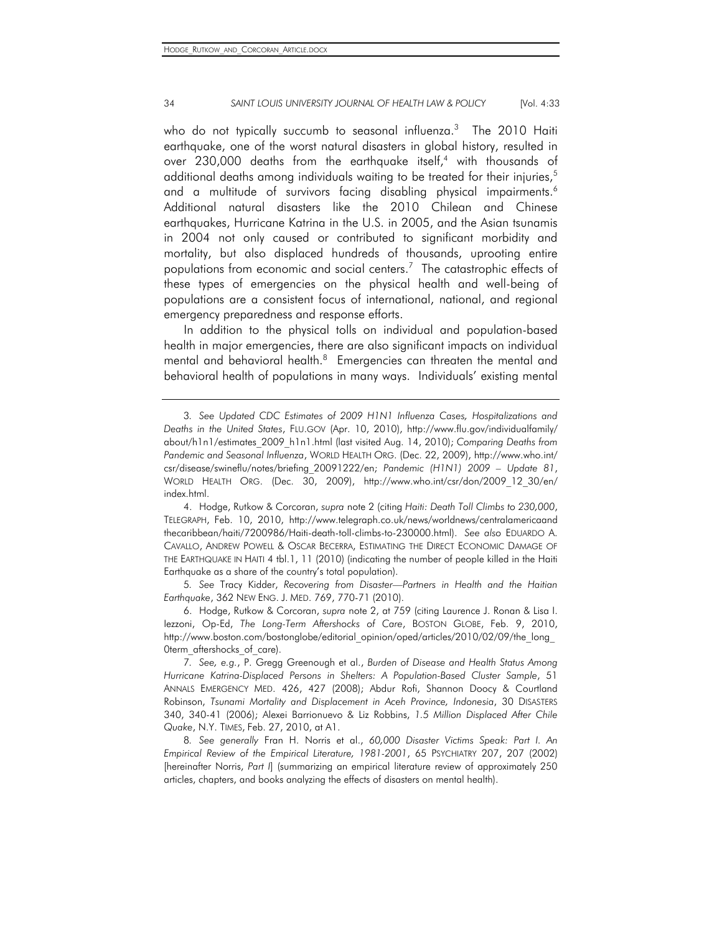who do not typically succumb to seasonal influenza.<sup>3</sup> The 2010 Haiti earthquake, one of the worst natural disasters in global history, resulted in over 230,000 deaths from the earthquake itself,<sup>4</sup> with thousands of additional deaths among individuals waiting to be treated for their injuries,<sup>5</sup> and a multitude of survivors facing disabling physical impairments.<sup>6</sup> Additional natural disasters like the 2010 Chilean and Chinese earthquakes, Hurricane Katrina in the U.S. in 2005, and the Asian tsunamis in 2004 not only caused or contributed to significant morbidity and mortality, but also displaced hundreds of thousands, uprooting entire populations from economic and social centers.<sup>7</sup> The catastrophic effects of these types of emergencies on the physical health and well-being of populations are a consistent focus of international, national, and regional emergency preparedness and response efforts.

In addition to the physical tolls on individual and population-based health in major emergencies, there are also significant impacts on individual mental and behavioral health.<sup>8</sup> Emergencies can threaten the mental and behavioral health of populations in many ways. Individuals' existing mental

5*. See* Tracy Kidder, *Recovering from Disaster—Partners in Health and the Haitian Earthquake*, 362 NEW ENG. J. MED. 769, 770-71 (2010).

 6. Hodge, Rutkow & Corcoran, *supra* note 2, at 759 (citing Laurence J. Ronan & Lisa I. Iezzoni, Op-Ed, *The Long-Term Aftershocks of Care*, BOSTON GLOBE, Feb. 9, 2010, http://www.boston.com/bostonglobe/editorial\_opinion/oped/articles/2010/02/09/the\_long\_ Oterm aftershocks of care).

<sup>3</sup>*. See Updated CDC Estimates of 2009 H1N1 Influenza Cases, Hospitalizations and Deaths in the United States*, FLU.GOV (Apr. 10, 2010), http://www.flu.gov/individualfamily/ about/h1n1/estimates\_2009\_h1n1.html (last visited Aug. 14, 2010); *Comparing Deaths from Pandemic and Seasonal Influenza*, WORLD HEALTH ORG. (Dec. 22, 2009), http://www.who.int/ csr/disease/swineflu/notes/briefing\_20091222/en; *Pandemic (H1N1) 2009 – Update 81*, WORLD HEALTH ORG. (Dec. 30, 2009), http://www.who.int/csr/don/2009\_12\_30/en/ index.html.

 <sup>4.</sup> Hodge, Rutkow & Corcoran, *supra* note 2 (citing *Haiti: Death Toll Climbs to 230,000*, TELEGRAPH, Feb. 10, 2010, http://www.telegraph.co.uk/news/worldnews/centralamericaand thecaribbean/haiti/7200986/Haiti-death-toll-climbs-to-230000.html). *See also* EDUARDO A. CAVALLO, ANDREW POWELL & OSCAR BECERRA, ESTIMATING THE DIRECT ECONOMIC DAMAGE OF THE EARTHQUAKE IN HAITI 4 tbl.1, 11 (2010) (indicating the number of people killed in the Haiti Earthquake as a share of the country's total population).

<sup>7</sup>*. See, e.g.*, P. Gregg Greenough et al., *Burden of Disease and Health Status Among Hurricane Katrina-Displaced Persons in Shelters: A Population-Based Cluster Sample*, 51 ANNALS EMERGENCY MED. 426, 427 (2008); Abdur Rofi, Shannon Doocy & Courtland Robinson, *Tsunami Mortality and Displacement in Aceh Province, Indonesia*, 30 DISASTERS 340, 340-41 (2006); Alexei Barrionuevo & Liz Robbins, *1.5 Million Displaced After Chile Quake*, N.Y. TIMES, Feb. 27, 2010, at A1.

<sup>8</sup>*. See generally* Fran H. Norris et al., *60,000 Disaster Victims Speak: Part I. An Empirical Review of the Empirical Literature, 1981-2001*, 65 PSYCHIATRY 207, 207 (2002) [hereinafter Norris, *Part I*] (summarizing an empirical literature review of approximately 250 articles, chapters, and books analyzing the effects of disasters on mental health).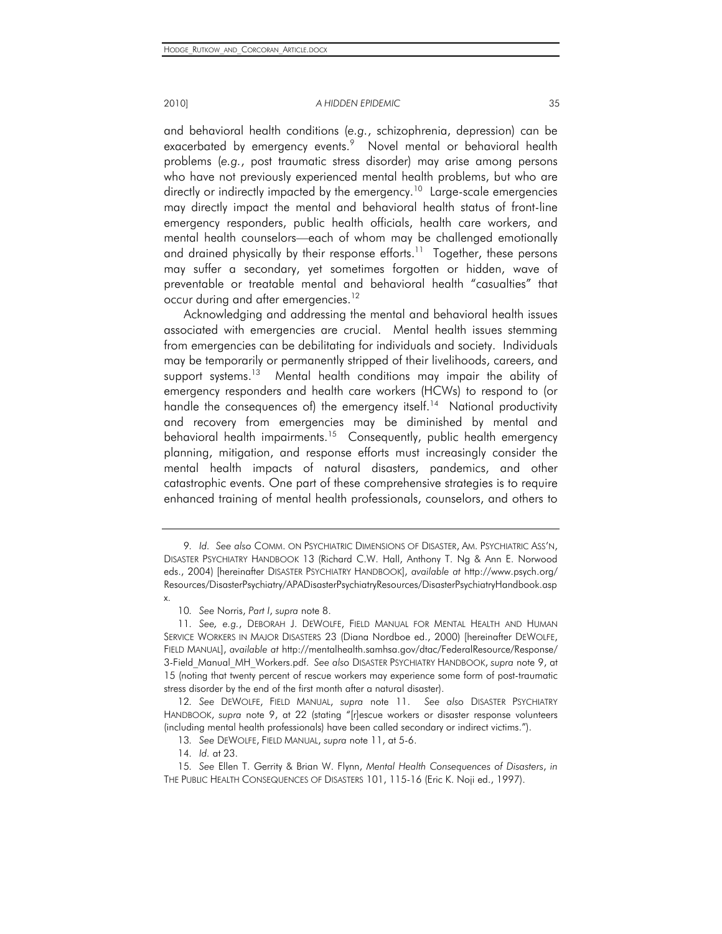and behavioral health conditions (*e.g.*, schizophrenia, depression) can be exacerbated by emergency events.<sup>9</sup> Novel mental or behavioral health problems (*e.g.*, post traumatic stress disorder) may arise among persons who have not previously experienced mental health problems, but who are directly or indirectly impacted by the emergency.<sup>10</sup> Large-scale emergencies may directly impact the mental and behavioral health status of front-line emergency responders, public health officials, health care workers, and mental health counselors—each of whom may be challenged emotionally and drained physically by their response efforts.<sup>11</sup> Together, these persons may suffer a secondary, yet sometimes forgotten or hidden, wave of preventable or treatable mental and behavioral health "casualties" that occur during and after emergencies.<sup>12</sup>

Acknowledging and addressing the mental and behavioral health issues associated with emergencies are crucial. Mental health issues stemming from emergencies can be debilitating for individuals and society. Individuals may be temporarily or permanently stripped of their livelihoods, careers, and support systems.<sup>13</sup> Mental health conditions may impair the ability of emergency responders and health care workers (HCWs) to respond to (or handle the consequences of) the emergency itself.<sup>14</sup> National productivity and recovery from emergencies may be diminished by mental and behavioral health impairments.<sup>15</sup> Consequently, public health emergency planning, mitigation, and response efforts must increasingly consider the mental health impacts of natural disasters, pandemics, and other catastrophic events. One part of these comprehensive strategies is to require enhanced training of mental health professionals, counselors, and others to

x.

<sup>9</sup>*. Id. See also* COMM. ON PSYCHIATRIC DIMENSIONS OF DISASTER, AM. PSYCHIATRIC ASS'N, DISASTER PSYCHIATRY HANDBOOK 13 (Richard C.W. Hall, Anthony T. Ng & Ann E. Norwood eds., 2004) [hereinafter DISASTER PSYCHIATRY HANDBOOK], *available at* http://www.psych.org/ Resources/DisasterPsychiatry/APADisasterPsychiatryResources/DisasterPsychiatryHandbook.asp

<sup>10</sup>*. See* Norris, *Part I*, *supra* note 8.

<sup>11</sup>*. See, e.g.*, DEBORAH J. DEWOLFE, FIELD MANUAL FOR MENTAL HEALTH AND HUMAN SERVICE WORKERS IN MAJOR DISASTERS 23 (Diana Nordboe ed., 2000) [hereinafter DEWOLFE, FIELD MANUAL], *available at* http://mentalhealth.samhsa.gov/dtac/FederalResource/Response/ 3-Field\_Manual\_MH\_Workers.pdf. *See also* DISASTER PSYCHIATRY HANDBOOK, *supra* note 9, at 15 (noting that twenty percent of rescue workers may experience some form of post-traumatic stress disorder by the end of the first month after a natural disaster).

<sup>12</sup>*. See* DEWOLFE, FIELD MANUAL, *supra* note 11. *See also* DISASTER PSYCHIATRY HANDBOOK, *supra* note 9, at 22 (stating "[r]escue workers or disaster response volunteers (including mental health professionals) have been called secondary or indirect victims.").

<sup>13</sup>*. See* DEWOLFE, FIELD MANUAL, *supra* note 11, at 5-6.

<sup>14</sup>*. Id.* at 23.

<sup>15</sup>*. See* Ellen T. Gerrity & Brian W. Flynn, *Mental Health Consequences of Disasters*, *in* THE PUBLIC HEALTH CONSEQUENCES OF DISASTERS 101, 115-16 (Eric K. Noji ed., 1997).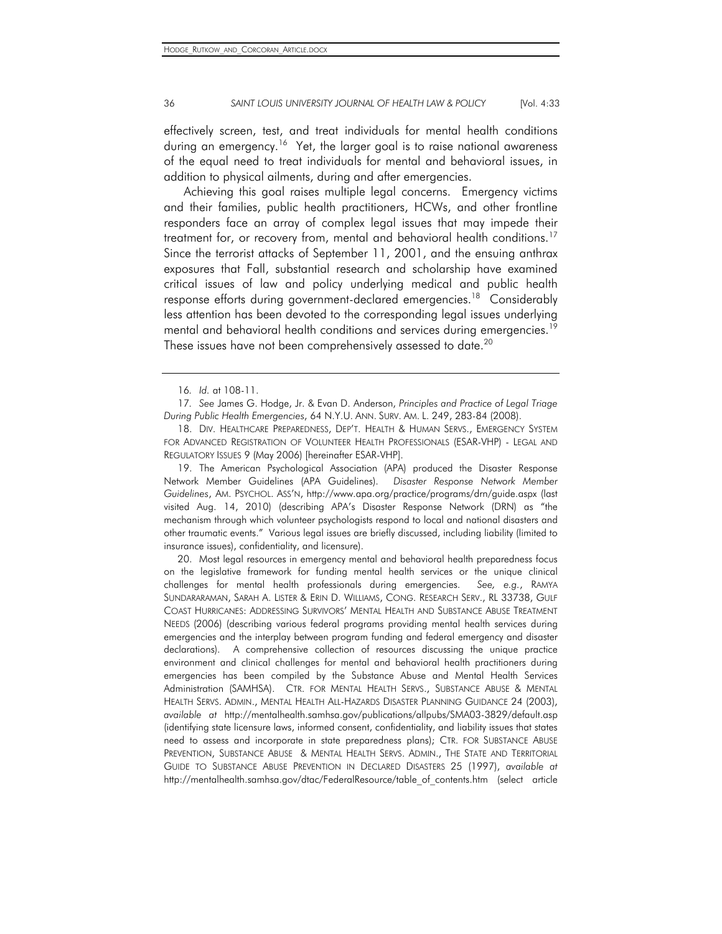effectively screen, test, and treat individuals for mental health conditions during an emergency.<sup>16</sup> Yet, the larger goal is to raise national awareness of the equal need to treat individuals for mental and behavioral issues, in addition to physical ailments, during and after emergencies.

Achieving this goal raises multiple legal concerns. Emergency victims and their families, public health practitioners, HCWs, and other frontline responders face an array of complex legal issues that may impede their treatment for, or recovery from, mental and behavioral health conditions.<sup>17</sup> Since the terrorist attacks of September 11, 2001, and the ensuing anthrax exposures that Fall, substantial research and scholarship have examined critical issues of law and policy underlying medical and public health response efforts during government-declared emergencies.<sup>18</sup> Considerably less attention has been devoted to the corresponding legal issues underlying mental and behavioral health conditions and services during emergencies.<sup>19</sup> These issues have not been comprehensively assessed to date.<sup>20</sup>

 19. The American Psychological Association (APA) produced the Disaster Response Network Member Guidelines (APA Guidelines). *Disaster Response Network Member Guidelines*, AM. PSYCHOL. ASS'N, http://www.apa.org/practice/programs/drn/guide.aspx (last visited Aug. 14, 2010) (describing APA's Disaster Response Network (DRN) as "the mechanism through which volunteer psychologists respond to local and national disasters and other traumatic events." Various legal issues are briefly discussed, including liability (limited to insurance issues), confidentiality, and licensure).

 20. Most legal resources in emergency mental and behavioral health preparedness focus on the legislative framework for funding mental health services or the unique clinical challenges for mental health professionals during emergencies. *See, e.g.*, RAMYA SUNDARARAMAN, SARAH A. LISTER & ERIN D. WILLIAMS, CONG. RESEARCH SERV., RL 33738, GULF COAST HURRICANES: ADDRESSING SURVIVORS' MENTAL HEALTH AND SUBSTANCE ABUSE TREATMENT NEEDS (2006) (describing various federal programs providing mental health services during emergencies and the interplay between program funding and federal emergency and disaster declarations). A comprehensive collection of resources discussing the unique practice environment and clinical challenges for mental and behavioral health practitioners during emergencies has been compiled by the Substance Abuse and Mental Health Services Administration (SAMHSA). CTR. FOR MENTAL HEALTH SERVS., SUBSTANCE ABUSE & MENTAL HEALTH SERVS. ADMIN., MENTAL HEALTH ALL-HAZARDS DISASTER PLANNING GUIDANCE 24 (2003), *available at* http://mentalhealth.samhsa.gov/publications/allpubs/SMA03-3829/default.asp (identifying state licensure laws, informed consent, confidentiality, and liability issues that states need to assess and incorporate in state preparedness plans); CTR. FOR SUBSTANCE ABUSE PREVENTION, SUBSTANCE ABUSE & MENTAL HEALTH SERVS. ADMIN., THE STATE AND TERRITORIAL GUIDE TO SUBSTANCE ABUSE PREVENTION IN DECLARED DISASTERS 25 (1997), *available at* http://mentalhealth.samhsa.gov/dtac/FederalResource/table\_of\_contents.htm (select article

<sup>16</sup>*. Id.* at 108-11.

<sup>17</sup>*. See* James G. Hodge, Jr. & Evan D. Anderson, *Principles and Practice of Legal Triage During Public Health Emergencies*, 64 N.Y.U. ANN. SURV. AM. L. 249, 283-84 (2008).

 <sup>18.</sup> DIV. HEALTHCARE PREPAREDNESS, DEP'T. HEALTH & HUMAN SERVS., EMERGENCY SYSTEM FOR ADVANCED REGISTRATION OF VOLUNTEER HEALTH PROFESSIONALS (ESAR-VHP) - LEGAL AND REGULATORY ISSUES 9 (May 2006) [hereinafter ESAR-VHP].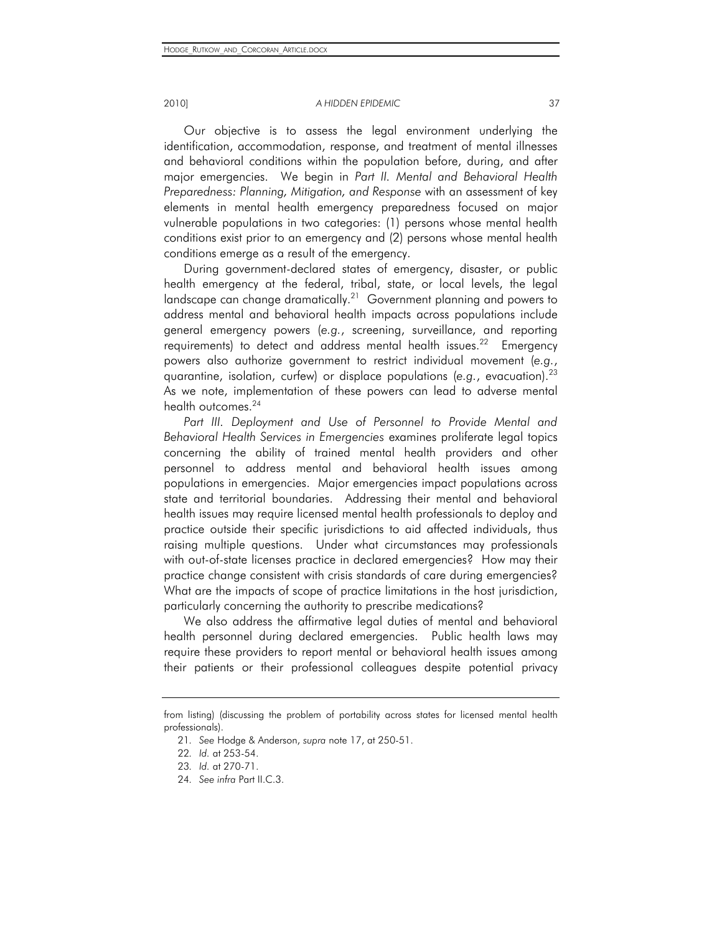Our objective is to assess the legal environment underlying the identification, accommodation, response, and treatment of mental illnesses and behavioral conditions within the population before, during, and after major emergencies. We begin in *Part II. Mental and Behavioral Health Preparedness: Planning, Mitigation, and Response* with an assessment of key elements in mental health emergency preparedness focused on major vulnerable populations in two categories: (1) persons whose mental health conditions exist prior to an emergency and (2) persons whose mental health conditions emerge as a result of the emergency.

During government-declared states of emergency, disaster, or public health emergency at the federal, tribal, state, or local levels, the legal landscape can change dramatically.<sup>21</sup> Government planning and powers to address mental and behavioral health impacts across populations include general emergency powers (*e.g.*, screening, surveillance, and reporting requirements) to detect and address mental health issues.<sup>22</sup> Emergency powers also authorize government to restrict individual movement (*e.g.*, quarantine, isolation, curfew) or displace populations (*e.g.*, evacuation).23 As we note, implementation of these powers can lead to adverse mental health outcomes.<sup>24</sup>

Part III. Deployment and Use of Personnel to Provide Mental and *Behavioral Health Services in Emergencies* examines proliferate legal topics concerning the ability of trained mental health providers and other personnel to address mental and behavioral health issues among populations in emergencies. Major emergencies impact populations across state and territorial boundaries. Addressing their mental and behavioral health issues may require licensed mental health professionals to deploy and practice outside their specific jurisdictions to aid affected individuals, thus raising multiple questions. Under what circumstances may professionals with out-of-state licenses practice in declared emergencies? How may their practice change consistent with crisis standards of care during emergencies? What are the impacts of scope of practice limitations in the host jurisdiction, particularly concerning the authority to prescribe medications?

We also address the affirmative legal duties of mental and behavioral health personnel during declared emergencies. Public health laws may require these providers to report mental or behavioral health issues among their patients or their professional colleagues despite potential privacy

from listing) (discussing the problem of portability across states for licensed mental health professionals).

<sup>21</sup>*. See* Hodge & Anderson, *supra* note 17, at 250-51.

<sup>22</sup>*. Id.* at 253-54.

<sup>23</sup>*. Id.* at 270-71.

<sup>24</sup>*. See infra* Part II.C.3.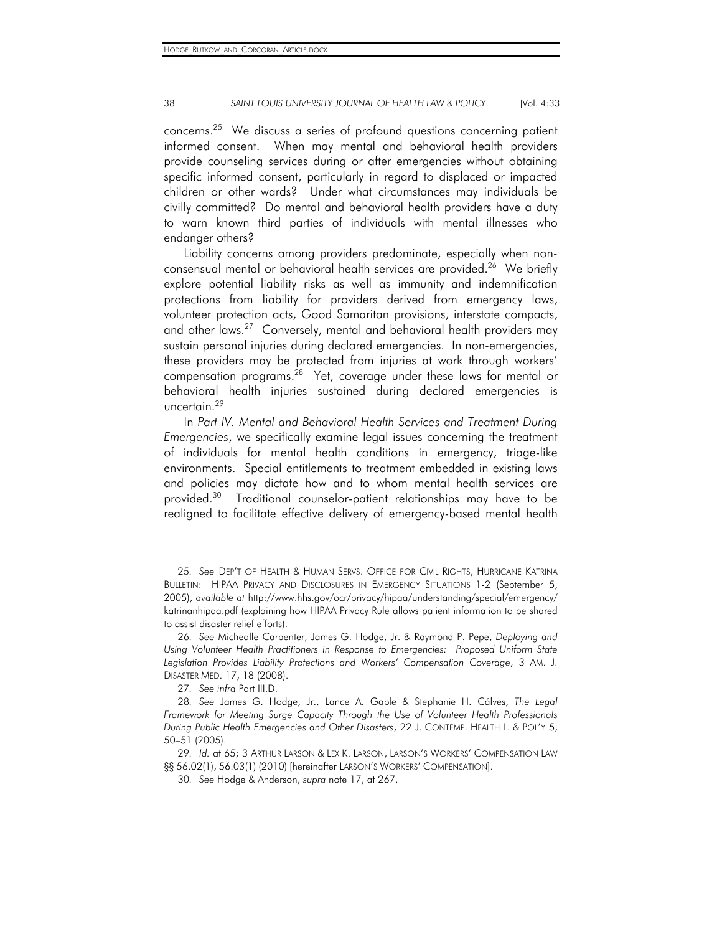concerns.25 We discuss a series of profound questions concerning patient informed consent. When may mental and behavioral health providers provide counseling services during or after emergencies without obtaining specific informed consent, particularly in regard to displaced or impacted children or other wards? Under what circumstances may individuals be civilly committed? Do mental and behavioral health providers have a duty to warn known third parties of individuals with mental illnesses who endanger others?

Liability concerns among providers predominate, especially when nonconsensual mental or behavioral health services are provided.<sup>26</sup> We briefly explore potential liability risks as well as immunity and indemnification protections from liability for providers derived from emergency laws, volunteer protection acts, Good Samaritan provisions, interstate compacts, and other laws.<sup>27</sup> Conversely, mental and behavioral health providers may sustain personal injuries during declared emergencies. In non-emergencies, these providers may be protected from injuries at work through workers' compensation programs.<sup>28</sup> Yet, coverage under these laws for mental or behavioral health injuries sustained during declared emergencies is uncertain.29

In Part IV. Mental and Behavioral Health Services and Treatment During *Emergencies*, we specifically examine legal issues concerning the treatment of individuals for mental health conditions in emergency, triage-like environments. Special entitlements to treatment embedded in existing laws and policies may dictate how and to whom mental health services are provided.<sup>30</sup> Traditional counselor-patient relationships may have to be realigned to facilitate effective delivery of emergency-based mental health

<sup>25</sup>*. See* DEP'T OF HEALTH & HUMAN SERVS. OFFICE FOR CIVIL RIGHTS, HURRICANE KATRINA BULLETIN: HIPAA PRIVACY AND DISCLOSURES IN EMERGENCY SITUATIONS 1-2 (September 5, 2005), *available at* http://www.hhs.gov/ocr/privacy/hipaa/understanding/special/emergency/ katrinanhipaa.pdf (explaining how HIPAA Privacy Rule allows patient information to be shared to assist disaster relief efforts).

<sup>26</sup>*. See* Michealle Carpenter, James G. Hodge, Jr. & Raymond P. Pepe, *Deploying and Using Volunteer Health Practitioners in Response to Emergencies: Proposed Uniform State Legislation Provides Liability Protections and Workers' Compensation Coverage*, 3 AM. J. DISASTER MED. 17, 18 (2008).

<sup>27</sup>*. See infra* Part III.D.

<sup>28</sup>*. See* James G. Hodge, Jr., Lance A. Gable & Stephanie H. Cálves, *The Legal Framework for Meeting Surge Capacity Through the Use of Volunteer Health Professionals During Public Health Emergencies and Other Disasters*, 22 J. CONTEMP. HEALTH L. & POL'Y 5, 50–51 (2005).

<sup>29</sup>*. Id.* at 65; 3 ARTHUR LARSON & LEX K. LARSON, LARSON'S WORKERS' COMPENSATION LAW §§ 56.02(1), 56.03(1) (2010) [hereinafter LARSON'S WORKERS' COMPENSATION].

<sup>30</sup>*. See* Hodge & Anderson, *supra* note 17, at 267.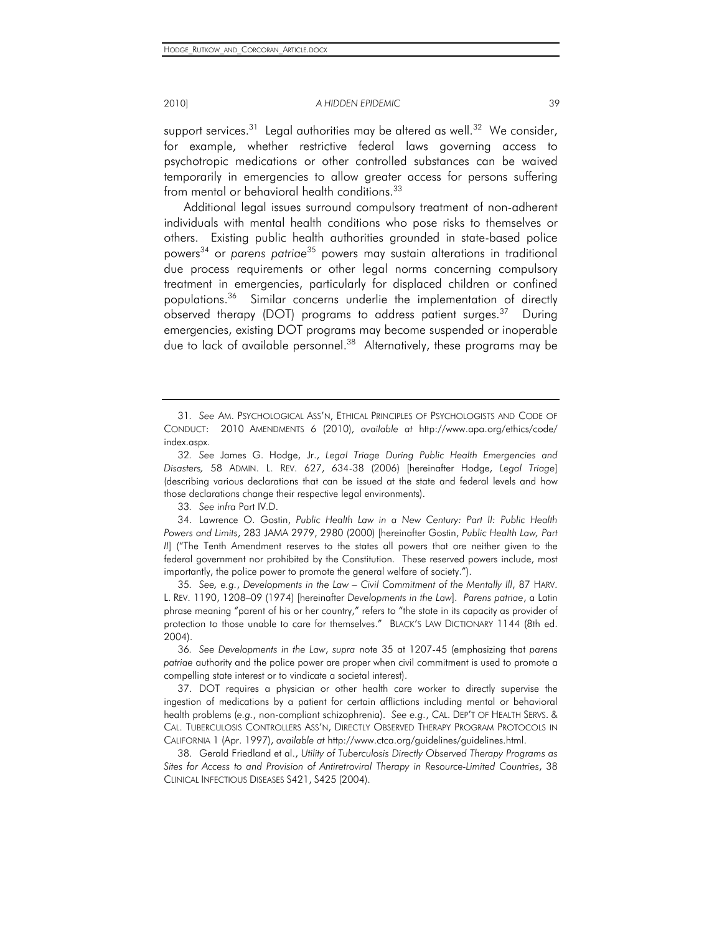support services.<sup>31</sup> Legal authorities may be altered as well.<sup>32</sup> We consider, for example, whether restrictive federal laws governing access to psychotropic medications or other controlled substances can be waived temporarily in emergencies to allow greater access for persons suffering from mental or behavioral health conditions.<sup>33</sup>

Additional legal issues surround compulsory treatment of non-adherent individuals with mental health conditions who pose risks to themselves or others. Existing public health authorities grounded in state-based police powers34 or *parens patriae*35 powers may sustain alterations in traditional due process requirements or other legal norms concerning compulsory treatment in emergencies, particularly for displaced children or confined populations.<sup>36</sup> Similar concerns underlie the implementation of directly observed therapy (DOT) programs to address patient surges.37 During emergencies, existing DOT programs may become suspended or inoperable due to lack of available personnel.<sup>38</sup> Alternatively, these programs may be

33*. See infra* Part IV.D.

35*. See, e.g.*, *Developments in the Law – Civil Commitment of the Mentally Ill*, 87 HARV. L. REV. 1190, 1208–09 (1974) [hereinafter *Developments in the Law*]. *Parens patriae*, a Latin phrase meaning "parent of his or her country," refers to "the state in its capacity as provider of protection to those unable to care for themselves." BLACK'S LAW DICTIONARY 1144 (8th ed. 2004).

36*. See Developments in the Law*, *supra* note 35 at 1207-45 (emphasizing that *parens patriae* authority and the police power are proper when civil commitment is used to promote a compelling state interest or to vindicate a societal interest).

 37. DOT requires a physician or other health care worker to directly supervise the ingestion of medications by a patient for certain afflictions including mental or behavioral health problems (*e.g.*, non-compliant schizophrenia). *See e.g.*, CAL. DEP'T OF HEALTH SERVS. & CAL. TUBERCULOSIS CONTROLLERS ASS'N, DIRECTLY OBSERVED THERAPY PROGRAM PROTOCOLS IN CALIFORNIA 1 (Apr. 1997), *available at* http://www.ctca.org/guidelines/guidelines.html.

 38. Gerald Friedland et al., *Utility of Tuberculosis Directly Observed Therapy Programs as Sites for Access to and Provision of Antiretroviral Therapy in Resource-Limited Countries*, 38 CLINICAL INFECTIOUS DISEASES S421, S425 (2004).

<sup>31</sup>*. See* AM. PSYCHOLOGICAL ASS'N, ETHICAL PRINCIPLES OF PSYCHOLOGISTS AND CODE OF CONDUCT: 2010 AMENDMENTS 6 (2010), *available at* http://www.apa.org/ethics/code/ index.aspx.

<sup>32</sup>*. See* James G. Hodge, Jr., *Legal Triage During Public Health Emergencies and Disasters,* 58 ADMIN. L. REV. 627, 634-38 (2006) [hereinafter Hodge, *Legal Triage*] (describing various declarations that can be issued at the state and federal levels and how those declarations change their respective legal environments).

 <sup>34.</sup> Lawrence O. Gostin, *Public Health Law in a New Century: Part II: Public Health Powers and Limits*, 283 JAMA 2979, 2980 (2000) [hereinafter Gostin, *Public Health Law, Part II*] ("The Tenth Amendment reserves to the states all powers that are neither given to the federal government nor prohibited by the Constitution. These reserved powers include, most importantly, the police power to promote the general welfare of society.").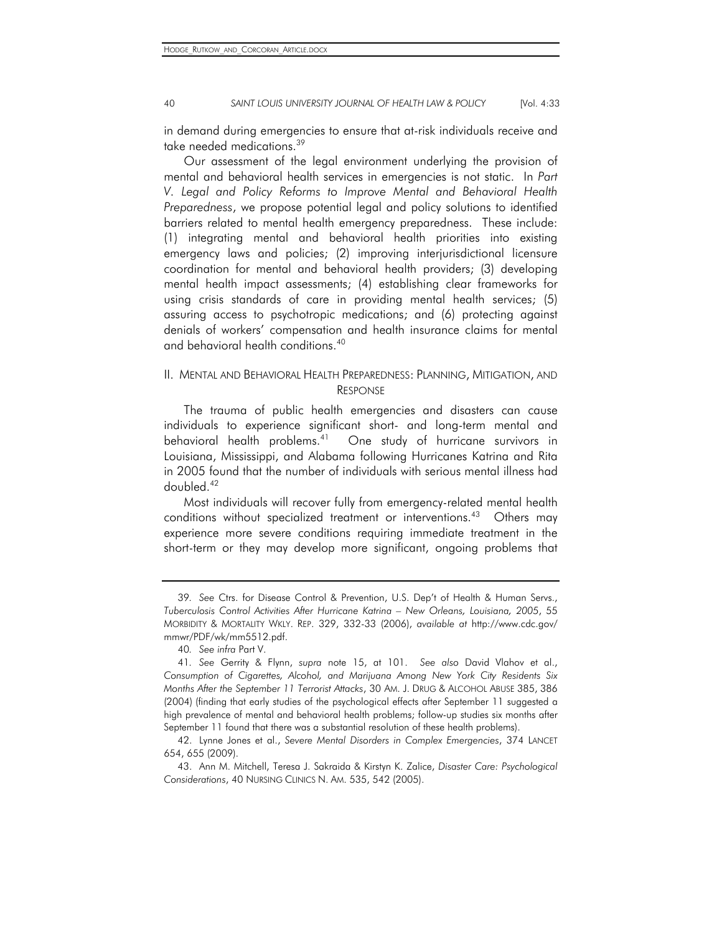in demand during emergencies to ensure that at-risk individuals receive and take needed medications.<sup>39</sup>

Our assessment of the legal environment underlying the provision of mental and behavioral health services in emergencies is not static. In *Part V. Legal and Policy Reforms to Improve Mental and Behavioral Health Preparedness*, we propose potential legal and policy solutions to identified barriers related to mental health emergency preparedness. These include: (1) integrating mental and behavioral health priorities into existing emergency laws and policies; (2) improving interjurisdictional licensure coordination for mental and behavioral health providers; (3) developing mental health impact assessments; (4) establishing clear frameworks for using crisis standards of care in providing mental health services; (5) assuring access to psychotropic medications; and (6) protecting against denials of workers' compensation and health insurance claims for mental and behavioral health conditions.<sup>40</sup>

# II. MENTAL AND BEHAVIORAL HEALTH PREPAREDNESS: PLANNING, MITIGATION, AND RESPONSE

The trauma of public health emergencies and disasters can cause individuals to experience significant short- and long-term mental and behavioral health problems.<sup>41</sup> One study of hurricane survivors in Louisiana, Mississippi, and Alabama following Hurricanes Katrina and Rita in 2005 found that the number of individuals with serious mental illness had doubled.42

Most individuals will recover fully from emergency-related mental health conditions without specialized treatment or interventions.<sup>43</sup> Others may experience more severe conditions requiring immediate treatment in the short-term or they may develop more significant, ongoing problems that

<sup>39</sup>*. See* Ctrs. for Disease Control & Prevention, U.S. Dep't of Health & Human Servs., *Tuberculosis Control Activities After Hurricane Katrina – New Orleans, Louisiana, 2005*, 55 MORBIDITY & MORTALITY WKLY. REP. 329, 332-33 (2006), *available at* http://www.cdc.gov/ mmwr/PDF/wk/mm5512.pdf.

<sup>40</sup>*. See infra* Part V.

<sup>41</sup>*. See* Gerrity & Flynn, *supra* note 15, at 101. *See also* David Vlahov et al., *Consumption of Cigarettes, Alcohol, and Marijuana Among New York City Residents Six Months After the September 11 Terrorist Attacks*, 30 AM. J. DRUG & ALCOHOL ABUSE 385, 386 (2004) (finding that early studies of the psychological effects after September 11 suggested a high prevalence of mental and behavioral health problems; follow-up studies six months after September 11 found that there was a substantial resolution of these health problems).

 <sup>42.</sup> Lynne Jones et al., *Severe Mental Disorders in Complex Emergencies*, 374 LANCET 654, 655 (2009).

 <sup>43.</sup> Ann M. Mitchell, Teresa J. Sakraida & Kirstyn K. Zalice, *Disaster Care: Psychological Considerations*, 40 NURSING CLINICS N. AM. 535, 542 (2005).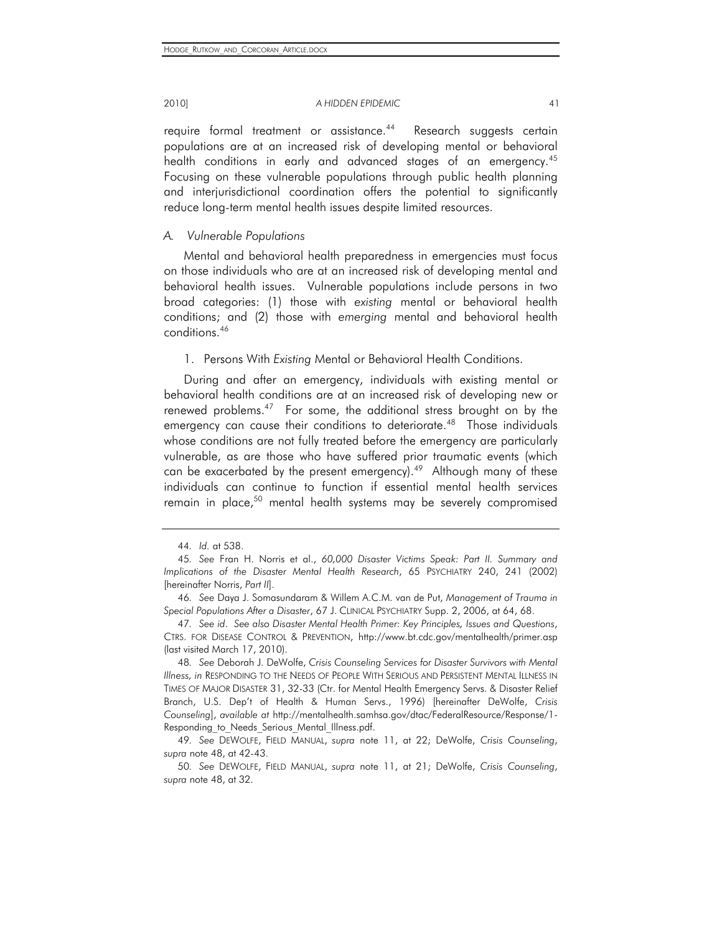require formal treatment or assistance.<sup>44</sup> Research suggests certain populations are at an increased risk of developing mental or behavioral health conditions in early and advanced stages of an emergency.<sup>45</sup> Focusing on these vulnerable populations through public health planning and interjurisdictional coordination offers the potential to significantly reduce long-term mental health issues despite limited resources.

# *A. Vulnerable Populations*

Mental and behavioral health preparedness in emergencies must focus on those individuals who are at an increased risk of developing mental and behavioral health issues. Vulnerable populations include persons in two broad categories: (1) those with *existing* mental or behavioral health conditions; and (2) those with *emerging* mental and behavioral health conditions.46

# 1. Persons With *Existing* Mental or Behavioral Health Conditions.

During and after an emergency, individuals with existing mental or behavioral health conditions are at an increased risk of developing new or renewed problems.<sup>47</sup> For some, the additional stress brought on by the emergency can cause their conditions to deteriorate.<sup>48</sup> Those individuals whose conditions are not fully treated before the emergency are particularly vulnerable, as are those who have suffered prior traumatic events (which can be exacerbated by the present emergency).<sup>49</sup> Although many of these individuals can continue to function if essential mental health services remain in place,<sup>50</sup> mental health systems may be severely compromised

<sup>44</sup>*. Id.* at 538.

<sup>45</sup>*. See* Fran H. Norris et al., *60,000 Disaster Victims Speak: Part II. Summary and Implications of the Disaster Mental Health Research*, 65 PSYCHIATRY 240, 241 (2002) [hereinafter Norris, *Part II*].

<sup>46</sup>*. See* Daya J. Somasundaram & Willem A.C.M. van de Put, *Management of Trauma in Special Populations After a Disaster*, 67 J. CLINICAL PSYCHIATRY Supp. 2, 2006, at 64, 68.

<sup>47</sup>*. See id*. *See also Disaster Mental Health Primer: Key Principles, Issues and Questions*, CTRS. FOR DISEASE CONTROL & PREVENTION, http://www.bt.cdc.gov/mentalhealth/primer.asp (last visited March 17, 2010).

<sup>48</sup>*. See* Deborah J. DeWolfe, *Crisis Counseling Services for Disaster Survivors with Mental Illness, in* RESPONDING TO THE NEEDS OF PEOPLE WITH SERIOUS AND PERSISTENT MENTAL ILLNESS IN TIMES OF MAJOR DISASTER 31, 32-33 (Ctr. for Mental Health Emergency Servs. & Disaster Relief Branch, U.S. Dep't of Health & Human Servs., 1996) [hereinafter DeWolfe, *Crisis Counseling*], *available at* http://mentalhealth.samhsa.gov/dtac/FederalResource/Response/1- Responding to Needs Serious Mental Illness.pdf.

<sup>49</sup>*. See* DEWOLFE, FIELD MANUAL, *supra* note 11, at 22; DeWolfe, *Crisis Counseling*, *supra* note 48, at 42-43.

<sup>50</sup>*. See* DEWOLFE, FIELD MANUAL, *supra* note 11, at 21; DeWolfe, *Crisis Counseling*, *supra* note 48, at 32.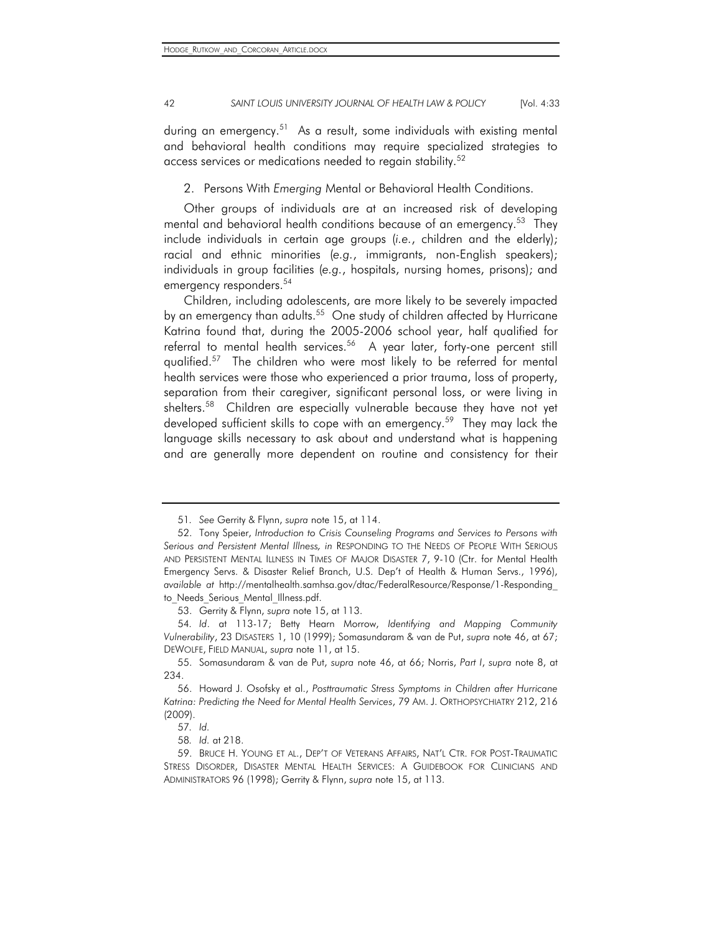during an emergency.<sup>51</sup> As a result, some individuals with existing mental and behavioral health conditions may require specialized strategies to access services or medications needed to regain stability.<sup>52</sup>

# 2. Persons With *Emerging* Mental or Behavioral Health Conditions.

Other groups of individuals are at an increased risk of developing mental and behavioral health conditions because of an emergency.<sup>53</sup> They include individuals in certain age groups (*i.e.*, children and the elderly); racial and ethnic minorities (*e.g.*, immigrants, non-English speakers); individuals in group facilities (*e.g.*, hospitals, nursing homes, prisons); and emergency responders.<sup>54</sup>

Children, including adolescents, are more likely to be severely impacted by an emergency than adults.<sup>55</sup> One study of children affected by Hurricane Katrina found that, during the 2005-2006 school year, half qualified for referral to mental health services.<sup>56</sup> A year later, forty-one percent still qualified.<sup>57</sup> The children who were most likely to be referred for mental health services were those who experienced a prior trauma, loss of property, separation from their caregiver, significant personal loss, or were living in shelters.<sup>58</sup> Children are especially vulnerable because they have not yet developed sufficient skills to cope with an emergency.<sup>59</sup> They may lack the language skills necessary to ask about and understand what is happening and are generally more dependent on routine and consistency for their

<sup>51</sup>*. See* Gerrity & Flynn, *supra* note 15, at 114.

 <sup>52.</sup> Tony Speier, *Introduction to Crisis Counseling Programs and Services to Persons with Serious and Persistent Mental Illness, in* RESPONDING TO THE NEEDS OF PEOPLE WITH SERIOUS AND PERSISTENT MENTAL ILLNESS IN TIMES OF MAJOR DISASTER 7, 9-10 (Ctr. for Mental Health Emergency Servs. & Disaster Relief Branch, U.S. Dep't of Health & Human Servs., 1996), *available at* http://mentalhealth.samhsa.gov/dtac/FederalResource/Response/1-Responding\_ to Needs Serious Mental Illness.pdf.

 <sup>53.</sup> Gerrity & Flynn, *supra* note 15, at 113.

<sup>54</sup>*. Id*. at 113-17; Betty Hearn Morrow, *Identifying and Mapping Community Vulnerability*, 23 DISASTERS 1, 10 (1999); Somasundaram & van de Put, *supra* note 46, at 67; DEWOLFE, FIELD MANUAL, *supra* note 11, at 15.

 <sup>55.</sup> Somasundaram & van de Put, *supra* note 46, at 66; Norris, *Part I*, *supra* note 8, at 234.

 <sup>56.</sup> Howard J. Osofsky et al., *Posttraumatic Stress Symptoms in Children after Hurricane Katrina: Predicting the Need for Mental Health Services*, 79 AM. J. ORTHOPSYCHIATRY 212, 216 (2009).

<sup>57</sup>*. Id.*

<sup>58</sup>*. Id.* at 218.

 <sup>59.</sup> BRUCE H. YOUNG ET AL., DEP'T OF VETERANS AFFAIRS, NAT'L CTR. FOR POST-TRAUMATIC STRESS DISORDER, DISASTER MENTAL HEALTH SERVICES: A GUIDEBOOK FOR CLINICIANS AND ADMINISTRATORS 96 (1998); Gerrity & Flynn, *supra* note 15, at 113.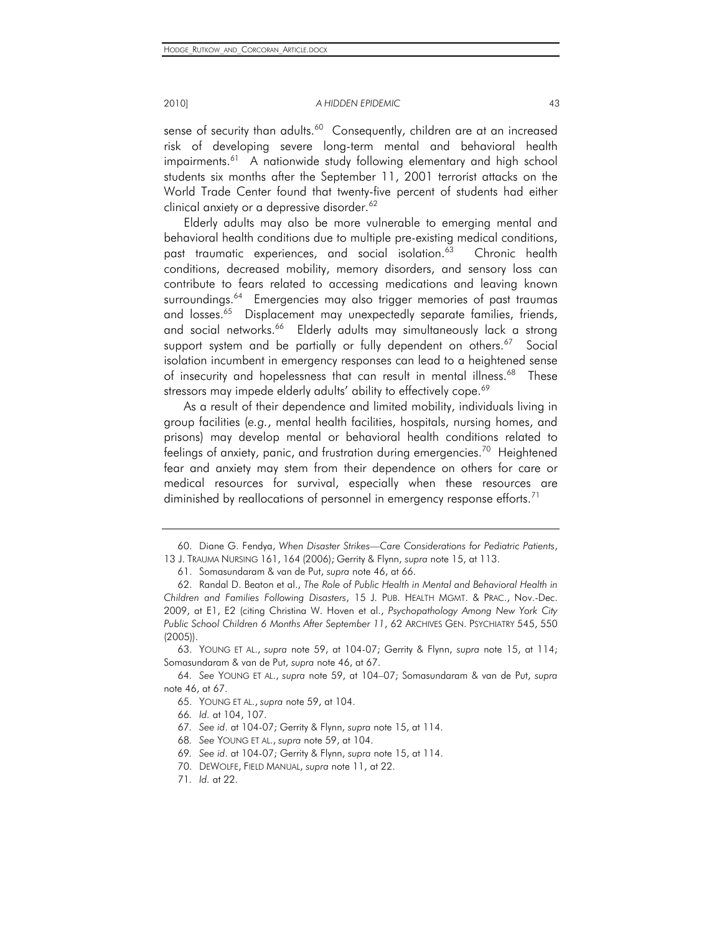sense of security than adults.<sup>60</sup> Consequently, children are at an increased risk of developing severe long-term mental and behavioral health impairments.<sup>61</sup> A nationwide study following elementary and high school students six months after the September 11, 2001 terrorist attacks on the World Trade Center found that twenty-five percent of students had either clinical anxiety or a depressive disorder.<sup>62</sup>

Elderly adults may also be more vulnerable to emerging mental and behavioral health conditions due to multiple pre-existing medical conditions, past traumatic experiences, and social isolation.<sup>63</sup> Chronic health conditions, decreased mobility, memory disorders, and sensory loss can contribute to fears related to accessing medications and leaving known surroundings.<sup>64</sup> Emergencies may also trigger memories of past traumas and losses.<sup>65</sup> Displacement may unexpectedly separate families, friends, and social networks.<sup>66</sup> Elderly adults may simultaneously lack a strong support system and be partially or fully dependent on others.<sup>67</sup> Social isolation incumbent in emergency responses can lead to a heightened sense of insecurity and hopelessness that can result in mental illness.<sup>68</sup> These stressors may impede elderly adults' ability to effectively cope.<sup>69</sup>

As a result of their dependence and limited mobility, individuals living in group facilities (*e.g.*, mental health facilities, hospitals, nursing homes, and prisons) may develop mental or behavioral health conditions related to feelings of anxiety, panic, and frustration during emergencies.<sup>70</sup> Heightened fear and anxiety may stem from their dependence on others for care or medical resources for survival, especially when these resources are diminished by reallocations of personnel in emergency response efforts.<sup>71</sup>

69*. See id*. at 104-07; Gerrity & Flynn, *supra* note 15, at 114.

 <sup>60.</sup> Diane G. Fendya, *When Disaster Strikes—Care Considerations for Pediatric Patients*, 13 J. TRAUMA NURSING 161, 164 (2006); Gerrity & Flynn, *supra* note 15, at 113.

 <sup>61.</sup> Somasundaram & van de Put, *supra* note 46, at 66.

 <sup>62.</sup> Randal D. Beaton et al., *The Role of Public Health in Mental and Behavioral Health in Children and Families Following Disasters*, 15 J. PUB. HEALTH MGMT. & PRAC., Nov.-Dec. 2009, at E1, E2 (citing Christina W. Hoven et al., *Psychopathology Among New York City Public School Children 6 Months After September 11*, 62 ARCHIVES GEN. PSYCHIATRY 545, 550 (2005)).

 <sup>63.</sup> YOUNG ET AL., *supra* note 59, at 104-07; Gerrity & Flynn, *supra* note 15, at 114; Somasundaram & van de Put, *supra* note 46, at 67.

<sup>64</sup>*. See* YOUNG ET AL., *supra* note 59, at 104–07; Somasundaram & van de Put, *supra*  note 46, at 67.

 <sup>65.</sup> YOUNG ET AL., *supra* note 59, at 104.

<sup>66</sup>*. Id.* at 104, 107.

<sup>67</sup>*. See id*. at 104-07; Gerrity & Flynn, *supra* note 15, at 114.

<sup>68</sup>*. See* YOUNG ET AL., *supra* note 59, at 104.

 <sup>70.</sup> DEWOLFE, FIELD MANUAL, *supra* note 11, at 22.

<sup>71</sup>*. Id.* at 22.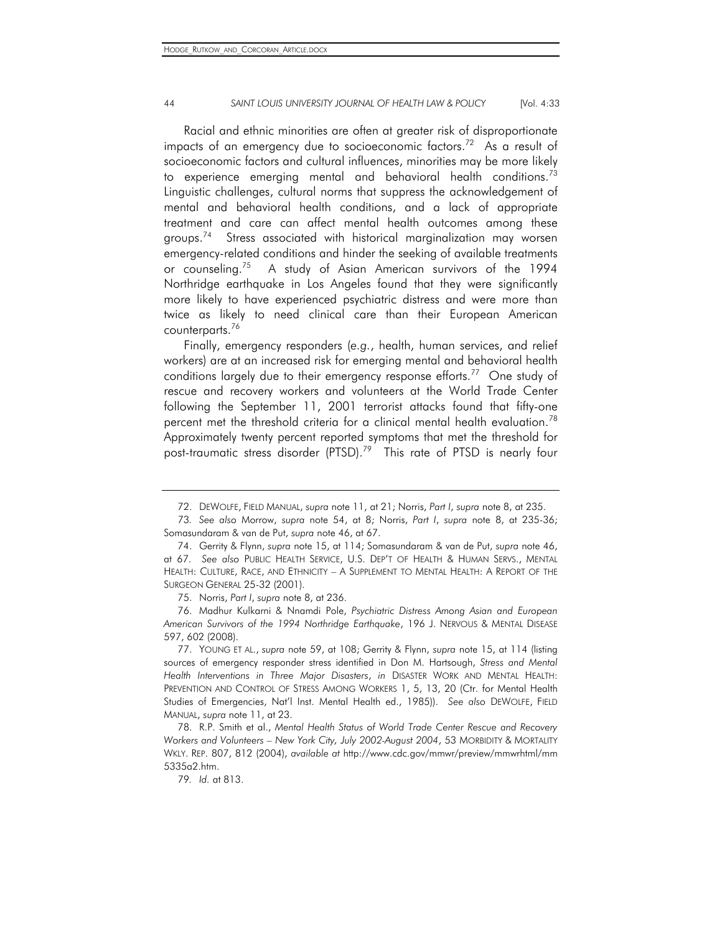Racial and ethnic minorities are often at greater risk of disproportionate impacts of an emergency due to socioeconomic factors.<sup>72</sup> As a result of socioeconomic factors and cultural influences, minorities may be more likely to experience emerging mental and behavioral health conditions.<sup>73</sup> Linguistic challenges, cultural norms that suppress the acknowledgement of mental and behavioral health conditions, and a lack of appropriate treatment and care can affect mental health outcomes among these groups.74 Stress associated with historical marginalization may worsen emergency-related conditions and hinder the seeking of available treatments or counseling.75 A study of Asian American survivors of the 1994 Northridge earthquake in Los Angeles found that they were significantly more likely to have experienced psychiatric distress and were more than twice as likely to need clinical care than their European American counterparts.76

Finally, emergency responders (*e.g.*, health, human services, and relief workers) are at an increased risk for emerging mental and behavioral health conditions largely due to their emergency response efforts.<sup>77</sup> One study of rescue and recovery workers and volunteers at the World Trade Center following the September 11, 2001 terrorist attacks found that fifty-one percent met the threshold criteria for a clinical mental health evaluation.<sup>78</sup> Approximately twenty percent reported symptoms that met the threshold for post-traumatic stress disorder (PTSD).<sup>79</sup> This rate of PTSD is nearly four

75. Norris, *Part I*, *supra* note 8, at 236.

 76. Madhur Kulkarni & Nnamdi Pole, *Psychiatric Distress Among Asian and European American Survivors of the 1994 Northridge Earthquake*, 196 J. NERVOUS & MENTAL DISEASE 597, 602 (2008).

 77. YOUNG ET AL., *supra* note 59, at 108; Gerrity & Flynn, *supra* note 15, at 114 (listing sources of emergency responder stress identified in Don M. Hartsough, *Stress and Mental Health Interventions in Three Major Disasters*, *in* DISASTER WORK AND MENTAL HEALTH: PREVENTION AND CONTROL OF STRESS AMONG WORKERS 1, 5, 13, 20 (Ctr. for Mental Health Studies of Emergencies, Nat'l Inst. Mental Health ed., 1985)). *See also* DEWOLFE, FIELD MANUAL, *supra* note 11, at 23.

 78. R.P. Smith et al., *Mental Health Status of World Trade Center Rescue and Recovery Workers and Volunteers – New York City, July 2002-August 2004*, 53 MORBIDITY & MORTALITY WKLY. REP. 807, 812 (2004), *available at* http://www.cdc.gov/mmwr/preview/mmwrhtml/mm 5335a2.htm.

79*. Id.* at 813.

 <sup>72.</sup> DEWOLFE, FIELD MANUAL, *supra* note 11, at 21; Norris, *Part I*, *supra* note 8, at 235.

<sup>73</sup>*. See also* Morrow, *supra* note 54, at 8; Norris, *Part I*, *supra* note 8, at 235-36; Somasundaram & van de Put, *supra* note 46, at 67.

 <sup>74.</sup> Gerrity & Flynn, *supra* note 15, at 114; Somasundaram & van de Put, *supra* note 46, at 67. *See also* PUBLIC HEALTH SERVICE, U.S. DEP'T OF HEALTH & HUMAN SERVS., MENTAL HEALTH: CULTURE, RACE, AND ETHNICITY – A SUPPLEMENT TO MENTAL HEALTH: A REPORT OF THE SURGEON GENERAL 25-32 (2001).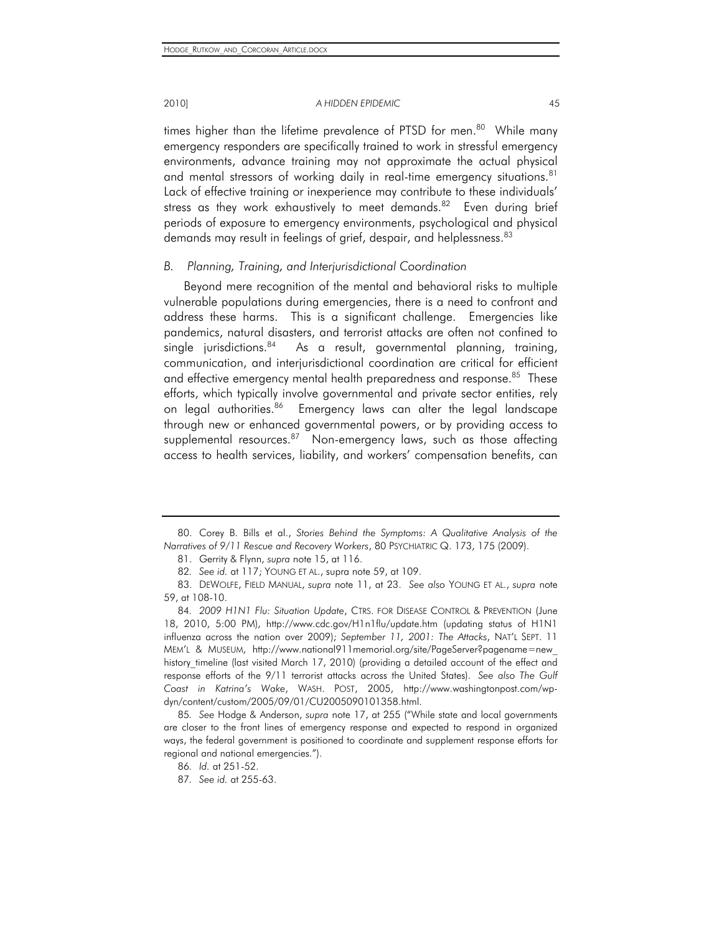times higher than the lifetime prevalence of PTSD for men.<sup>80</sup> While many emergency responders are specifically trained to work in stressful emergency environments, advance training may not approximate the actual physical and mental stressors of working daily in real-time emergency situations.<sup>81</sup> Lack of effective training or inexperience may contribute to these individuals' stress as they work exhaustively to meet demands. $82$  Even during brief periods of exposure to emergency environments, psychological and physical demands may result in feelings of grief, despair, and helplessness.<sup>83</sup>

# *B. Planning, Training, and Interjurisdictional Coordination*

Beyond mere recognition of the mental and behavioral risks to multiple vulnerable populations during emergencies, there is a need to confront and address these harms. This is a significant challenge. Emergencies like pandemics, natural disasters, and terrorist attacks are often not confined to single jurisdictions.<sup>84</sup> As a result, governmental planning, training, communication, and interjurisdictional coordination are critical for efficient and effective emergency mental health preparedness and response.<sup>85</sup> These efforts, which typically involve governmental and private sector entities, rely on legal authorities.<sup>86</sup> Emergency laws can alter the legal landscape through new or enhanced governmental powers, or by providing access to supplemental resources.<sup>87</sup> Non-emergency laws, such as those affecting access to health services, liability, and workers' compensation benefits, can

 <sup>80.</sup> Corey B. Bills et al., *Stories Behind the Symptoms: A Qualitative Analysis of the Narratives of 9/11 Rescue and Recovery Workers*, 80 PSYCHIATRIC Q. 173, 175 (2009).

 <sup>81.</sup> Gerrity & Flynn, *supra* note 15, at 116.

<sup>82</sup>*. See id.* at 117; YOUNG ET AL., supra note 59, at 109.

 <sup>83.</sup> DEWOLFE, FIELD MANUAL, *supra* note 11, at 23. *See also* YOUNG ET AL., *supra* note 59, at 108-10.

<sup>84</sup>*. 2009 H1N1 Flu: Situation Update*, CTRS. FOR DISEASE CONTROL & PREVENTION (June 18, 2010, 5:00 PM), http://www.cdc.gov/H1n1flu/update.htm (updating status of H1N1 influenza across the nation over 2009); *September 11, 2001: The Attacks*, NAT'L SEPT. 11 MEM'L & MUSEUM, http://www.national911memorial.org/site/PageServer?pagename=new\_ history timeline (last visited March 17, 2010) (providing a detailed account of the effect and response efforts of the 9/11 terrorist attacks across the United States). *See also The Gulf Coast in Katrina's Wake*, WASH. POST, 2005, http://www.washingtonpost.com/wpdyn/content/custom/2005/09/01/CU2005090101358.html.

<sup>85</sup>*. See* Hodge & Anderson, *supra* note 17, at 255 ("While state and local governments are closer to the front lines of emergency response and expected to respond in organized ways, the federal government is positioned to coordinate and supplement response efforts for regional and national emergencies.").

<sup>86</sup>*. Id.* at 251-52.

<sup>87</sup>*. See id.* at 255-63.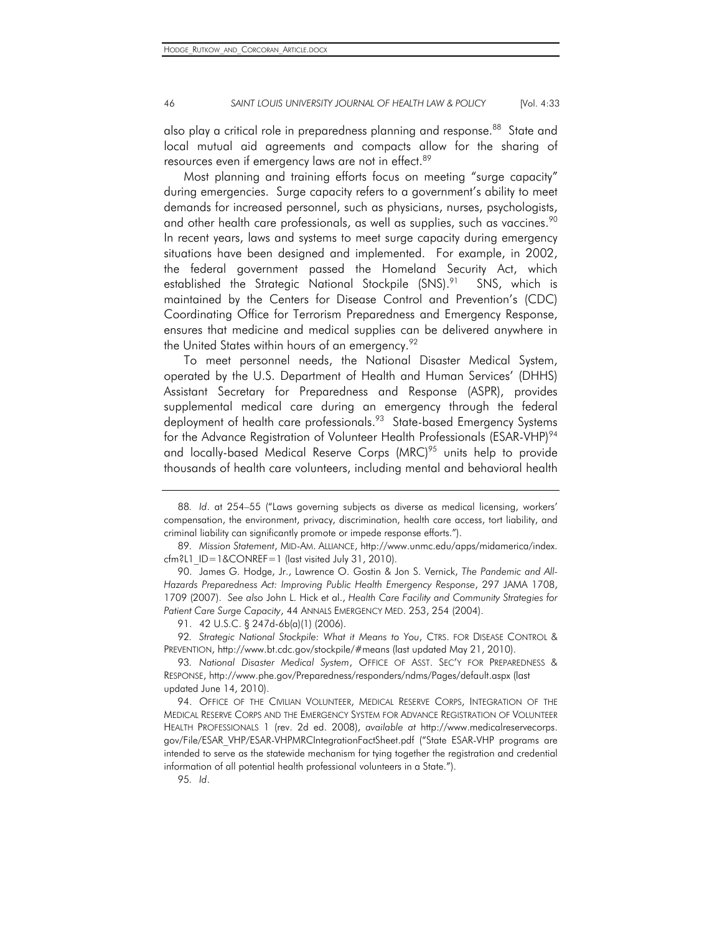also play a critical role in preparedness planning and response.<sup>88</sup> State and local mutual aid agreements and compacts allow for the sharing of resources even if emergency laws are not in effect.<sup>89</sup>

Most planning and training efforts focus on meeting "surge capacity" during emergencies. Surge capacity refers to a government's ability to meet demands for increased personnel, such as physicians, nurses, psychologists, and other health care professionals, as well as supplies, such as vaccines.<sup>90</sup> In recent years, laws and systems to meet surge capacity during emergency situations have been designed and implemented. For example, in 2002, the federal government passed the Homeland Security Act, which established the Strategic National Stockpile (SNS).<sup>91</sup> SNS, which is maintained by the Centers for Disease Control and Prevention's (CDC) Coordinating Office for Terrorism Preparedness and Emergency Response, ensures that medicine and medical supplies can be delivered anywhere in the United States within hours of an emergency.<sup>92</sup>

To meet personnel needs, the National Disaster Medical System, operated by the U.S. Department of Health and Human Services' (DHHS) Assistant Secretary for Preparedness and Response (ASPR), provides supplemental medical care during an emergency through the federal deployment of health care professionals.<sup>93</sup> State-based Emergency Systems for the Advance Registration of Volunteer Health Professionals (ESAR-VHP)<sup>94</sup> and locally-based Medical Reserve Corps (MRC)<sup>95</sup> units help to provide thousands of health care volunteers, including mental and behavioral health

92*. Strategic National Stockpile: What it Means to You*, CTRS. FOR DISEASE CONTROL & PREVENTION, http://www.bt.cdc.gov/stockpile/#means (last updated May 21, 2010).

95*. Id*.

<sup>88</sup>*. Id*. at 254–55 ("Laws governing subjects as diverse as medical licensing, workers' compensation, the environment, privacy, discrimination, health care access, tort liability, and criminal liability can significantly promote or impede response efforts.").

<sup>89</sup>*. Mission Statement*, MID-AM. ALLIANCE, http://www.unmc.edu/apps/midamerica/index. cfm?L1\_ID=1&CONREF=1 (last visited July 31, 2010).

 <sup>90.</sup> James G. Hodge, Jr., Lawrence O. Gostin & Jon S. Vernick, *The Pandemic and All-Hazards Preparedness Act: Improving Public Health Emergency Response*, 297 JAMA 1708, 1709 (2007). *See also* John L. Hick et al., *Health Care Facility and Community Strategies for Patient Care Surge Capacity*, 44 ANNALS EMERGENCY MED. 253, 254 (2004).

 <sup>91. 42</sup> U.S.C. § 247d-6b(a)(1) (2006).

<sup>93</sup>*. National Disaster Medical System*, OFFICE OF ASST. SEC'Y FOR PREPAREDNESS & RESPONSE, http://www.phe.gov/Preparedness/responders/ndms/Pages/default.aspx (last updated June 14, 2010).

 <sup>94.</sup> OFFICE OF THE CIVILIAN VOLUNTEER, MEDICAL RESERVE CORPS, INTEGRATION OF THE MEDICAL RESERVE CORPS AND THE EMERGENCY SYSTEM FOR ADVANCE REGISTRATION OF VOLUNTEER HEALTH PROFESSIONALS 1 (rev. 2d ed. 2008), *available at* http://www.medicalreservecorps. gov/File/ESAR\_VHP/ESAR-VHPMRCIntegrationFactSheet.pdf ("State ESAR-VHP programs are intended to serve as the statewide mechanism for tying together the registration and credential information of all potential health professional volunteers in a State.").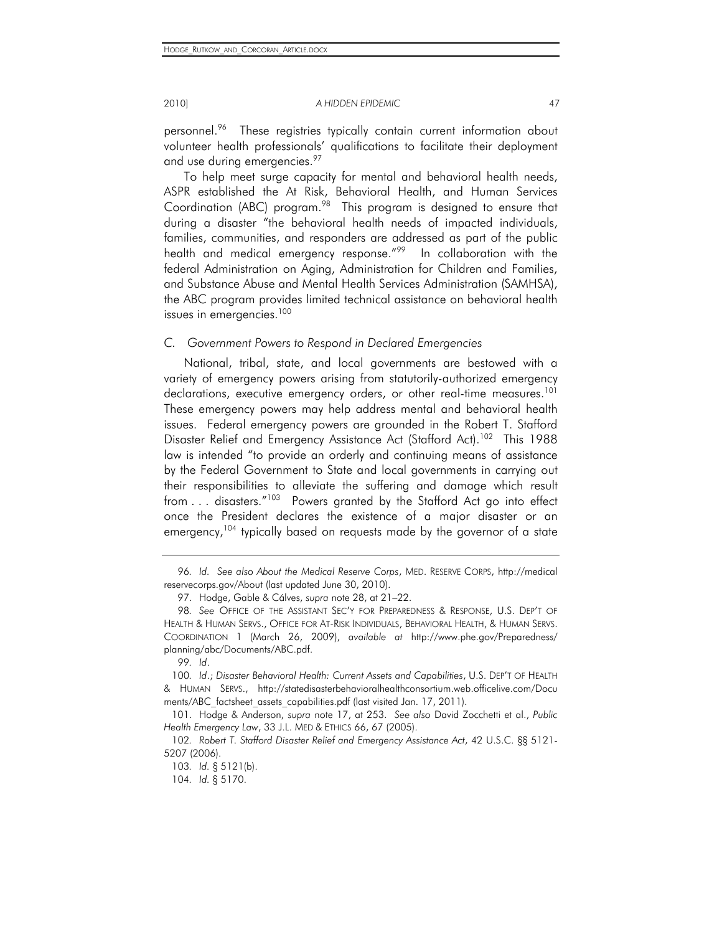personnel.<sup>96</sup> These registries typically contain current information about volunteer health professionals' qualifications to facilitate their deployment and use during emergencies.<sup>97</sup>

To help meet surge capacity for mental and behavioral health needs, ASPR established the At Risk, Behavioral Health, and Human Services Coordination (ABC) program.<sup>98</sup> This program is designed to ensure that during a disaster "the behavioral health needs of impacted individuals, families, communities, and responders are addressed as part of the public health and medical emergency response."<sup>99</sup> In collaboration with the federal Administration on Aging, Administration for Children and Families, and Substance Abuse and Mental Health Services Administration (SAMHSA), the ABC program provides limited technical assistance on behavioral health issues in emergencies.<sup>100</sup>

# *C. Government Powers to Respond in Declared Emergencies*

National, tribal, state, and local governments are bestowed with a variety of emergency powers arising from statutorily-authorized emergency declarations, executive emergency orders, or other real-time measures.<sup>101</sup> These emergency powers may help address mental and behavioral health issues. Federal emergency powers are grounded in the Robert T. Stafford Disaster Relief and Emergency Assistance Act (Stafford Act).<sup>102</sup> This 1988 law is intended "to provide an orderly and continuing means of assistance by the Federal Government to State and local governments in carrying out their responsibilities to alleviate the suffering and damage which result from . . . disasters."<sup>103</sup> Powers granted by the Stafford Act go into effect once the President declares the existence of a major disaster or an emergency,<sup>104</sup> typically based on requests made by the governor of a state

<sup>96</sup>*. Id. See also About the Medical Reserve Corps*, MED. RESERVE CORPS, http://medical reservecorps.gov/About (last updated June 30, 2010).

 <sup>97.</sup> Hodge, Gable & Cálves, *supra* note 28, at 21–22.

<sup>98</sup>*. See* OFFICE OF THE ASSISTANT SEC'Y FOR PREPAREDNESS & RESPONSE, U.S. DEP'T OF HEALTH & HUMAN SERVS., OFFICE FOR AT-RISK INDIVIDUALS, BEHAVIORAL HEALTH, & HUMAN SERVS. COORDINATION 1 (March 26, 2009), *available at* http://www.phe.gov/Preparedness/ planning/abc/Documents/ABC.pdf.

<sup>99</sup>*. Id*.

<sup>100</sup>*. Id*.; *Disaster Behavioral Health: Current Assets and Capabilities*, U.S. DEP'T OF HEALTH & HUMAN SERVS., http://statedisasterbehavioralhealthconsortium.web.officelive.com/Docu ments/ABC factsheet assets capabilities.pdf (last visited Jan. 17, 2011).

 <sup>101.</sup> Hodge & Anderson, *supra* note 17, at 253. *See also* David Zocchetti et al., *Public Health Emergency Law*, 33 J.L. MED & ETHICS 66, 67 (2005).

<sup>102</sup>*. Robert T. Stafford Disaster Relief and Emergency Assistance Act*, 42 U.S.C. §§ 5121- 5207 (2006).

<sup>103</sup>*. Id.* § 5121(b).

<sup>104</sup>*. Id.* § 5170.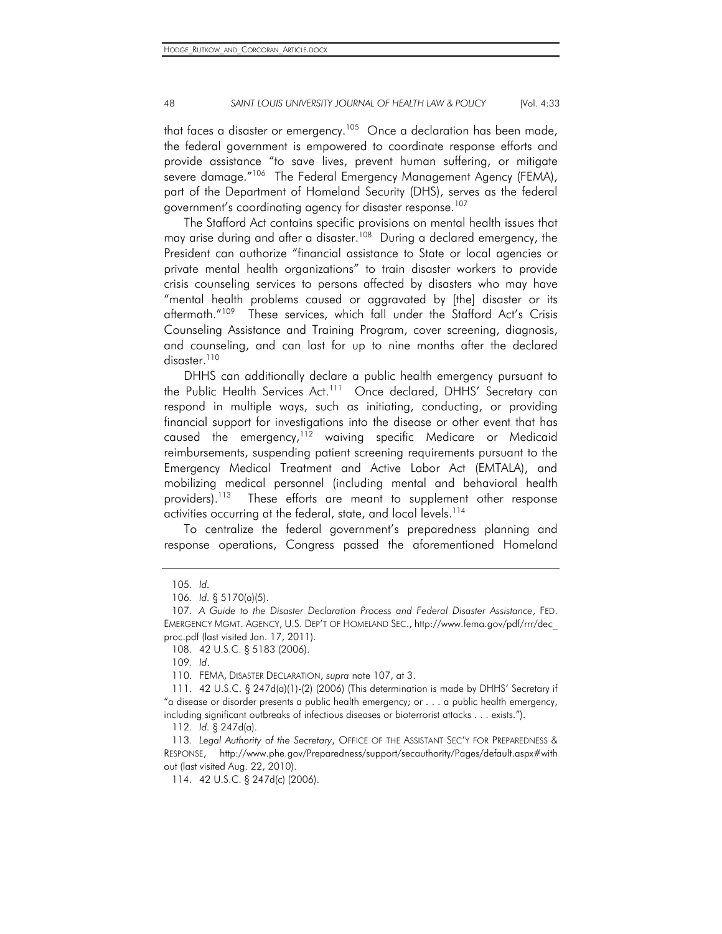that faces a disaster or emergency.<sup>105</sup> Once a declaration has been made, the federal government is empowered to coordinate response efforts and provide assistance "to save lives, prevent human suffering, or mitigate severe damage."<sup>106</sup> The Federal Emergency Management Agency (FEMA), part of the Department of Homeland Security (DHS), serves as the federal government's coordinating agency for disaster response.<sup>107</sup>

The Stafford Act contains specific provisions on mental health issues that may arise during and after a disaster.<sup>108</sup> During a declared emergency, the President can authorize "financial assistance to State or local agencies or private mental health organizations" to train disaster workers to provide crisis counseling services to persons affected by disasters who may have "mental health problems caused or aggravated by [the] disaster or its aftermath."<sup>109</sup> These services, which fall under the Stafford Act's Crisis Counseling Assistance and Training Program, cover screening, diagnosis, and counseling, and can last for up to nine months after the declared disaster.<sup>110</sup>

DHHS can additionally declare a public health emergency pursuant to the Public Health Services Act.<sup>111</sup> Once declared, DHHS' Secretary can respond in multiple ways, such as initiating, conducting, or providing financial support for investigations into the disease or other event that has caused the emergency,  $112$  waiving specific Medicare or Medicaid reimbursements, suspending patient screening requirements pursuant to the Emergency Medical Treatment and Active Labor Act (EMTALA), and mobilizing medical personnel (including mental and behavioral health providers).<sup>113</sup> These efforts are meant to supplement other response activities occurring at the federal, state, and local levels.<sup>114</sup>

To centralize the federal government's preparedness planning and response operations, Congress passed the aforementioned Homeland

<sup>105</sup>*. Id.*

<sup>106</sup>*. Id.* § 5170(a)(5).

 <sup>107.</sup> *A Guide to the Disaster Declaration Process and Federal Disaster Assistance*, FED. EMERGENCY MGMT. AGENCY, U.S. DEP'T OF HOMELAND SEC., http://www.fema.gov/pdf/rrr/dec\_ proc.pdf (last visited Jan. 17, 2011).

 <sup>108. 42</sup> U.S.C. § 5183 (2006).

<sup>109</sup>*. Id*.

 <sup>110.</sup> FEMA, DISASTER DECLARATION, *supra* note 107, at 3.

 <sup>111. 42</sup> U.S.C. § 247d(a)(1)-(2) (2006) (This determination is made by DHHS' Secretary if "a disease or disorder presents a public health emergency; or . . . a public health emergency, including significant outbreaks of infectious diseases or bioterrorist attacks . . . exists.").

<sup>112</sup>*. Id.* § 247d(a).

<sup>113</sup>*. Legal Authority of the Secretary*, OFFICE OF THE ASSISTANT SEC'Y FOR PREPAREDNESS & RESPONSE, http://www.phe.gov/Preparedness/support/secauthority/Pages/default.aspx#with out (last visited Aug. 22, 2010).

 <sup>114. 42</sup> U.S.C. § 247d(c) (2006).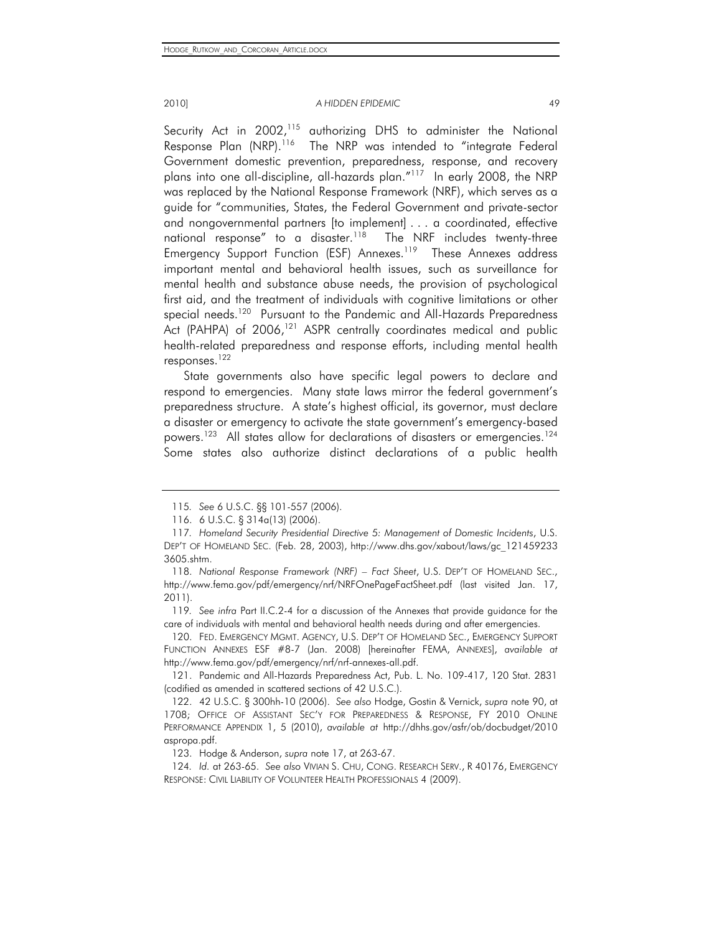Security Act in  $2002$ ,<sup>115</sup> authorizing DHS to administer the National Response Plan (NRP).<sup>116</sup> The NRP was intended to "integrate Federal Government domestic prevention, preparedness, response, and recovery plans into one all-discipline, all-hazards plan."<sup>117</sup> In early 2008, the NRP was replaced by the National Response Framework (NRF), which serves as a guide for "communities, States, the Federal Government and private-sector and nongovernmental partners [to implement] . . . a coordinated, effective national response" to a disaster.<sup>118</sup> The NRF includes twenty-three Emergency Support Function (ESF) Annexes.<sup>119</sup> These Annexes address important mental and behavioral health issues, such as surveillance for mental health and substance abuse needs, the provision of psychological first aid, and the treatment of individuals with cognitive limitations or other special needs.<sup>120</sup> Pursuant to the Pandemic and All-Hazards Preparedness Act (PAHPA) of 2006,<sup>121</sup> ASPR centrally coordinates medical and public health-related preparedness and response efforts, including mental health responses.122

State governments also have specific legal powers to declare and respond to emergencies. Many state laws mirror the federal government's preparedness structure. A state's highest official, its governor, must declare a disaster or emergency to activate the state government's emergency-based powers.<sup>123</sup> All states allow for declarations of disasters or emergencies.<sup>124</sup> Some states also authorize distinct declarations of a public health

<sup>115</sup>*. See* 6 U.S.C. §§ 101-557 (2006).

 <sup>116. 6</sup> U.S.C. § 314a(13) (2006).

<sup>117</sup>*. Homeland Security Presidential Directive 5: Management of Domestic Incidents*, U.S. DEP'T OF HOMELAND SEC. (Feb. 28, 2003), http://www.dhs.gov/xabout/laws/gc\_121459233 3605.shtm.

 <sup>118.</sup> *National Response Framework (NRF) – Fact Sheet*, U.S. DEP'T OF HOMELAND SEC., http://www.fema.gov/pdf/emergency/nrf/NRFOnePageFactSheet.pdf (last visited Jan. 17, 2011).

<sup>119</sup>*. See infra* Part II.C.2-4 for a discussion of the Annexes that provide guidance for the care of individuals with mental and behavioral health needs during and after emergencies.

 <sup>120.</sup> FED. EMERGENCY MGMT. AGENCY, U.S. DEP'T OF HOMELAND SEC., EMERGENCY SUPPORT FUNCTION ANNEXES ESF #8-7 (Jan. 2008) [hereinafter FEMA, ANNEXES], *available at*  http://www.fema.gov/pdf/emergency/nrf/nrf-annexes-all.pdf.

 <sup>121.</sup> Pandemic and All-Hazards Preparedness Act, Pub. L. No. 109-417, 120 Stat. 2831 (codified as amended in scattered sections of 42 U.S.C.).

 <sup>122. 42</sup> U.S.C. § 300hh-10 (2006). *See also* Hodge, Gostin & Vernick, *supra* note 90, at 1708; OFFICE OF ASSISTANT SEC'Y FOR PREPAREDNESS & RESPONSE, FY 2010 ONLINE PERFORMANCE APPENDIX 1, 5 (2010), *available at* http://dhhs.gov/asfr/ob/docbudget/2010 aspropa.pdf.

 <sup>123.</sup> Hodge & Anderson, *supra* note 17, at 263-67.

<sup>124</sup>*. Id.* at 263-65. *See also* VIVIAN S. CHU, CONG. RESEARCH SERV., R 40176, EMERGENCY RESPONSE: CIVIL LIABILITY OF VOLUNTEER HEALTH PROFESSIONALS 4 (2009).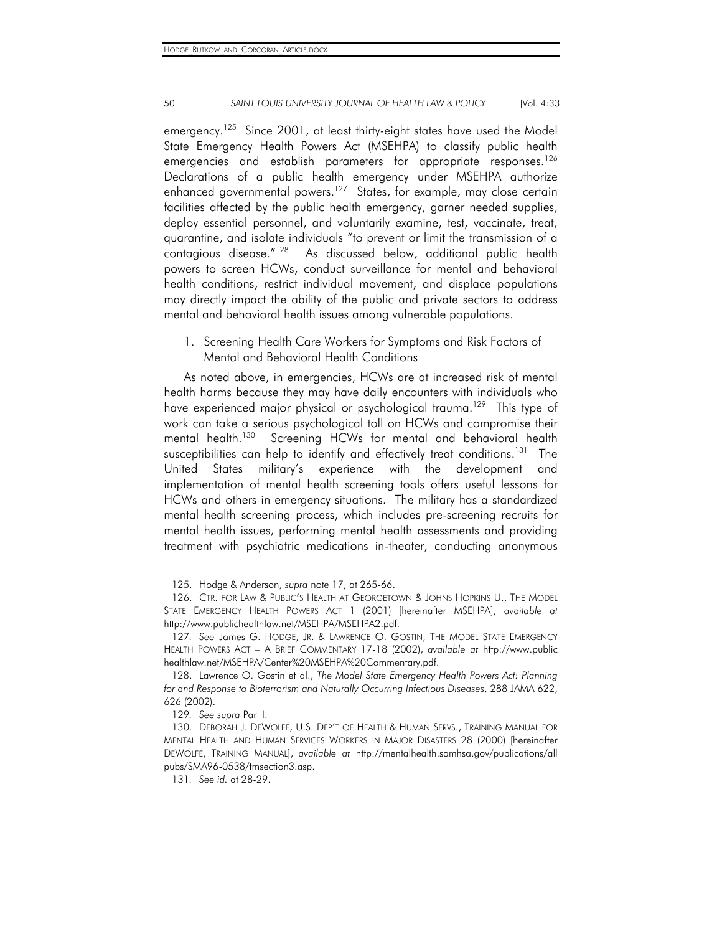emergency.<sup>125</sup> Since 2001, at least thirty-eight states have used the Model State Emergency Health Powers Act (MSEHPA) to classify public health emergencies and establish parameters for appropriate responses.<sup>126</sup> Declarations of a public health emergency under MSEHPA authorize enhanced governmental powers.<sup>127</sup> States, for example, may close certain facilities affected by the public health emergency, garner needed supplies, deploy essential personnel, and voluntarily examine, test, vaccinate, treat, quarantine, and isolate individuals "to prevent or limit the transmission of a contagious disease."128 As discussed below, additional public health powers to screen HCWs, conduct surveillance for mental and behavioral health conditions, restrict individual movement, and displace populations may directly impact the ability of the public and private sectors to address mental and behavioral health issues among vulnerable populations.

1. Screening Health Care Workers for Symptoms and Risk Factors of Mental and Behavioral Health Conditions

As noted above, in emergencies, HCWs are at increased risk of mental health harms because they may have daily encounters with individuals who have experienced major physical or psychological trauma.<sup>129</sup> This type of work can take a serious psychological toll on HCWs and compromise their mental health.<sup>130</sup> Screening HCWs for mental and behavioral health susceptibilities can help to identify and effectively treat conditions.<sup>131</sup> The United States military's experience with the development and implementation of mental health screening tools offers useful lessons for HCWs and others in emergency situations. The military has a standardized mental health screening process, which includes pre-screening recruits for mental health issues, performing mental health assessments and providing treatment with psychiatric medications in-theater, conducting anonymous

 <sup>125.</sup> Hodge & Anderson, *supra* note 17, at 265-66.

 <sup>126.</sup> CTR. FOR LAW & PUBLIC'S HEALTH AT GEORGETOWN & JOHNS HOPKINS U., THE MODEL STATE EMERGENCY HEALTH POWERS ACT 1 (2001) [hereinafter MSEHPA], *available at* http://www.publichealthlaw.net/MSEHPA/MSEHPA2.pdf.

<sup>127</sup>*. See* James G. HODGE, JR. & LAWRENCE O. GOSTIN, THE MODEL STATE EMERGENCY HEALTH POWERS ACT – A BRIEF COMMENTARY 17-18 (2002), *available at* http://www.public healthlaw.net/MSEHPA/Center%20MSEHPA%20Commentary.pdf.

 <sup>128.</sup> Lawrence O. Gostin et al., *The Model State Emergency Health Powers Act: Planning for and Response to Bioterrorism and Naturally Occurring Infectious Diseases*, 288 JAMA 622, 626 (2002).

<sup>129</sup>*. See supra* Part I.

 <sup>130.</sup> DEBORAH J. DEWOLFE, U.S. DEP'T OF HEALTH & HUMAN SERVS., TRAINING MANUAL FOR MENTAL HEALTH AND HUMAN SERVICES WORKERS IN MAJOR DISASTERS 28 (2000) [hereinafter DEWOLFE, TRAINING MANUAL], *available at* http://mentalhealth.samhsa.gov/publications/all pubs/SMA96-0538/tmsection3.asp.

<sup>131</sup>*. See id.* at 28-29.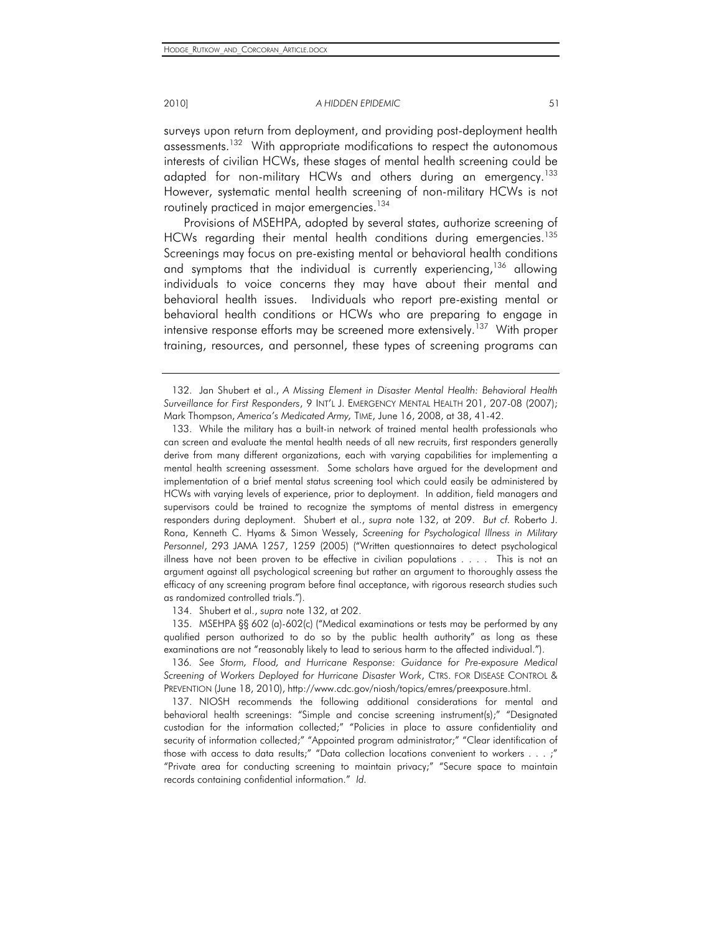surveys upon return from deployment, and providing post-deployment health assessments.<sup>132</sup> With appropriate modifications to respect the autonomous interests of civilian HCWs, these stages of mental health screening could be adapted for non-military HCWs and others during an emergency.<sup>133</sup> However, systematic mental health screening of non-military HCWs is not routinely practiced in major emergencies.<sup>134</sup>

Provisions of MSEHPA, adopted by several states, authorize screening of HCWs regarding their mental health conditions during emergencies.<sup>135</sup> Screenings may focus on pre-existing mental or behavioral health conditions and symptoms that the individual is currently experiencing,  $136$  allowing individuals to voice concerns they may have about their mental and behavioral health issues. Individuals who report pre-existing mental or behavioral health conditions or HCWs who are preparing to engage in intensive response efforts may be screened more extensively.<sup>137</sup> With proper training, resources, and personnel, these types of screening programs can

134. Shubert et al., *supra* note 132, at 202.

 135. MSEHPA §§ 602 (a)-602(c) ("Medical examinations or tests may be performed by any qualified person authorized to do so by the public health authority" as long as these examinations are not "reasonably likely to lead to serious harm to the affected individual.").

136*. See Storm, Flood, and Hurricane Response: Guidance for Pre-exposure Medical Screening of Workers Deployed for Hurricane Disaster Work*, CTRS. FOR DISEASE CONTROL & PREVENTION (June 18, 2010), http://www.cdc.gov/niosh/topics/emres/preexposure.html.

 137. NIOSH recommends the following additional considerations for mental and behavioral health screenings: "Simple and concise screening instrument(s);" "Designated custodian for the information collected;" "Policies in place to assure confidentiality and security of information collected;" "Appointed program administrator;" "Clear identification of those with access to data results;" "Data collection locations convenient to workers . . . ;" "Private area for conducting screening to maintain privacy;" "Secure space to maintain records containing confidential information." *Id.*

 <sup>132.</sup> Jan Shubert et al., *A Missing Element in Disaster Mental Health: Behavioral Health Surveillance for First Responders*, 9 INT'L J. EMERGENCY MENTAL HEALTH 201, 207-08 (2007); Mark Thompson, *America's Medicated Army,* TIME, June 16, 2008, at 38, 41-42.

 <sup>133.</sup> While the military has a built-in network of trained mental health professionals who can screen and evaluate the mental health needs of all new recruits, first responders generally derive from many different organizations, each with varying capabilities for implementing a mental health screening assessment. Some scholars have argued for the development and implementation of a brief mental status screening tool which could easily be administered by HCWs with varying levels of experience, prior to deployment. In addition, field managers and supervisors could be trained to recognize the symptoms of mental distress in emergency responders during deployment. Shubert et al., *supra* note 132, at 209. *But cf.* Roberto J. Rona, Kenneth C. Hyams & Simon Wessely, *Screening for Psychological Illness in Military Personnel*, 293 JAMA 1257, 1259 (2005) ("Written questionnaires to detect psychological illness have not been proven to be effective in civilian populations . . . . This is not an argument against all psychological screening but rather an argument to thoroughly assess the efficacy of any screening program before final acceptance, with rigorous research studies such as randomized controlled trials.").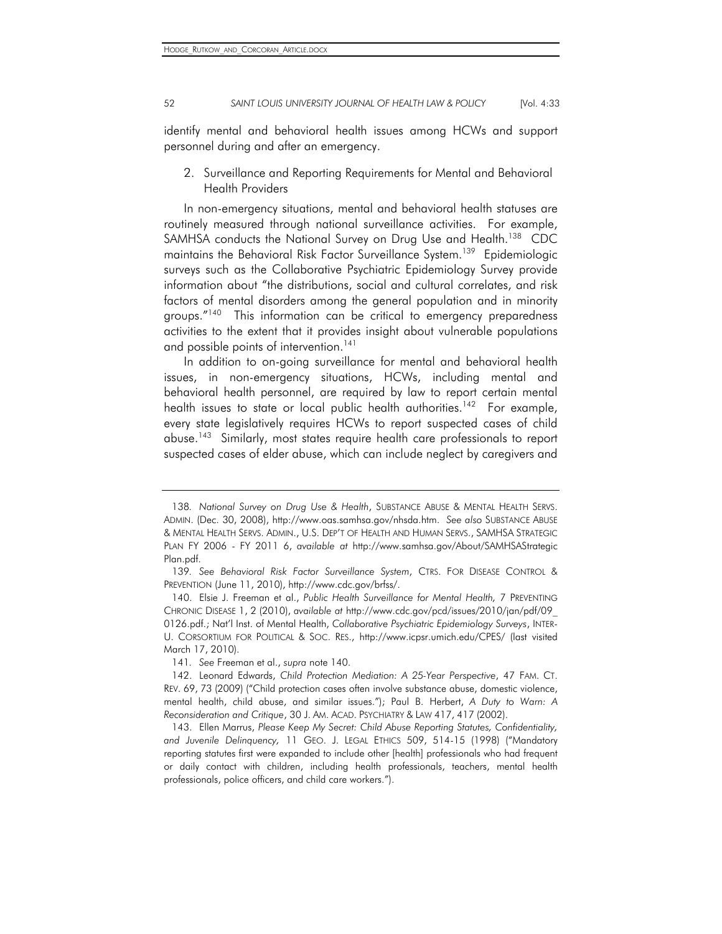HODGE\_RUTKOW\_AND\_CORCORAN\_ARTICLE.DOCX

# 52 **SAINT LOUIS UNIVERSITY JOURNAL OF HEALTH LAW & POLICY** Mol. 4:33

identify mental and behavioral health issues among HCWs and support personnel during and after an emergency.

2. Surveillance and Reporting Requirements for Mental and Behavioral Health Providers

In non-emergency situations, mental and behavioral health statuses are routinely measured through national surveillance activities. For example, SAMHSA conducts the National Survey on Drug Use and Health.<sup>138</sup> CDC maintains the Behavioral Risk Factor Surveillance System.<sup>139</sup> Epidemiologic surveys such as the Collaborative Psychiatric Epidemiology Survey provide information about "the distributions, social and cultural correlates, and risk factors of mental disorders among the general population and in minority groups."<sup>140</sup> This information can be critical to emergency preparedness activities to the extent that it provides insight about vulnerable populations and possible points of intervention.<sup>141</sup>

In addition to on-going surveillance for mental and behavioral health issues, in non-emergency situations, HCWs, including mental and behavioral health personnel, are required by law to report certain mental health issues to state or local public health authorities.<sup>142</sup> For example, every state legislatively requires HCWs to report suspected cases of child abuse.143 Similarly, most states require health care professionals to report suspected cases of elder abuse, which can include neglect by caregivers and

<sup>138</sup>*. National Survey on Drug Use & Health*, SUBSTANCE ABUSE & MENTAL HEALTH SERVS. ADMIN. (Dec. 30, 2008), http://www.oas.samhsa.gov/nhsda.htm. *See also* SUBSTANCE ABUSE & MENTAL HEALTH SERVS. ADMIN., U.S. DEP'T OF HEALTH AND HUMAN SERVS., SAMHSA STRATEGIC PLAN FY 2006 - FY 2011 6, *available at* http://www.samhsa.gov/About/SAMHSAStrategic Plan.pdf.

<sup>139</sup>*. See Behavioral Risk Factor Surveillance System*, CTRS. FOR DISEASE CONTROL & PREVENTION (June 11, 2010), http://www.cdc.gov/brfss/.

 <sup>140.</sup> Elsie J. Freeman et al., *Public Health Surveillance for Mental Health,* 7 PREVENTING CHRONIC DISEASE 1, 2 (2010), *available at* http://www.cdc.gov/pcd/issues/2010/jan/pdf/09\_ 0126.pdf.; Nat'l Inst. of Mental Health, *Collaborative Psychiatric Epidemiology Surveys*, INTER-U. CORSORTIUM FOR POLITICAL & SOC. RES., http://www.icpsr.umich.edu/CPES/ (last visited March 17, 2010).

<sup>141</sup>*. See* Freeman et al., *supra* note 140.

 <sup>142.</sup> Leonard Edwards, *Child Protection Mediation: A 25-Year Perspective*, 47 FAM. CT. REV. 69, 73 (2009) ("Child protection cases often involve substance abuse, domestic violence, mental health, child abuse, and similar issues."); Paul B. Herbert, *A Duty to Warn: A Reconsideration and Critique*, 30 J. AM. ACAD. PSYCHIATRY & LAW 417, 417 (2002).

 <sup>143.</sup> Ellen Marrus, *Please Keep My Secret: Child Abuse Reporting Statutes, Confidentiality, and Juvenile Delinquency,* 11 GEO. J. LEGAL ETHICS 509, 514-15 (1998) ("Mandatory reporting statutes first were expanded to include other [health] professionals who had frequent or daily contact with children, including health professionals, teachers, mental health professionals, police officers, and child care workers.").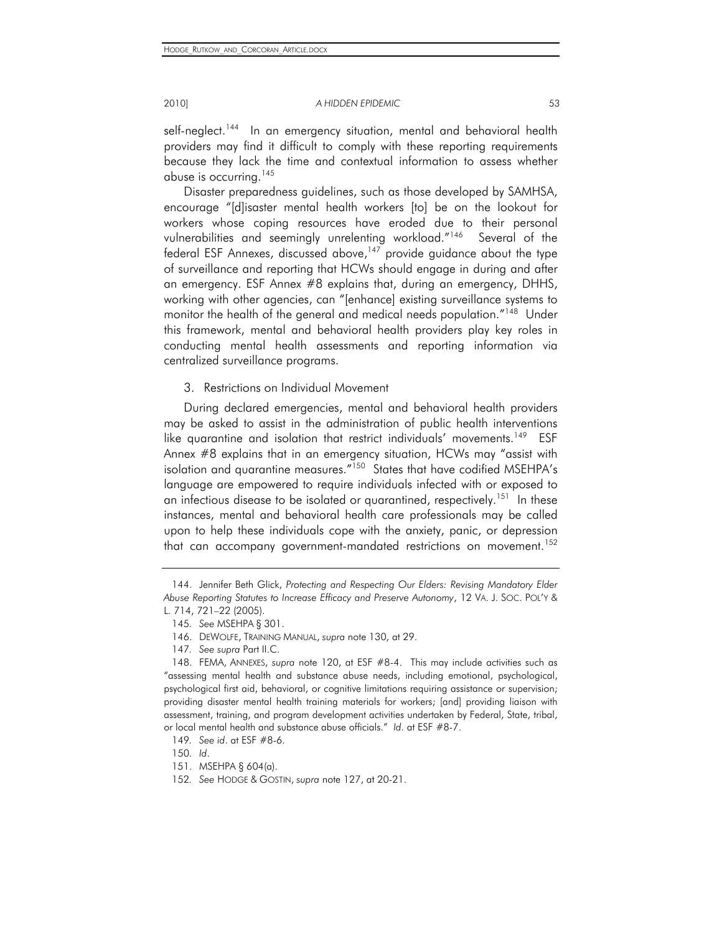self-neglect.<sup>144</sup> In an emergency situation, mental and behavioral health providers may find it difficult to comply with these reporting requirements because they lack the time and contextual information to assess whether abuse is occurring.<sup>145</sup>

Disaster preparedness guidelines, such as those developed by SAMHSA, encourage "[d]isaster mental health workers [to] be on the lookout for workers whose coping resources have eroded due to their personal vulnerabilities and seemingly unrelenting workload."<sup>146</sup> Several of the federal ESF Annexes, discussed above,  $147$  provide guidance about the type of surveillance and reporting that HCWs should engage in during and after an emergency. ESF Annex #8 explains that, during an emergency, DHHS, working with other agencies, can "[enhance] existing surveillance systems to monitor the health of the general and medical needs population."<sup>148</sup> Under this framework, mental and behavioral health providers play key roles in conducting mental health assessments and reporting information via centralized surveillance programs.

3. Restrictions on Individual Movement

During declared emergencies, mental and behavioral health providers may be asked to assist in the administration of public health interventions like quarantine and isolation that restrict individuals' movements.<sup>149</sup> ESF Annex #8 explains that in an emergency situation, HCWs may "assist with isolation and quarantine measures."<sup>150</sup> States that have codified MSEHPA's language are empowered to require individuals infected with or exposed to an infectious disease to be isolated or quarantined, respectively.<sup>151</sup> In these instances, mental and behavioral health care professionals may be called upon to help these individuals cope with the anxiety, panic, or depression that can accompany government-mandated restrictions on movement.<sup>152</sup>

 <sup>144.</sup> Jennifer Beth Glick, *Protecting and Respecting Our Elders: Revising Mandatory Elder Abuse Reporting Statutes to Increase Efficacy and Preserve Autonomy*, 12 VA. J. SOC. POL'Y & L. 714, 721–22 (2005).

<sup>145</sup>*. See* MSEHPA § 301.

 <sup>146.</sup> DEWOLFE, TRAINING MANUAL, *supra* note 130, at 29.

<sup>147</sup>*. See supra* Part II.C.

 <sup>148.</sup> FEMA, ANNEXES, *supra* note 120, at ESF #8-4. This may include activities such as "assessing mental health and substance abuse needs, including emotional, psychological, psychological first aid, behavioral, or cognitive limitations requiring assistance or supervision; providing disaster mental health training materials for workers; [and] providing liaison with assessment, training, and program development activities undertaken by Federal, State, tribal, or local mental health and substance abuse officials." *Id*. at ESF #8-7.

<sup>149</sup>*. See id*. at ESF #8-6.

<sup>150</sup>*. Id*.

 <sup>151.</sup> MSEHPA § 604(a).

<sup>152</sup>*. See* HODGE & GOSTIN, *supra* note 127, at 20-21.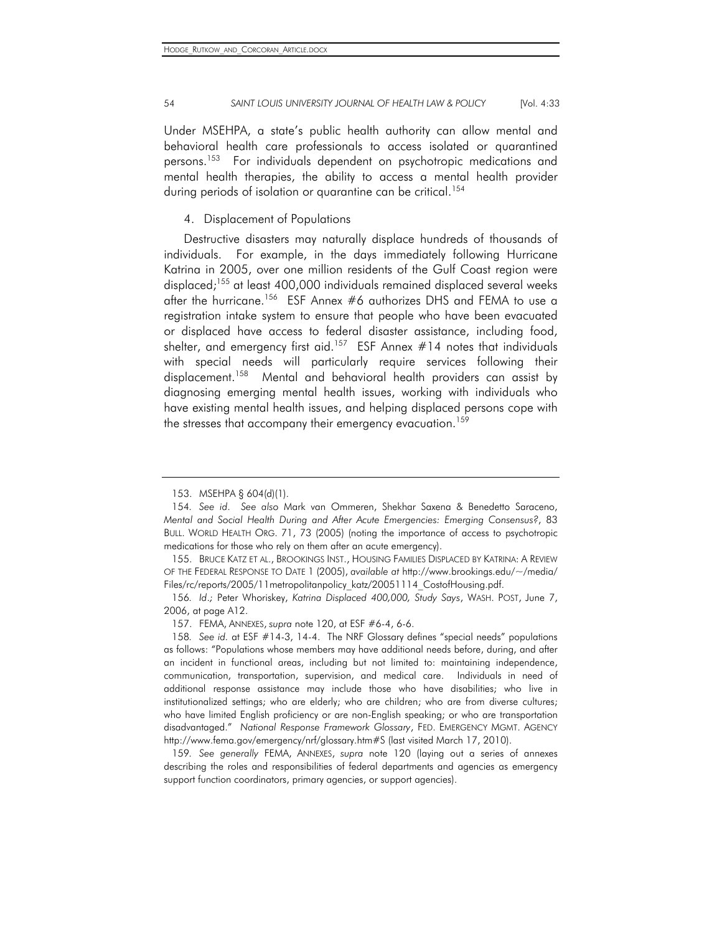Under MSEHPA, a state's public health authority can allow mental and behavioral health care professionals to access isolated or quarantined persons.<sup>153</sup> For individuals dependent on psychotropic medications and mental health therapies, the ability to access a mental health provider during periods of isolation or quarantine can be critical.<sup>154</sup>

# 4. Displacement of Populations

Destructive disasters may naturally displace hundreds of thousands of individuals. For example, in the days immediately following Hurricane Katrina in 2005, over one million residents of the Gulf Coast region were displaced;<sup>155</sup> at least 400,000 individuals remained displaced several weeks after the hurricane.<sup>156</sup> ESF Annex  $#6$  authorizes DHS and FEMA to use a registration intake system to ensure that people who have been evacuated or displaced have access to federal disaster assistance, including food, shelter, and emergency first aid.<sup>157</sup> ESF Annex  $#14$  notes that individuals with special needs will particularly require services following their displacement.<sup>158</sup> Mental and behavioral health providers can assist by diagnosing emerging mental health issues, working with individuals who have existing mental health issues, and helping displaced persons cope with the stresses that accompany their emergency evacuation.<sup>159</sup>

159*. See generally* FEMA, ANNEXES, *supra* note 120 (laying out a series of annexes describing the roles and responsibilities of federal departments and agencies as emergency support function coordinators, primary agencies, or support agencies).

 <sup>153.</sup> MSEHPA § 604(d)(1).

<sup>154</sup>*. See id*. *See also* Mark van Ommeren, Shekhar Saxena & Benedetto Saraceno, *Mental and Social Health During and After Acute Emergencies: Emerging Consensus?*, 83 BULL. WORLD HEALTH ORG. 71, 73 (2005) (noting the importance of access to psychotropic medications for those who rely on them after an acute emergency).

 <sup>155.</sup> BRUCE KATZ ET AL., BROOKINGS INST., HOUSING FAMILIES DISPLACED BY KATRINA: A REVIEW OF THE FEDERAL RESPONSE TO DATE 1 (2005), *available at* http://www.brookings.edu/~/media/ Files/rc/reports/2005/11metropolitanpolicy katz/20051114 CostofHousing.pdf.

<sup>156</sup>*. Id*.*;* Peter Whoriskey, *Katrina Displaced 400,000, Study Says*, WASH. POST, June 7, 2006, at page A12.

 <sup>157.</sup> FEMA, ANNEXES, *supra* note 120, at ESF #6-4, 6-6.

<sup>158</sup>*. See id.* at ESF #14-3, 14-4. The NRF Glossary defines "special needs" populations as follows: "Populations whose members may have additional needs before, during, and after an incident in functional areas, including but not limited to: maintaining independence, communication, transportation, supervision, and medical care. Individuals in need of additional response assistance may include those who have disabilities; who live in institutionalized settings; who are elderly; who are children; who are from diverse cultures; who have limited English proficiency or are non-English speaking; or who are transportation disadvantaged." *National Response Framework Glossary*, FED. EMERGENCY MGMT. AGENCY http://www.fema.gov/emergency/nrf/glossary.htm#S (last visited March 17, 2010).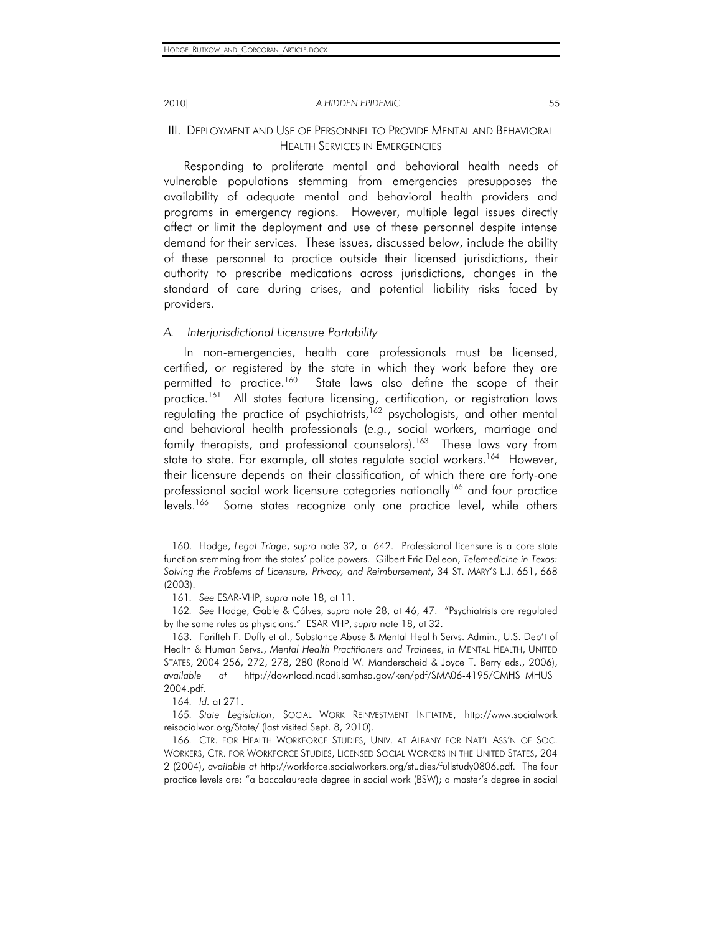# III. DEPLOYMENT AND USE OF PERSONNEL TO PROVIDE MENTAL AND BEHAVIORAL HEALTH SERVICES IN EMERGENCIES

Responding to proliferate mental and behavioral health needs of vulnerable populations stemming from emergencies presupposes the availability of adequate mental and behavioral health providers and programs in emergency regions. However, multiple legal issues directly affect or limit the deployment and use of these personnel despite intense demand for their services. These issues, discussed below, include the ability of these personnel to practice outside their licensed jurisdictions, their authority to prescribe medications across jurisdictions, changes in the standard of care during crises, and potential liability risks faced by providers.

### *A. Interjurisdictional Licensure Portability*

In non-emergencies, health care professionals must be licensed, certified, or registered by the state in which they work before they are permitted to practice.<sup>160</sup> State laws also define the scope of their practice.<sup>161</sup> All states feature licensing, certification, or registration laws regulating the practice of psychiatrists,<sup>162</sup> psychologists, and other mental and behavioral health professionals (*e.g.*, social workers, marriage and family therapists, and professional counselors).<sup>163</sup> These laws vary from state to state. For example, all states regulate social workers.<sup>164</sup> However, their licensure depends on their classification, of which there are forty-one professional social work licensure categories nationally<sup>165</sup> and four practice levels.<sup>166</sup> Some states recognize only one practice level, while others

 <sup>160.</sup> Hodge, *Legal Triage*, *supra* note 32, at 642. Professional licensure is a core state function stemming from the states' police powers. Gilbert Eric DeLeon, *Telemedicine in Texas: Solving the Problems of Licensure, Privacy, and Reimbursement*, 34 ST. MARY'S L.J. 651, 668 (2003).

<sup>161</sup>*. See* ESAR-VHP, *supra* note 18, at 11.

<sup>162</sup>*. See* Hodge, Gable & Cálves, *supra* note 28, at 46, 47. "Psychiatrists are regulated by the same rules as physicians." ESAR-VHP, *supra* note 18, at 32.

 <sup>163.</sup> Farifteh F. Duffy et al., Substance Abuse & Mental Health Servs. Admin., U.S. Dep't of Health & Human Servs., *Mental Health Practitioners and Trainees*, *in* MENTAL HEALTH, UNITED STATES, 2004 256, 272, 278, 280 (Ronald W. Manderscheid & Joyce T. Berry eds., 2006), *available at* http://download.ncadi.samhsa.gov/ken/pdf/SMA06-4195/CMHS\_MHUS\_ 2004.pdf.

<sup>164</sup>*. Id.* at 271.

<sup>165</sup>*. State Legislation*, SOCIAL WORK REINVESTMENT INITIATIVE, http://www.socialwork reisocialwor.org/State/ (last visited Sept. 8, 2010).

<sup>166</sup>*.* CTR. FOR HEALTH WORKFORCE STUDIES, UNIV. AT ALBANY FOR NAT'L ASS'N OF SOC. WORKERS, CTR. FOR WORKFORCE STUDIES, LICENSED SOCIAL WORKERS IN THE UNITED STATES, 204 2 (2004), *available at* http://workforce.socialworkers.org/studies/fullstudy0806.pdf. The four practice levels are: "a baccalaureate degree in social work (BSW); a master's degree in social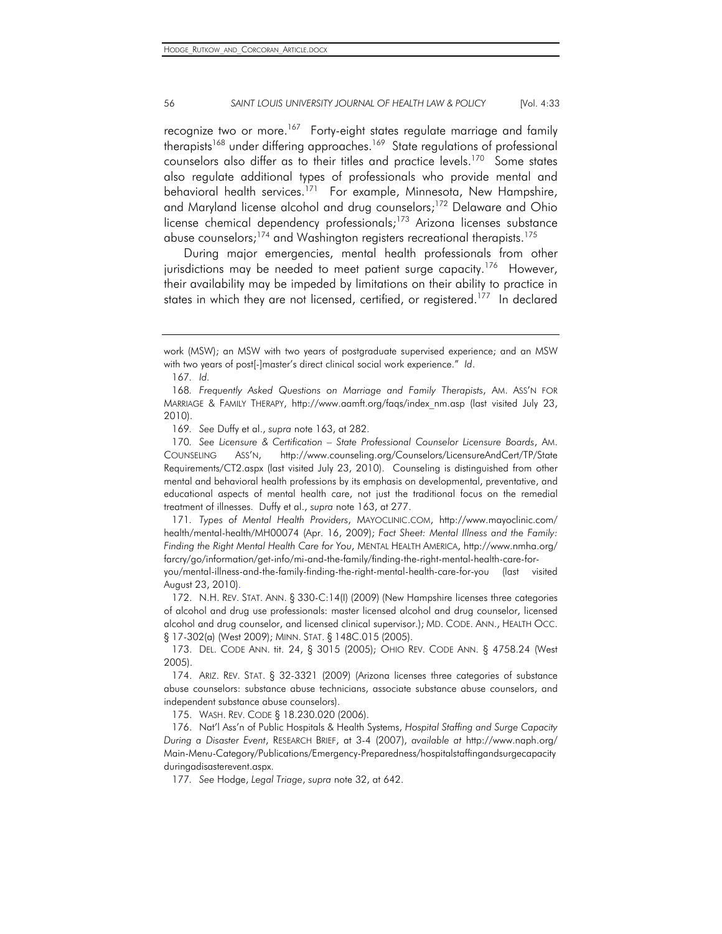recognize two or more.<sup>167</sup> Forty-eight states regulate marriage and family therapists<sup>168</sup> under differing approaches.<sup>169</sup> State regulations of professional counselors also differ as to their titles and practice levels.<sup>170</sup> Some states also regulate additional types of professionals who provide mental and behavioral health services.<sup>171</sup> For example, Minnesota, New Hampshire, and Maryland license alcohol and drug counselors;<sup>172</sup> Delaware and Ohio license chemical dependency professionals;<sup>173</sup> Arizona licenses substance abuse counselors;<sup>174</sup> and Washington registers recreational therapists.<sup>175</sup>

During major emergencies, mental health professionals from other jurisdictions may be needed to meet patient surge capacity.<sup>176</sup> However, their availability may be impeded by limitations on their ability to practice in states in which they are not licensed, certified, or registered.<sup>177</sup> In declared

169*. See* Duffy et al., *supra* note 163, at 282.

170*. See Licensure & Certification – State Professional Counselor Licensure Boards*, AM. COUNSELING ASS'N, http://www.counseling.org/Counselors/LicensureAndCert/TP/State Requirements/CT2.aspx (last visited July 23, 2010). Counseling is distinguished from other mental and behavioral health professions by its emphasis on developmental, preventative, and educational aspects of mental health care, not just the traditional focus on the remedial treatment of illnesses. Duffy et al., *supra* note 163, at 277.

171*. Types of Mental Health Providers*, MAYOCLINIC.COM, http://www.mayoclinic.com/ health/mental-health/MH00074 (Apr. 16, 2009); *Fact Sheet: Mental Illness and the Family: Finding the Right Mental Health Care for You*, MENTAL HEALTH AMERICA, http://www.nmha.org/ farcry/go/information/get-info/mi-and-the-family/finding-the-right-mental-health-care-for-

you/mental-illness-and-the-family-finding-the-right-mental-health-care-for-you (last visited August 23, 2010).

 172. N.H. REV. STAT. ANN. § 330-C:14(I) (2009) (New Hampshire licenses three categories of alcohol and drug use professionals: master licensed alcohol and drug counselor, licensed alcohol and drug counselor, and licensed clinical supervisor.); MD. CODE. ANN., HEALTH OCC. § 17-302(a) (West 2009); MINN. STAT. § 148C.015 (2005).

175. WASH. REV. CODE § 18.230.020 (2006).

 176. Nat'l Ass'n of Public Hospitals & Health Systems, *Hospital Staffing and Surge Capacity During a Disaster Event*, RESEARCH BRIEF, at 3-4 (2007), *available at* http://www.naph.org/ Main-Menu-Category/Publications/Emergency-Preparedness/hospitalstaffingandsurgecapacity duringadisasterevent.aspx.

177*. See* Hodge, *Legal Triage*, *supra* note 32, at 642.

work (MSW); an MSW with two years of postgraduate supervised experience; and an MSW with two years of post[-]master's direct clinical social work experience." *Id*.

<sup>167</sup>*. Id.*

<sup>168</sup>*. Frequently Asked Questions on Marriage and Family Therapists*, AM. ASS'N FOR MARRIAGE & FAMILY THERAPY, http://www.aamft.org/faqs/index\_nm.asp (last visited July 23, 2010).

 <sup>173.</sup> DEL. CODE ANN. tit. 24, § 3015 (2005); OHIO REV. CODE ANN. § 4758.24 (West 2005).

 <sup>174.</sup> ARIZ. REV. STAT. § 32-3321 (2009) (Arizona licenses three categories of substance abuse counselors: substance abuse technicians, associate substance abuse counselors, and independent substance abuse counselors).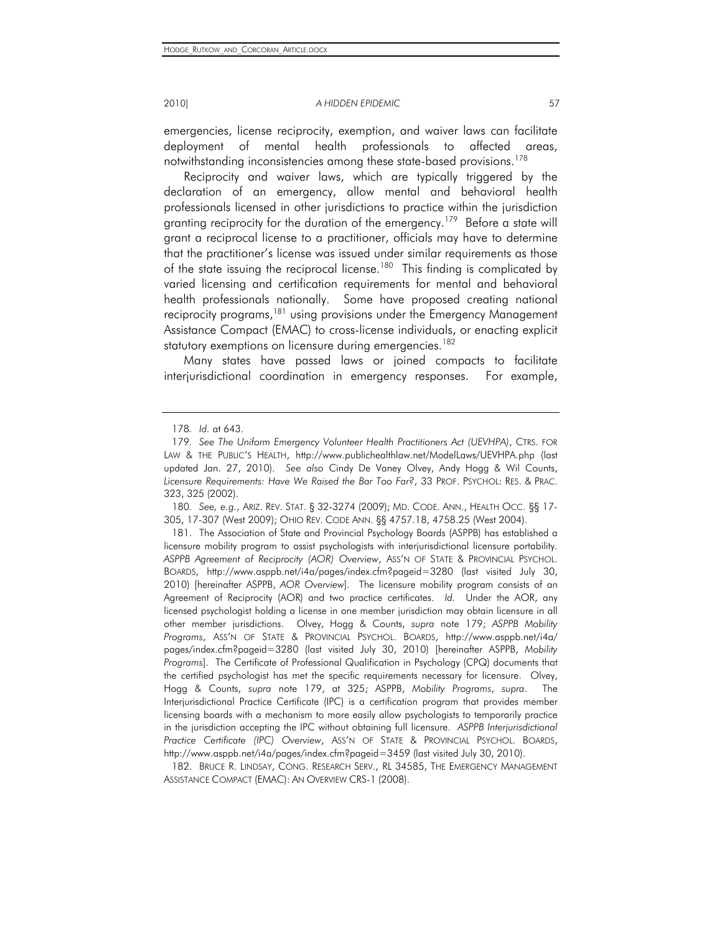emergencies, license reciprocity, exemption, and waiver laws can facilitate deployment of mental health professionals to affected areas, notwithstanding inconsistencies among these state-based provisions.<sup>178</sup>

Reciprocity and waiver laws, which are typically triggered by the declaration of an emergency, allow mental and behavioral health professionals licensed in other jurisdictions to practice within the jurisdiction granting reciprocity for the duration of the emergency.<sup>179</sup> Before a state will grant a reciprocal license to a practitioner, officials may have to determine that the practitioner's license was issued under similar requirements as those of the state issuing the reciprocal license.<sup>180</sup> This finding is complicated by varied licensing and certification requirements for mental and behavioral health professionals nationally. Some have proposed creating national reciprocity programs,<sup>181</sup> using provisions under the Emergency Management Assistance Compact (EMAC) to cross-license individuals, or enacting explicit statutory exemptions on licensure during emergencies.<sup>182</sup>

Many states have passed laws or joined compacts to facilitate interjurisdictional coordination in emergency responses. For example,

 182. BRUCE R. LINDSAY, CONG. RESEARCH SERV., RL 34585, THE EMERGENCY MANAGEMENT ASSISTANCE COMPACT (EMAC): AN OVERVIEW CRS-1 (2008).

<sup>178</sup>*. Id.* at 643.

<sup>179</sup>*. See The Uniform Emergency Volunteer Health Practitioners Act (UEVHPA)*, CTRS. FOR LAW & THE PUBLIC'S HEALTH, http://www.publichealthlaw.net/ModelLaws/UEVHPA.php (last updated Jan. 27, 2010). *See also* Cindy De Vaney Olvey, Andy Hogg & Wil Counts, *Licensure Requirements: Have We Raised the Bar Too Far?*, 33 PROF. PSYCHOL: RES. & PRAC. 323, 325 (2002).

<sup>180</sup>*. See, e.g.*, ARIZ. REV. STAT. § 32-3274 (2009); MD. CODE. ANN., HEALTH OCC. §§ 17- 305, 17-307 (West 2009); OHIO REV. CODE ANN. §§ 4757.18, 4758.25 (West 2004).

 <sup>181.</sup> The Association of State and Provincial Psychology Boards (ASPPB) has established a licensure mobility program to assist psychologists with interjurisdictional licensure portability. *ASPPB Agreement of Reciprocity (AOR) Overview*, ASS'N OF STATE & PROVINCIAL PSYCHOL. BOARDS, http://www.asppb.net/i4a/pages/index.cfm?pageid=3280 (last visited July 30, 2010) [hereinafter ASPPB, *AOR Overview*]. The licensure mobility program consists of an Agreement of Reciprocity (AOR) and two practice certificates. *Id.* Under the AOR, any licensed psychologist holding a license in one member jurisdiction may obtain licensure in all other member jurisdictions. Olvey, Hogg & Counts, *supra* note 179; *ASPPB Mobility Programs*, ASS'N OF STATE & PROVINCIAL PSYCHOL. BOARDS, http://www.asppb.net/i4a/ pages/index.cfm?pageid=3280 (last visited July 30, 2010) [hereinafter ASPPB, *Mobility Programs*]. The Certificate of Professional Qualification in Psychology (CPQ) documents that the certified psychologist has met the specific requirements necessary for licensure. Olvey, Hogg & Counts, *supra* note 179, at 325; ASPPB, *Mobility Programs*, *supra*. The Interjurisdictional Practice Certificate (IPC) is a certification program that provides member licensing boards with a mechanism to more easily allow psychologists to temporarily practice in the jurisdiction accepting the IPC without obtaining full licensure. *ASPPB Interjurisdictional Practice Certificate (IPC) Overview*, ASS'N OF STATE & PROVINCIAL PSYCHOL. BOARDS, http://www.asppb.net/i4a/pages/index.cfm?pageid=3459 (last visited July 30, 2010).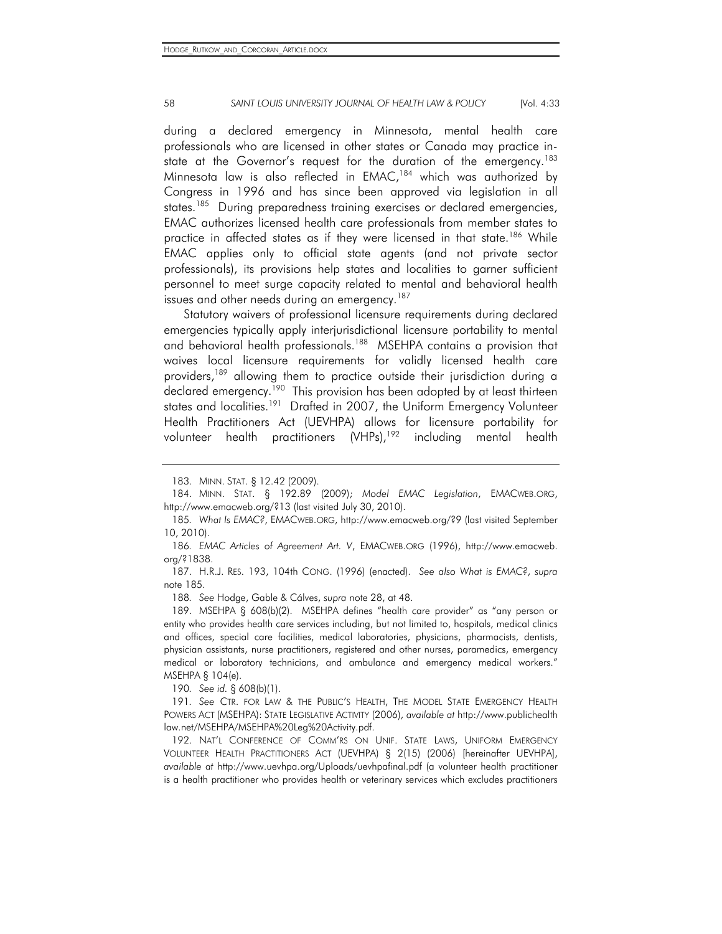during a declared emergency in Minnesota, mental health care professionals who are licensed in other states or Canada may practice instate at the Governor's request for the duration of the emergency.<sup>183</sup> Minnesota law is also reflected in EMAC,<sup>184</sup> which was authorized by Congress in 1996 and has since been approved via legislation in all states.<sup>185</sup> During preparedness training exercises or declared emergencies, EMAC authorizes licensed health care professionals from member states to practice in affected states as if they were licensed in that state.<sup>186</sup> While EMAC applies only to official state agents (and not private sector professionals), its provisions help states and localities to garner sufficient personnel to meet surge capacity related to mental and behavioral health issues and other needs during an emergency.<sup>187</sup>

Statutory waivers of professional licensure requirements during declared emergencies typically apply interjurisdictional licensure portability to mental and behavioral health professionals.<sup>188</sup> MSEHPA contains a provision that waives local licensure requirements for validly licensed health care providers,<sup>189</sup> allowing them to practice outside their jurisdiction during a declared emergency.<sup>190</sup> This provision has been adopted by at least thirteen states and localities.<sup>191</sup> Drafted in 2007, the Uniform Emergency Volunteer Health Practitioners Act (UEVHPA) allows for licensure portability for volunteer health practitioners (VHPs),<sup>192</sup> including mental health

186*. EMAC Articles of Agreement Art. V*, EMACWEB.ORG (1996), http://www.emacweb. org/?1838.

 187. H.R.J. RES. 193, 104th CONG. (1996) (enacted). *See also What is EMAC?*, *supra*  note 185.

188*. See* Hodge, Gable & Cálves, *supra* note 28, at 48.

190*. See id.* § 608(b)(1).

 192. NAT'L CONFERENCE OF COMM'RS ON UNIF. STATE LAWS, UNIFORM EMERGENCY VOLUNTEER HEALTH PRACTITIONERS ACT (UEVHPA) § 2(15) (2006) [hereinafter UEVHPA], *available at* http://www.uevhpa.org/Uploads/uevhpafinal.pdf (a volunteer health practitioner is a health practitioner who provides health or veterinary services which excludes practitioners

 <sup>183.</sup> MINN. STAT. § 12.42 (2009).

 <sup>184.</sup> MINN. STAT. § 192.89 (2009); *Model EMAC Legislation*, EMACWEB.ORG, http://www.emacweb.org/?13 (last visited July 30, 2010).

<sup>185</sup>*. What Is EMAC?*, EMACWEB.ORG, http://www.emacweb.org/?9 (last visited September 10, 2010).

 <sup>189.</sup> MSEHPA § 608(b)(2). MSEHPA defines "health care provider" as "any person or entity who provides health care services including, but not limited to, hospitals, medical clinics and offices, special care facilities, medical laboratories, physicians, pharmacists, dentists, physician assistants, nurse practitioners, registered and other nurses, paramedics, emergency medical or laboratory technicians, and ambulance and emergency medical workers." MSEHPA § 104(e).

<sup>191</sup>*. See* CTR. FOR LAW & THE PUBLIC'S HEALTH, THE MODEL STATE EMERGENCY HEALTH POWERS ACT (MSEHPA): STATE LEGISLATIVE ACTIVITY (2006), *available at* http://www.publichealth law.net/MSEHPA/MSEHPA%20Leg%20Activity.pdf.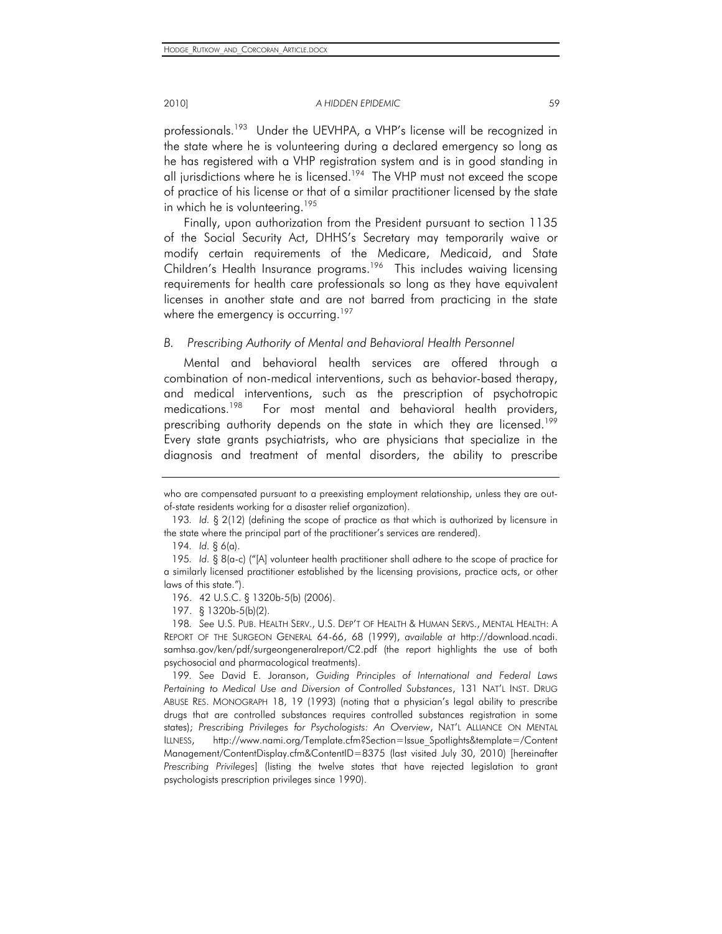professionals.<sup>193</sup> Under the UEVHPA, a VHP's license will be recognized in the state where he is volunteering during a declared emergency so long as he has registered with a VHP registration system and is in good standing in all jurisdictions where he is licensed.<sup>194</sup> The VHP must not exceed the scope of practice of his license or that of a similar practitioner licensed by the state in which he is volunteering.<sup>195</sup>

Finally, upon authorization from the President pursuant to section 1135 of the Social Security Act, DHHS's Secretary may temporarily waive or modify certain requirements of the Medicare, Medicaid, and State Children's Health Insurance programs.<sup>196</sup> This includes waiving licensing requirements for health care professionals so long as they have equivalent licenses in another state and are not barred from practicing in the state where the emergency is occurring.<sup>197</sup>

# **B.** Prescribing Authority of Mental and Behavioral Health Personnel

Mental and behavioral health services are offered through a combination of non-medical interventions, such as behavior-based therapy, and medical interventions, such as the prescription of psychotropic medications.<sup>198</sup> For most mental and behavioral health providers, prescribing authority depends on the state in which they are licensed.<sup>199</sup> Every state grants psychiatrists, who are physicians that specialize in the diagnosis and treatment of mental disorders, the ability to prescribe

who are compensated pursuant to a preexisting employment relationship, unless they are outof-state residents working for a disaster relief organization).

<sup>193</sup>*. Id.* § 2(12) (defining the scope of practice as that which is authorized by licensure in the state where the principal part of the practitioner's services are rendered).

<sup>194</sup>*. Id.* § 6(a).

<sup>195</sup>*. Id.* § 8(a-c) ("[A] volunteer health practitioner shall adhere to the scope of practice for a similarly licensed practitioner established by the licensing provisions, practice acts, or other laws of this state.").

 <sup>196. 42</sup> U.S.C. § 1320b-5(b) (2006).

 <sup>197. § 1320</sup>b-5(b)(2).

<sup>198</sup>*. See* U.S. PUB. HEALTH SERV., U.S. DEP'T OF HEALTH & HUMAN SERVS., MENTAL HEALTH: A REPORT OF THE SURGEON GENERAL 64-66, 68 (1999), *available at* http://download.ncadi. samhsa.gov/ken/pdf/surgeongeneralreport/C2.pdf (the report highlights the use of both psychosocial and pharmacological treatments).

<sup>199</sup>*. See* David E. Joranson, *Guiding Principles of International and Federal Laws Pertaining to Medical Use and Diversion of Controlled Substances*, 131 NAT'L INST. DRUG ABUSE RES. MONOGRAPH 18, 19 (1993) (noting that a physician's legal ability to prescribe drugs that are controlled substances requires controlled substances registration in some states); *Prescribing Privileges for Psychologists: An Overview*, NAT'L ALLIANCE ON MENTAL ILLNESS, http://www.nami.org/Template.cfm?Section=Issue\_Spotlights&template=/Content Management/ContentDisplay.cfm&ContentID=8375 (last visited July 30, 2010) [hereinafter *Prescribing Privileges*] (listing the twelve states that have rejected legislation to grant psychologists prescription privileges since 1990).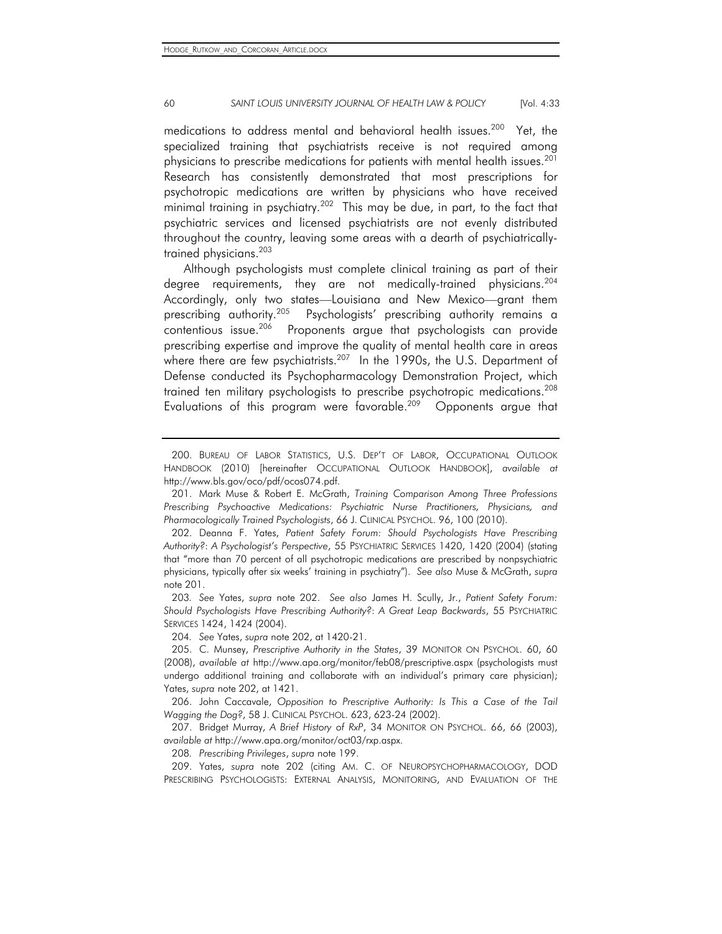medications to address mental and behavioral health issues.<sup>200</sup> Yet, the specialized training that psychiatrists receive is not required among physicians to prescribe medications for patients with mental health issues.<sup>201</sup> Research has consistently demonstrated that most prescriptions for psychotropic medications are written by physicians who have received minimal training in psychiatry.<sup>202</sup> This may be due, in part, to the fact that psychiatric services and licensed psychiatrists are not evenly distributed throughout the country, leaving some areas with a dearth of psychiatricallytrained physicians.<sup>203</sup>

Although psychologists must complete clinical training as part of their degree requirements, they are not medically-trained physicians.204 Accordingly, only two states—Louisiana and New Mexico—grant them prescribing authority.205 Psychologists' prescribing authority remains a contentious issue.<sup>206</sup> Proponents argue that psychologists can provide prescribing expertise and improve the quality of mental health care in areas where there are few psychiatrists.<sup>207</sup> In the 1990s, the U.S. Department of Defense conducted its Psychopharmacology Demonstration Project, which trained ten military psychologists to prescribe psychotropic medications.<sup>208</sup> Evaluations of this program were favorable.<sup>209</sup> Opponents argue that

203*. See* Yates, *supra* note 202. *See also* James H. Scully, Jr., *Patient Safety Forum: Should Psychologists Have Prescribing Authority?*: *A Great Leap Backwards*, 55 PSYCHIATRIC SERVICES 1424, 1424 (2004).

204*. See* Yates, *supra* note 202, at 1420-21.

 206. John Caccavale, *Opposition to Prescriptive Authority: Is This a Case of the Tail Wagging the Dog?*, 58 J. CLINICAL PSYCHOL. 623, 623-24 (2002).

 207. Bridget Murray, *A Brief History of RxP*, 34 MONITOR ON PSYCHOL. 66, 66 (2003), *available at* http://www.apa.org/monitor/oct03/rxp.aspx.

208*. Prescribing Privileges*, *supra* note 199.

 209. Yates, *supra* note 202 (citing AM. C. OF NEUROPSYCHOPHARMACOLOGY, DOD PRESCRIBING PSYCHOLOGISTS: EXTERNAL ANALYSIS, MONITORING, AND EVALUATION OF THE

 <sup>200.</sup> BUREAU OF LABOR STATISTICS, U.S. DEP'T OF LABOR, OCCUPATIONAL OUTLOOK HANDBOOK (2010) [hereinafter OCCUPATIONAL OUTLOOK HANDBOOK], *available at*  http://www.bls.gov/oco/pdf/ocos074.pdf.

 <sup>201.</sup> Mark Muse & Robert E. McGrath, *Training Comparison Among Three Professions Prescribing Psychoactive Medications: Psychiatric Nurse Practitioners, Physicians, and Pharmacologically Trained Psychologists*, 66 J. CLINICAL PSYCHOL. 96, 100 (2010).

 <sup>202.</sup> Deanna F. Yates, *Patient Safety Forum: Should Psychologists Have Prescribing Authority?*: *A Psychologist's Perspective*, 55 PSYCHIATRIC SERVICES 1420, 1420 (2004) (stating that "more than 70 percent of all psychotropic medications are prescribed by nonpsychiatric physicians, typically after six weeks' training in psychiatry"). *See also* Muse & McGrath, *supra* note 201.

 <sup>205.</sup> C. Munsey, *Prescriptive Authority in the States*, 39 MONITOR ON PSYCHOL. 60, 60 (2008), *available at* http://www.apa.org/monitor/feb08/prescriptive.aspx (psychologists must undergo additional training and collaborate with an individual's primary care physician); Yates, *supra* note 202, at 1421.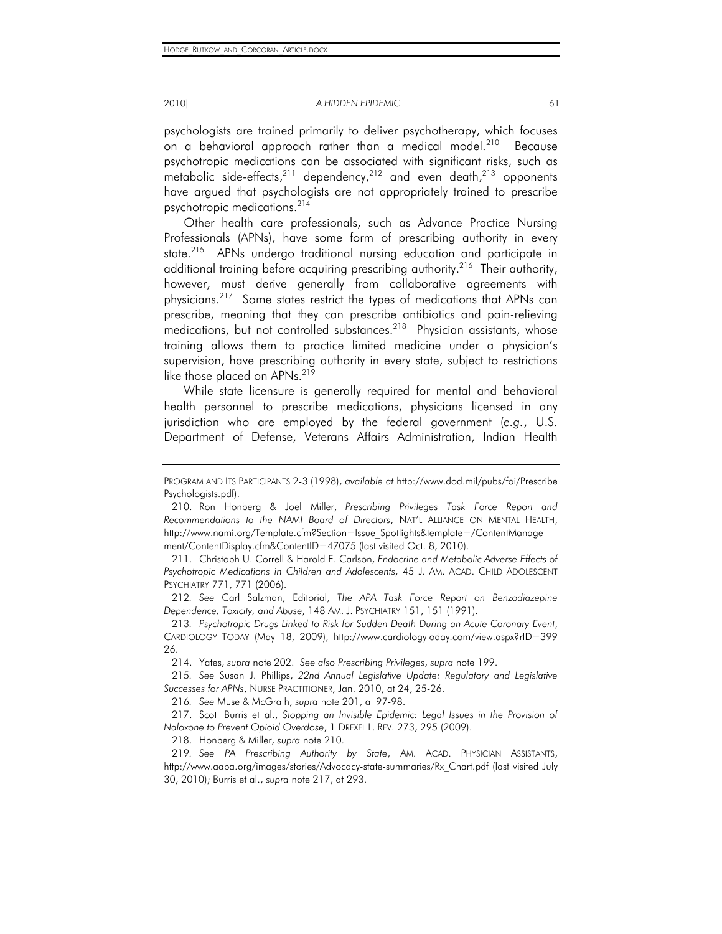psychologists are trained primarily to deliver psychotherapy, which focuses on a behavioral approach rather than a medical model.<sup>210</sup> Because psychotropic medications can be associated with significant risks, such as metabolic side-effects,  $2^{11}$  dependency,  $2^{12}$  and even death,  $2^{13}$  opponents have argued that psychologists are not appropriately trained to prescribe psychotropic medications.214

Other health care professionals, such as Advance Practice Nursing Professionals (APNs), have some form of prescribing authority in every state.<sup>215</sup> APNs undergo traditional nursing education and participate in additional training before acquiring prescribing authority.<sup>216</sup> Their authority, however, must derive generally from collaborative agreements with physicians.<sup>217</sup> Some states restrict the types of medications that APNs can prescribe, meaning that they can prescribe antibiotics and pain-relieving medications, but not controlled substances.<sup>218</sup> Physician assistants, whose training allows them to practice limited medicine under a physician's supervision, have prescribing authority in every state, subject to restrictions like those placed on APNs.<sup>219</sup>

While state licensure is generally required for mental and behavioral health personnel to prescribe medications, physicians licensed in any jurisdiction who are employed by the federal government (*e.g.*, U.S. Department of Defense, Veterans Affairs Administration, Indian Health

214. Yates, *supra* note 202. *See also Prescribing Privileges*, *supra* note 199.

215*. See* Susan J. Phillips, *22nd Annual Legislative Update: Regulatory and Legislative Successes for APNs*, NURSE PRACTITIONER, Jan. 2010, at 24, 25-26.

216*. See* Muse & McGrath, *supra* note 201, at 97-98.

 217. Scott Burris et al., *Stopping an Invisible Epidemic: Legal Issues in the Provision of Naloxone to Prevent Opioid Overdose*, 1 DREXEL L. REV. 273, 295 (2009).

218. Honberg & Miller, *supra* note 210.

PROGRAM AND ITS PARTICIPANTS 2-3 (1998), *available at* http://www.dod.mil/pubs/foi/Prescribe Psychologists.pdf).

 <sup>210.</sup> Ron Honberg & Joel Miller, *Prescribing Privileges Task Force Report and Recommendations to the NAMI Board of Directors*, NAT'L ALLIANCE ON MENTAL HEALTH, http://www.nami.org/Template.cfm?Section=Issue\_Spotlights&template=/ContentManage ment/ContentDisplay.cfm&ContentID=47075 (last visited Oct. 8, 2010).

 <sup>211.</sup> Christoph U. Correll & Harold E. Carlson, *Endocrine and Metabolic Adverse Effects of Psychotropic Medications in Children and Adolescents*, 45 J. AM. ACAD. CHILD ADOLESCENT PSYCHIATRY 771, 771 (2006).

<sup>212</sup>*. See* Carl Salzman, Editorial, *The APA Task Force Report on Benzodiazepine Dependence, Toxicity, and Abuse*, 148 AM. J. PSYCHIATRY 151, 151 (1991).

<sup>213</sup>*. Psychotropic Drugs Linked to Risk for Sudden Death During an Acute Coronary Event*, CARDIOLOGY TODAY (May 18, 2009), http://www.cardiologytoday.com/view.aspx?rID=399 26.

<sup>219</sup>*. See PA Prescribing Authority by State*, AM. ACAD. PHYSICIAN ASSISTANTS, http://www.aapa.org/images/stories/Advocacy-state-summaries/Rx\_Chart.pdf (last visited July 30, 2010); Burris et al., *supra* note 217, at 293.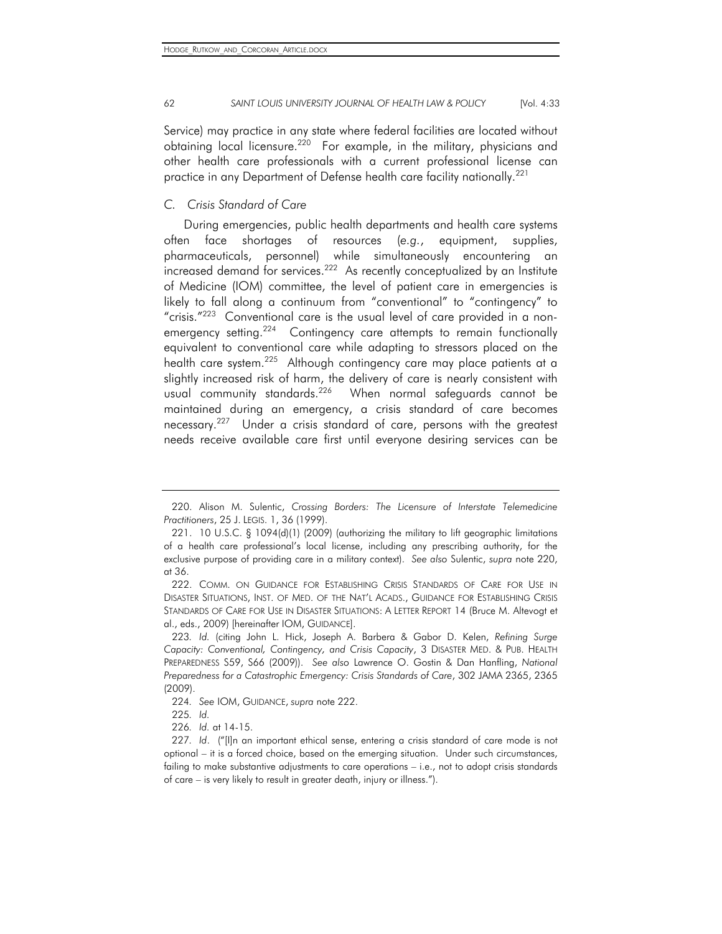Service) may practice in any state where federal facilities are located without obtaining local licensure.<sup>220</sup> For example, in the military, physicians and other health care professionals with a current professional license can practice in any Department of Defense health care facility nationally.<sup>221</sup>

# *C. Crisis Standard of Care*

During emergencies, public health departments and health care systems often face shortages of resources (*e.g.*, equipment, supplies, pharmaceuticals, personnel) while simultaneously encountering an increased demand for services.<sup>222</sup> As recently conceptualized by an Institute of Medicine (IOM) committee, the level of patient care in emergencies is likely to fall along a continuum from "conventional" to "contingency" to "crisis."223 Conventional care is the usual level of care provided in a nonemergency setting.<sup>224</sup> Contingency care attempts to remain functionally equivalent to conventional care while adapting to stressors placed on the health care system.<sup>225</sup> Although contingency care may place patients at a slightly increased risk of harm, the delivery of care is nearly consistent with usual community standards.<sup>226</sup> When normal safeguards cannot be maintained during an emergency, a crisis standard of care becomes necessary.<sup>227</sup> Under a crisis standard of care, persons with the greatest needs receive available care first until everyone desiring services can be

 <sup>220.</sup> Alison M. Sulentic, *Crossing Borders: The Licensure of Interstate Telemedicine Practitioners*, 25 J. LEGIS. 1, 36 (1999).

 <sup>221. 10</sup> U.S.C. § 1094(d)(1) (2009) (authorizing the military to lift geographic limitations of a health care professional's local license, including any prescribing authority, for the exclusive purpose of providing care in a military context). *See also* Sulentic, *supra* note 220, at 36.

 <sup>222.</sup> COMM. ON GUIDANCE FOR ESTABLISHING CRISIS STANDARDS OF CARE FOR USE IN DISASTER SITUATIONS, INST. OF MED. OF THE NAT'L ACADS., GUIDANCE FOR ESTABLISHING CRISIS STANDARDS OF CARE FOR USE IN DISASTER SITUATIONS: A LETTER REPORT 14 (Bruce M. Altevogt et al., eds., 2009) [hereinafter IOM, GUIDANCE].

<sup>223</sup>*. Id.* (citing John L. Hick, Joseph A. Barbera & Gabor D. Kelen, *Refining Surge Capacity: Conventional, Contingency, and Crisis Capacity*, 3 DISASTER MED. & PUB. HEALTH PREPAREDNESS S59, S66 (2009)). *See also* Lawrence O. Gostin & Dan Hanfling, *National Preparedness for a Catastrophic Emergency: Crisis Standards of Care*, 302 JAMA 2365, 2365 (2009).

<sup>224</sup>*. See* IOM, GUIDANCE, *supra* note 222.

<sup>225</sup>*. Id.*

<sup>226</sup>*. Id.* at 14-15.

<sup>227</sup>*. Id*. ("[I]n an important ethical sense, entering a crisis standard of care mode is not optional – it is a forced choice, based on the emerging situation. Under such circumstances, failing to make substantive adjustments to care operations – i.e., not to adopt crisis standards of care – is very likely to result in greater death, injury or illness.").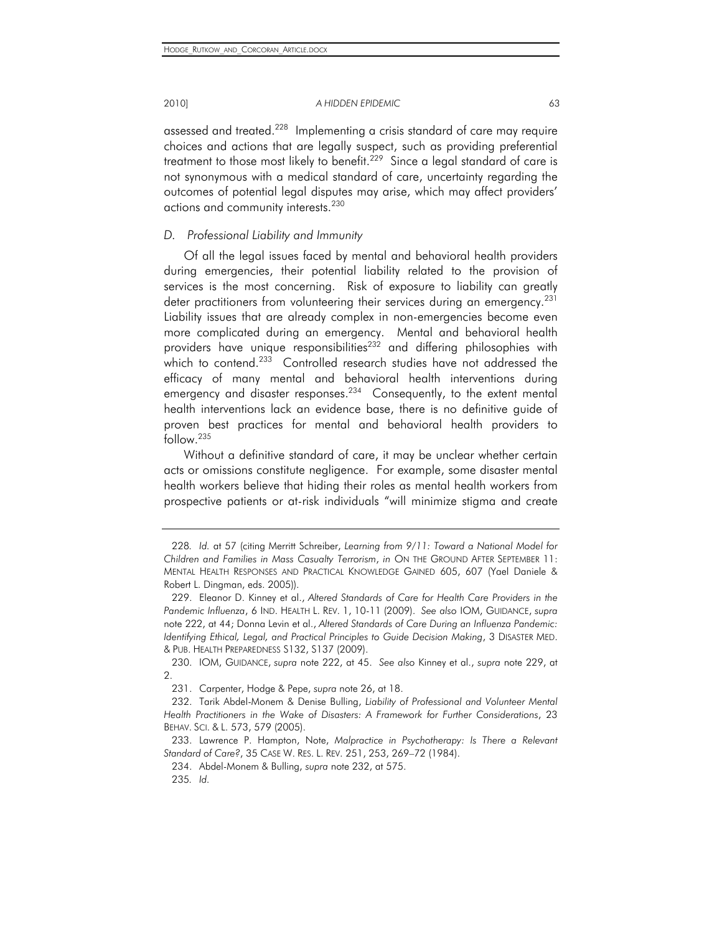assessed and treated.<sup>228</sup> Implementing a crisis standard of care may require choices and actions that are legally suspect, such as providing preferential treatment to those most likely to benefit.<sup>229</sup> Since a legal standard of care is not synonymous with a medical standard of care, uncertainty regarding the outcomes of potential legal disputes may arise, which may affect providers' actions and community interests.<sup>230</sup>

# *D. Professional Liability and Immunity*

Of all the legal issues faced by mental and behavioral health providers during emergencies, their potential liability related to the provision of services is the most concerning. Risk of exposure to liability can greatly deter practitioners from volunteering their services during an emergency.<sup>231</sup> Liability issues that are already complex in non-emergencies become even more complicated during an emergency. Mental and behavioral health providers have unique responsibilities<sup>232</sup> and differing philosophies with which to contend.<sup>233</sup> Controlled research studies have not addressed the efficacy of many mental and behavioral health interventions during emergency and disaster responses.<sup>234</sup> Consequently, to the extent mental health interventions lack an evidence base, there is no definitive guide of proven best practices for mental and behavioral health providers to follow.235

Without a definitive standard of care, it may be unclear whether certain acts or omissions constitute negligence. For example, some disaster mental health workers believe that hiding their roles as mental health workers from prospective patients or at-risk individuals "will minimize stigma and create

235*. Id.*

<sup>228</sup>*. Id.* at 57 (citing Merritt Schreiber, *Learning from 9/11: Toward a National Model for Children and Families in Mass Casualty Terrorism*, *in* ON THE GROUND AFTER SEPTEMBER 11: MENTAL HEALTH RESPONSES AND PRACTICAL KNOWLEDGE GAINED 605, 607 (Yael Daniele & Robert L. Dingman, eds. 2005)).

 <sup>229.</sup> Eleanor D. Kinney et al., *Altered Standards of Care for Health Care Providers in the Pandemic Influenza*, 6 IND. HEALTH L. REV. 1, 10-11 (2009). *See also* IOM, GUIDANCE, *supra* note 222, at 44; Donna Levin et al., *Altered Standards of Care During an Influenza Pandemic: Identifying Ethical, Legal, and Practical Principles to Guide Decision Making*, 3 DISASTER MED. & PUB. HEALTH PREPAREDNESS S132, S137 (2009).

 <sup>230.</sup> IOM, GUIDANCE, *supra* note 222, at 45. *See also* Kinney et al., *supra* note 229, at 2.

 <sup>231.</sup> Carpenter, Hodge & Pepe, *supra* note 26, at 18.

 <sup>232.</sup> Tarik Abdel-Monem & Denise Bulling, *Liability of Professional and Volunteer Mental Health Practitioners in the Wake of Disasters: A Framework for Further Considerations*, 23 BEHAV. SCI. & L. 573, 579 (2005).

 <sup>233.</sup> Lawrence P. Hampton, Note, *Malpractice in Psychotherapy: Is There a Relevant Standard of Care?*, 35 CASE W. RES. L. REV. 251, 253, 269–72 (1984).

 <sup>234.</sup> Abdel-Monem & Bulling, *supra* note 232, at 575.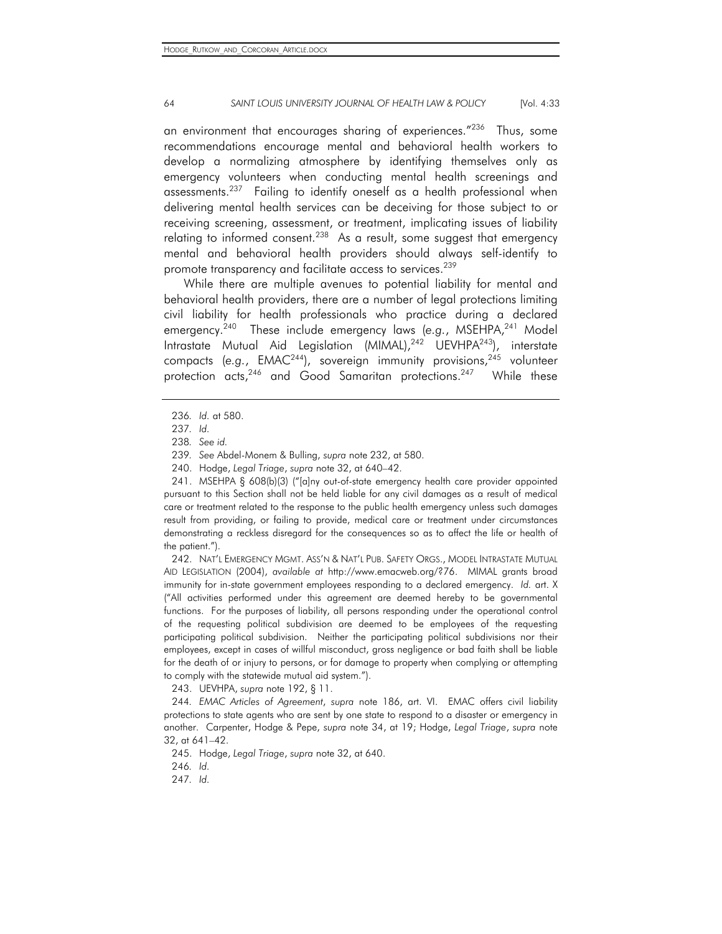HODGE\_RUTKOW\_AND\_CORCORAN\_ARTICLE.DOCX

# 64 *SAINT LOUIS UNIVERSITY JOURNAL OF HEALTH LAW & POLICY* [Vol. 4:33

an environment that encourages sharing of experiences."<sup>236</sup> Thus, some recommendations encourage mental and behavioral health workers to develop a normalizing atmosphere by identifying themselves only as emergency volunteers when conducting mental health screenings and assessments.<sup>237</sup> Failing to identify oneself as a health professional when delivering mental health services can be deceiving for those subject to or receiving screening, assessment, or treatment, implicating issues of liability relating to informed consent.<sup>238</sup> As a result, some suggest that emergency mental and behavioral health providers should always self-identify to promote transparency and facilitate access to services.<sup>239</sup>

While there are multiple avenues to potential liability for mental and behavioral health providers, there are a number of legal protections limiting civil liability for health professionals who practice during a declared emergency.<sup>240</sup> These include emergency laws (e.g., MSEHPA,<sup>241</sup> Model Intrastate Mutual Aid Legislation (MIMAL),<sup>242</sup> UEVHPA<sup>243</sup>), interstate compacts (e.g., EMAC<sup>244</sup>), sovereign immunity provisions,<sup>245</sup> volunteer protection acts,<sup>246</sup> and Good Samaritan protections.<sup>247</sup> While these

 241. MSEHPA § 608(b)(3) ("[a]ny out-of-state emergency health care provider appointed pursuant to this Section shall not be held liable for any civil damages as a result of medical care or treatment related to the response to the public health emergency unless such damages result from providing, or failing to provide, medical care or treatment under circumstances demonstrating a reckless disregard for the consequences so as to affect the life or health of the patient.").

 242. NAT'L EMERGENCY MGMT. ASS'N & NAT'L PUB. SAFETY ORGS., MODEL INTRASTATE MUTUAL AID LEGISLATION (2004), *available at* http://www.emacweb.org/?76. MIMAL grants broad immunity for in-state government employees responding to a declared emergency. *Id.* art. X ("All activities performed under this agreement are deemed hereby to be governmental functions. For the purposes of liability, all persons responding under the operational control of the requesting political subdivision are deemed to be employees of the requesting participating political subdivision. Neither the participating political subdivisions nor their employees, except in cases of willful misconduct, gross negligence or bad faith shall be liable for the death of or injury to persons, or for damage to property when complying or attempting to comply with the statewide mutual aid system.").

243. UEVHPA, *supra* note 192, § 11.

244*. EMAC Articles of Agreement*, *supra* note 186, art. VI. EMAC offers civil liability protections to state agents who are sent by one state to respond to a disaster or emergency in another. Carpenter, Hodge & Pepe, *supra* note 34, at 19; Hodge, *Legal Triage*, *supra* note 32, at 641–42.

245. Hodge, *Legal Triage*, *supra* note 32, at 640.

246*. Id.*

247*. Id.*

<sup>236</sup>*. Id.* at 580.

<sup>237</sup>*. Id.*

<sup>238</sup>*. See id.*

<sup>239</sup>*. See* Abdel-Monem & Bulling, *supra* note 232, at 580.

 <sup>240.</sup> Hodge, *Legal Triage*, *supra* note 32, at 640–42.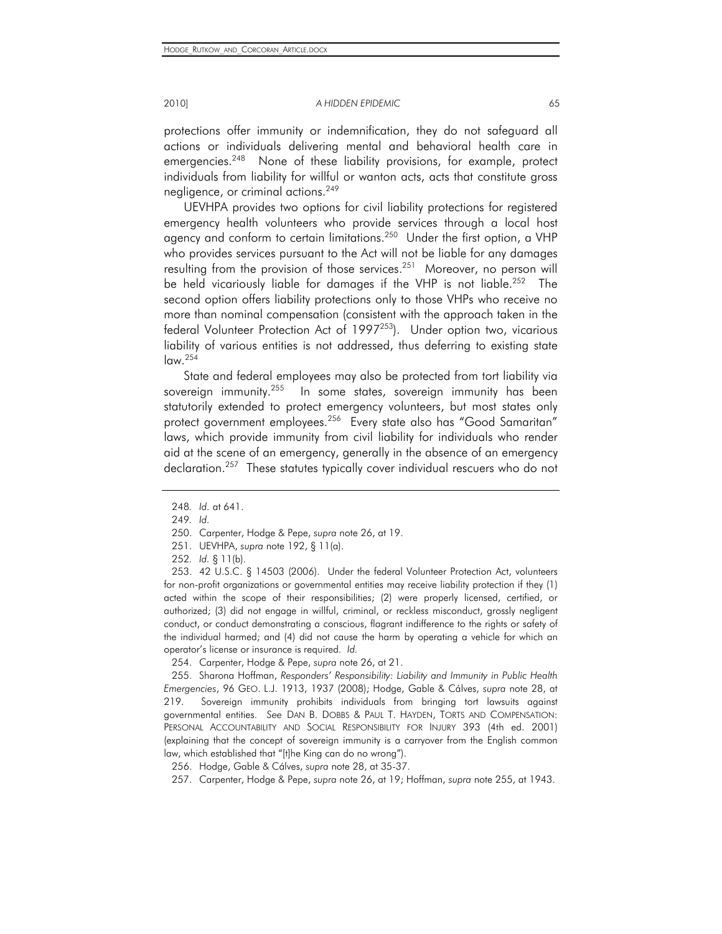protections offer immunity or indemnification, they do not safeguard all actions or individuals delivering mental and behavioral health care in emergencies.<sup>248</sup> None of these liability provisions, for example, protect individuals from liability for willful or wanton acts, acts that constitute gross negligence, or criminal actions.249

UEVHPA provides two options for civil liability protections for registered emergency health volunteers who provide services through a local host agency and conform to certain limitations.<sup>250</sup> Under the first option, a VHP who provides services pursuant to the Act will not be liable for any damages resulting from the provision of those services.<sup>251</sup> Moreover, no person will be held vicariously liable for damages if the VHP is not liable.<sup>252</sup> The second option offers liability protections only to those VHPs who receive no more than nominal compensation (consistent with the approach taken in the federal Volunteer Protection Act of 1997<sup>253</sup>). Under option two, vicarious liability of various entities is not addressed, thus deferring to existing state law.254

State and federal employees may also be protected from tort liability via sovereign immunity.<sup>255</sup> In some states, sovereign immunity has been statutorily extended to protect emergency volunteers, but most states only protect government employees.<sup>256</sup> Every state also has "Good Samaritan" laws, which provide immunity from civil liability for individuals who render aid at the scene of an emergency, generally in the absence of an emergency declaration.<sup>257</sup> These statutes typically cover individual rescuers who do not

<sup>248</sup>*. Id.* at 641.

<sup>249</sup>*. Id.*

 <sup>250.</sup> Carpenter, Hodge & Pepe, *supra* note 26, at 19.

 <sup>251.</sup> UEVHPA, *supra* note 192, § 11(a).

<sup>252</sup>*. Id.* § 11(b).

 <sup>253. 42</sup> U.S.C. § 14503 (2006). Under the federal Volunteer Protection Act, volunteers for non-profit organizations or governmental entities may receive liability protection if they (1) acted within the scope of their responsibilities; (2) were properly licensed, certified, or authorized; (3) did not engage in willful, criminal, or reckless misconduct, grossly negligent conduct, or conduct demonstrating a conscious, flagrant indifference to the rights or safety of the individual harmed; and (4) did not cause the harm by operating a vehicle for which an operator's license or insurance is required. *Id.*

 <sup>254.</sup> Carpenter, Hodge & Pepe, *supra* note 26, at 21.

 <sup>255.</sup> Sharona Hoffman, *Responders' Responsibility: Liability and Immunity in Public Health Emergencies*, 96 GEO. L.J. 1913, 1937 (2008); Hodge, Gable & Cálves, *supra* note 28, at 219. Sovereign immunity prohibits individuals from bringing tort lawsuits against governmental entities. *See* DAN B. DOBBS & PAUL T. HAYDEN, TORTS AND COMPENSATION: PERSONAL ACCOUNTABILITY AND SOCIAL RESPONSIBILITY FOR INJURY 393 (4th ed. 2001) (explaining that the concept of sovereign immunity is a carryover from the English common law, which established that "[t]he King can do no wrong").

 <sup>256.</sup> Hodge, Gable & Cálves, *supra* note 28, at 35-37.

 <sup>257.</sup> Carpenter, Hodge & Pepe, *supra* note 26, at 19; Hoffman, *supra* note 255, at 1943.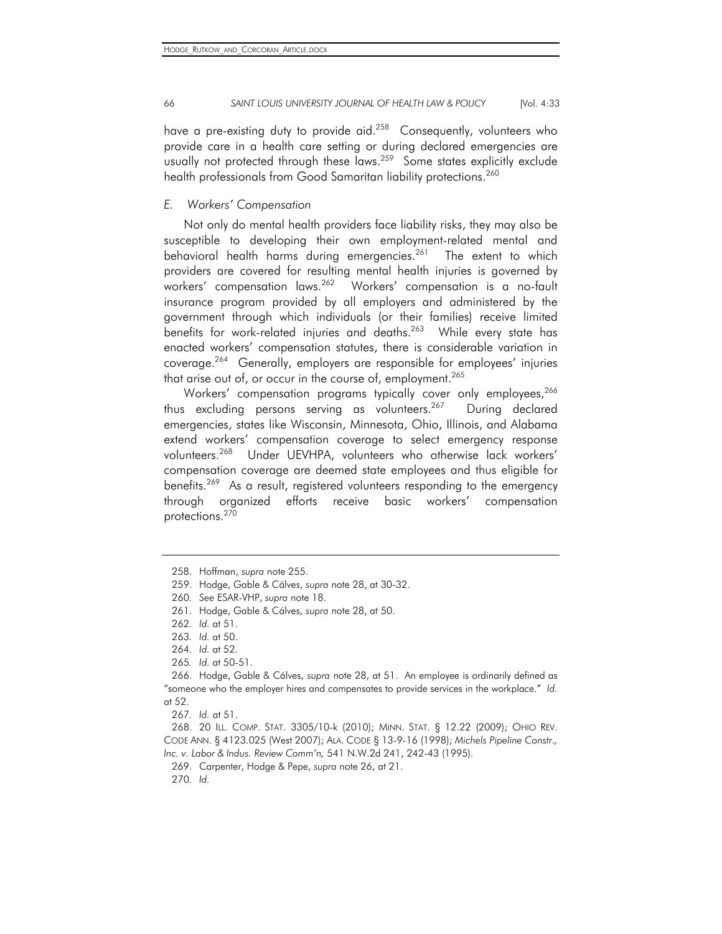have a pre-existing duty to provide aid.<sup>258</sup> Consequently, volunteers who provide care in a health care setting or during declared emergencies are usually not protected through these laws.<sup>259</sup> Some states explicitly exclude health professionals from Good Samaritan liability protections.<sup>260</sup>

# *E. Workers' Compensation*

Not only do mental health providers face liability risks, they may also be susceptible to developing their own employment-related mental and behavioral health harms during emergencies.<sup>261</sup> The extent to which providers are covered for resulting mental health injuries is governed by workers' compensation laws.<sup>262</sup> Workers' compensation is a no-fault insurance program provided by all employers and administered by the government through which individuals (or their families) receive limited benefits for work-related injuries and deaths.<sup>263</sup> While every state has enacted workers' compensation statutes, there is considerable variation in coverage.264 Generally, employers are responsible for employees' injuries that arise out of, or occur in the course of, employment.<sup>265</sup>

Workers' compensation programs typically cover only employees,<sup>266</sup> thus excluding persons serving as volunteers.<sup>267</sup> During declared emergencies, states like Wisconsin, Minnesota, Ohio, Illinois, and Alabama extend workers' compensation coverage to select emergency response volunteers.<sup>268</sup> Under UEVHPA, volunteers who otherwise lack workers' compensation coverage are deemed state employees and thus eligible for benefits.<sup>269</sup> As a result, registered volunteers responding to the emergency through organized efforts receive basic workers' compensation protections.270

270*. Id.*

 <sup>258.</sup> Hoffman, *supra* note 255.

 <sup>259.</sup> Hodge, Gable & Cálves, *supra* note 28, at 30-32.

<sup>260</sup>*. See* ESAR-VHP, *supra* note 18.

 <sup>261.</sup> Hodge, Gable & Cálves, *supra* note 28, at 50.

<sup>262</sup>*. Id.* at 51.

<sup>263</sup>*. Id.* at 50.

<sup>264</sup>*. Id.* at 52.

<sup>265</sup>*. Id.* at 50-51.

 <sup>266.</sup> Hodge, Gable & Cálves, *supra* note 28, at 51. An employee is ordinarily defined as "someone who the employer hires and compensates to provide services in the workplace." *Id.*  at 52.

<sup>267</sup>*. Id.* at 51.

 <sup>268. 20</sup> ILL. COMP. STAT. 3305/10-k (2010); MINN. STAT. § 12.22 (2009); OHIO REV. CODE ANN. § 4123.025 (West 2007); ALA. CODE § 13-9-16 (1998); *Michels Pipeline Constr., Inc. v. Labor & Indus. Review Comm'n,* 541 N.W.2d 241, 242-43 (1995).

 <sup>269.</sup> Carpenter, Hodge & Pepe, *supra* note 26, at 21.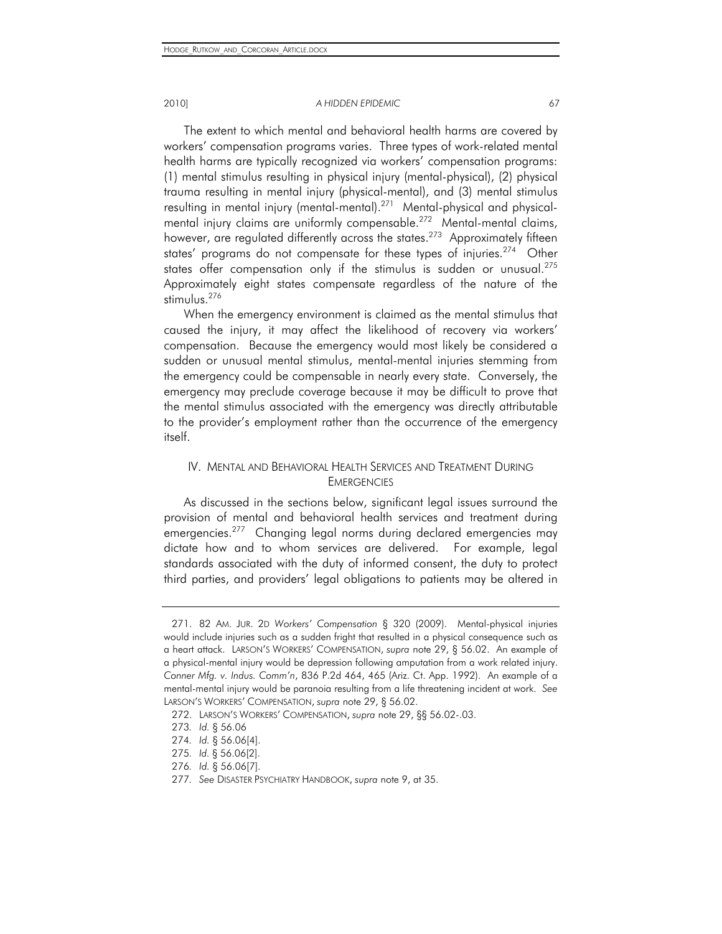The extent to which mental and behavioral health harms are covered by workers' compensation programs varies. Three types of work-related mental health harms are typically recognized via workers' compensation programs: (1) mental stimulus resulting in physical injury (mental-physical), (2) physical trauma resulting in mental injury (physical-mental), and (3) mental stimulus resulting in mental injury (mental-mental).<sup>271</sup> Mental-physical and physicalmental injury claims are uniformly compensable.<sup>272</sup> Mental-mental claims, however, are regulated differently across the states.<sup>273</sup> Approximately fifteen states' programs do not compensate for these types of injuries.<sup>274</sup> Other states offer compensation only if the stimulus is sudden or unusual.<sup>275</sup> Approximately eight states compensate regardless of the nature of the stimulus.<sup>276</sup>

When the emergency environment is claimed as the mental stimulus that caused the injury, it may affect the likelihood of recovery via workers' compensation. Because the emergency would most likely be considered a sudden or unusual mental stimulus, mental-mental injuries stemming from the emergency could be compensable in nearly every state. Conversely, the emergency may preclude coverage because it may be difficult to prove that the mental stimulus associated with the emergency was directly attributable to the provider's employment rather than the occurrence of the emergency itself.

# IV. MENTAL AND BEHAVIORAL HEALTH SERVICES AND TREATMENT DURING **EMERGENCIES**

As discussed in the sections below, significant legal issues surround the provision of mental and behavioral health services and treatment during emergencies.<sup>277</sup> Changing legal norms during declared emergencies may dictate how and to whom services are delivered. For example, legal standards associated with the duty of informed consent, the duty to protect third parties, and providers' legal obligations to patients may be altered in

 <sup>271. 82</sup> AM. JUR. 2D *Workers' Compensation* § 320 (2009). Mental-physical injuries would include injuries such as a sudden fright that resulted in a physical consequence such as a heart attack. LARSON'S WORKERS' COMPENSATION, *supra* note 29, § 56.02. An example of a physical-mental injury would be depression following amputation from a work related injury. *Conner Mfg. v. Indus. Comm'n*, 836 P.2d 464, 465 (Ariz. Ct. App. 1992). An example of a mental-mental injury would be paranoia resulting from a life threatening incident at work. *See*  LARSON'S WORKERS' COMPENSATION, *supra* note 29, § 56.02.

 <sup>272.</sup> LARSON'S WORKERS' COMPENSATION, *supra* note 29, §§ 56.02-.03.

<sup>273</sup>*. Id.* § 56.06

<sup>274</sup>*. Id.* § 56.06[4].

<sup>275</sup>*. Id.* § 56.06[2].

<sup>276</sup>*. Id.* § 56.06[7].

<sup>277</sup>*. See* DISASTER PSYCHIATRY HANDBOOK, *supra* note 9, at 35.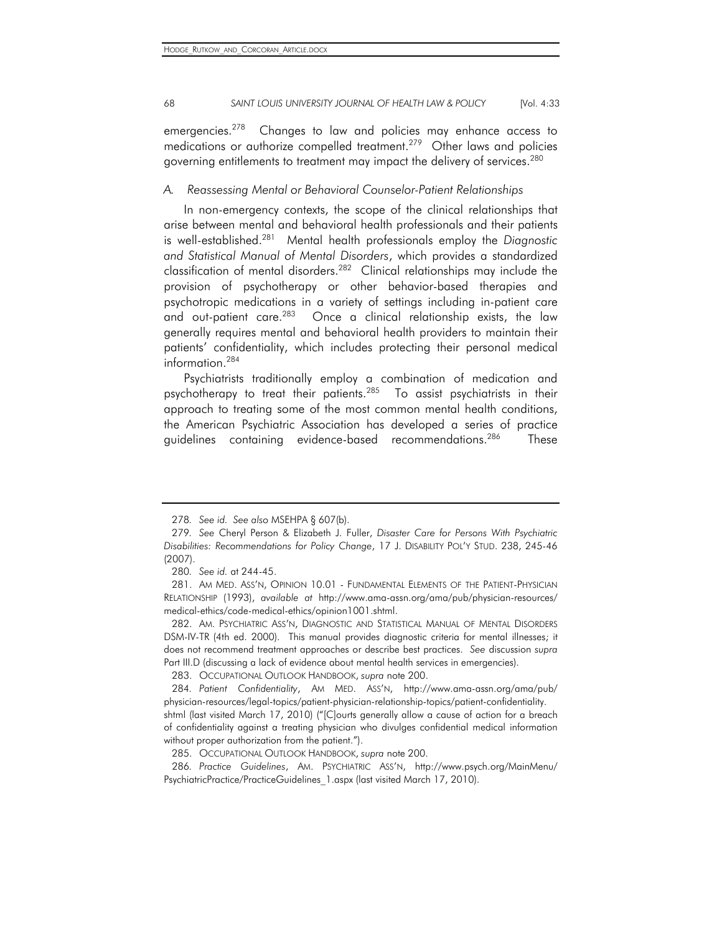emergencies.<sup>278</sup> Changes to law and policies may enhance access to medications or authorize compelled treatment.<sup>279</sup> Other laws and policies governing entitlements to treatment may impact the delivery of services.<sup>280</sup>

# *A. Reassessing Mental or Behavioral Counselor-Patient Relationships*

In non-emergency contexts, the scope of the clinical relationships that arise between mental and behavioral health professionals and their patients is well-established.281 Mental health professionals employ the *Diagnostic and Statistical Manual of Mental Disorders*, which provides a standardized classification of mental disorders.<sup>282</sup> Clinical relationships may include the provision of psychotherapy or other behavior-based therapies and psychotropic medications in a variety of settings including in-patient care and out-patient care.<sup>283</sup> Once a clinical relationship exists, the law generally requires mental and behavioral health providers to maintain their patients' confidentiality, which includes protecting their personal medical information.284

Psychiatrists traditionally employ a combination of medication and psychotherapy to treat their patients.<sup>285</sup> To assist psychiatrists in their approach to treating some of the most common mental health conditions, the American Psychiatric Association has developed a series of practice guidelines containing evidence-based recommendations.<sup>286</sup> These

283. OCCUPATIONAL OUTLOOK HANDBOOK, *supra* note 200.

<sup>278</sup>*. See id. See also* MSEHPA § 607(b).

<sup>279</sup>*. See* Cheryl Person & Elizabeth J. Fuller, *Disaster Care for Persons With Psychiatric Disabilities: Recommendations for Policy Change*, 17 J. DISABILITY POL'Y STUD. 238, 245-46 (2007).

<sup>280</sup>*. See id.* at 244-45.

 <sup>281.</sup> AM MED. ASS'N, OPINION 10.01 - FUNDAMENTAL ELEMENTS OF THE PATIENT-PHYSICIAN RELATIONSHIP (1993), *available at* http://www.ama-assn.org/ama/pub/physician-resources/ medical-ethics/code-medical-ethics/opinion1001.shtml.

 <sup>282.</sup> AM. PSYCHIATRIC ASS'N, DIAGNOSTIC AND STATISTICAL MANUAL OF MENTAL DISORDERS DSM-IV-TR (4th ed. 2000). This manual provides diagnostic criteria for mental illnesses; it does not recommend treatment approaches or describe best practices. *See* discussion *supra* Part III.D (discussing a lack of evidence about mental health services in emergencies).

<sup>284</sup>*. Patient Confidentiality*, AM MED. ASS'N, http://www.ama-assn.org/ama/pub/ physician-resources/legal-topics/patient-physician-relationship-topics/patient-confidentiality. shtml (last visited March 17, 2010) ("[C]ourts generally allow a cause of action for a breach of confidentiality against a treating physician who divulges confidential medical information without proper authorization from the patient.").

 <sup>285.</sup> OCCUPATIONAL OUTLOOK HANDBOOK, *supra* note 200.

<sup>286</sup>*. Practice Guidelines*, AM. PSYCHIATRIC ASS'N, http://www.psych.org/MainMenu/ PsychiatricPractice/PracticeGuidelines\_1.aspx (last visited March 17, 2010).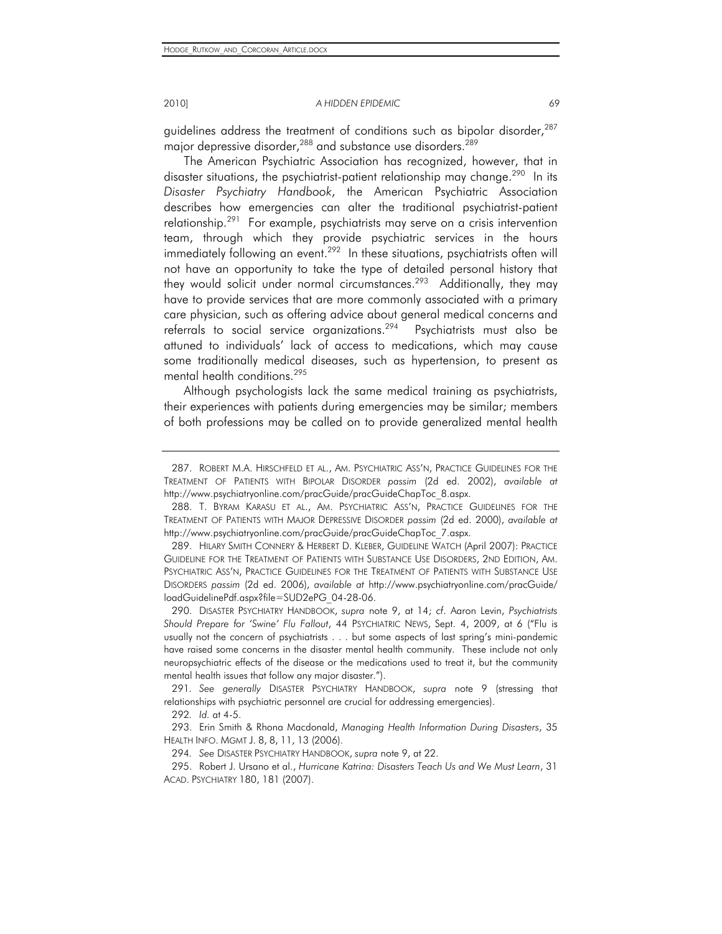guidelines address the treatment of conditions such as bipolar disorder,<sup>287</sup> major depressive disorder,<sup>288</sup> and substance use disorders.<sup>289</sup>

The American Psychiatric Association has recognized, however, that in disaster situations, the psychiatrist-patient relationship may change.<sup>290</sup> In its *Disaster Psychiatry Handbook*, the American Psychiatric Association describes how emergencies can alter the traditional psychiatrist-patient relationship.<sup>291</sup> For example, psychiatrists may serve on a crisis intervention team, through which they provide psychiatric services in the hours immediately following an event.<sup>292</sup> In these situations, psychiatrists often will not have an opportunity to take the type of detailed personal history that they would solicit under normal circumstances.<sup>293</sup> Additionally, they may have to provide services that are more commonly associated with a primary care physician, such as offering advice about general medical concerns and referrals to social service organizations.<sup>294</sup> Psychiatrists must also be attuned to individuals' lack of access to medications, which may cause some traditionally medical diseases, such as hypertension, to present as mental health conditions.295

Although psychologists lack the same medical training as psychiatrists, their experiences with patients during emergencies may be similar; members of both professions may be called on to provide generalized mental health

 <sup>287.</sup> ROBERT M.A. HIRSCHFELD ET AL., AM. PSYCHIATRIC ASS'N, PRACTICE GUIDELINES FOR THE TREATMENT OF PATIENTS WITH BIPOLAR DISORDER *passim* (2d ed. 2002), *available at*  http://www.psychiatryonline.com/pracGuide/pracGuideChapToc\_8.aspx.

 <sup>288.</sup> T. BYRAM KARASU ET AL., AM. PSYCHIATRIC ASS'N, PRACTICE GUIDELINES FOR THE TREATMENT OF PATIENTS WITH MAJOR DEPRESSIVE DISORDER *passim* (2d ed. 2000), *available at*  http://www.psychiatryonline.com/pracGuide/pracGuideChapToc\_7.aspx.

 <sup>289.</sup> HILARY SMITH CONNERY & HERBERT D. KLEBER, GUIDELINE WATCH (April 2007): PRACTICE GUIDELINE FOR THE TREATMENT OF PATIENTS WITH SUBSTANCE USE DISORDERS, 2ND EDITION, AM. PSYCHIATRIC ASS'N, PRACTICE GUIDELINES FOR THE TREATMENT OF PATIENTS WITH SUBSTANCE USE DISORDERS *passim* (2d ed. 2006), *available at* http://www.psychiatryonline.com/pracGuide/ loadGuidelinePdf.aspx?file=SUD2ePG\_04-28-06.

 <sup>290.</sup> DISASTER PSYCHIATRY HANDBOOK, *supra* note 9, at 14; *cf*. Aaron Levin, *Psychiatrists Should Prepare for 'Swine' Flu Fallout*, 44 PSYCHIATRIC NEWS, Sept. 4, 2009, at 6 ("Flu is usually not the concern of psychiatrists . . . but some aspects of last spring's mini-pandemic have raised some concerns in the disaster mental health community. These include not only neuropsychiatric effects of the disease or the medications used to treat it, but the community mental health issues that follow any major disaster.").

<sup>291</sup>*. See generally* DISASTER PSYCHIATRY HANDBOOK, *supra* note 9 (stressing that relationships with psychiatric personnel are crucial for addressing emergencies).

<sup>292</sup>*. Id.* at 4-5.

 <sup>293.</sup> Erin Smith & Rhona Macdonald, *Managing Health Information During Disasters*, 35 HEALTH INFO. MGMT J. 8, 8, 11, 13 (2006).

<sup>294</sup>*. See* DISASTER PSYCHIATRY HANDBOOK, *supra* note 9, at 22.

 <sup>295.</sup> Robert J. Ursano et al., *Hurricane Katrina: Disasters Teach Us and We Must Learn*, 31 ACAD. PSYCHIATRY 180, 181 (2007).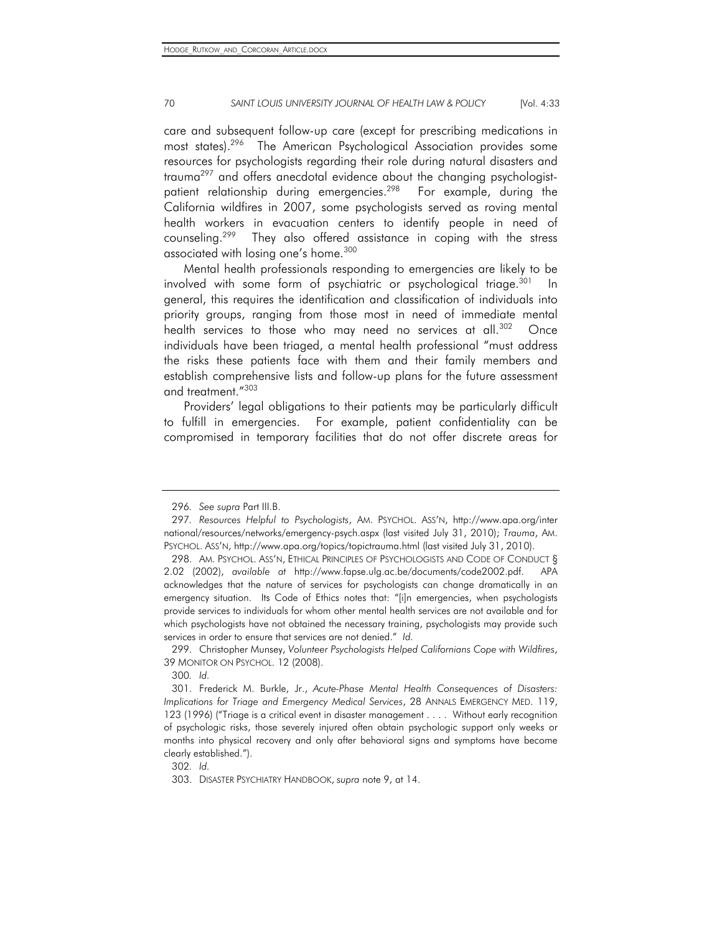care and subsequent follow-up care (except for prescribing medications in most states).296 The American Psychological Association provides some resources for psychologists regarding their role during natural disasters and trauma<sup>297</sup> and offers anecdotal evidence about the changing psychologistpatient relationship during emergencies.<sup>298</sup> For example, during the California wildfires in 2007, some psychologists served as roving mental health workers in evacuation centers to identify people in need of counseling.299 They also offered assistance in coping with the stress associated with losing one's home.<sup>300</sup>

Mental health professionals responding to emergencies are likely to be involved with some form of psychiatric or psychological triage.<sup>301</sup> In general, this requires the identification and classification of individuals into priority groups, ranging from those most in need of immediate mental health services to those who may need no services at all.<sup>302</sup> Once individuals have been triaged, a mental health professional "must address the risks these patients face with them and their family members and establish comprehensive lists and follow-up plans for the future assessment and treatment."303

Providers' legal obligations to their patients may be particularly difficult to fulfill in emergencies. For example, patient confidentiality can be compromised in temporary facilities that do not offer discrete areas for

<sup>296</sup>*. See supra* Part III.B.

<sup>297</sup>*. Resources Helpful to Psychologists*, AM. PSYCHOL. ASS'N, http://www.apa.org/inter national/resources/networks/emergency-psych.aspx (last visited July 31, 2010); *Trauma*, AM. PSYCHOL. ASS'N, http://www.apa.org/topics/topictrauma.html (last visited July 31, 2010).

 <sup>298.</sup> AM. PSYCHOL. ASS'N, ETHICAL PRINCIPLES OF PSYCHOLOGISTS AND CODE OF CONDUCT § 2.02 (2002), *available at* http://www.fapse.ulg.ac.be/documents/code2002.pdf. APA acknowledges that the nature of services for psychologists can change dramatically in an emergency situation. Its Code of Ethics notes that: "[i]n emergencies, when psychologists provide services to individuals for whom other mental health services are not available and for which psychologists have not obtained the necessary training, psychologists may provide such services in order to ensure that services are not denied." *Id.*

 <sup>299.</sup> Christopher Munsey, *Volunteer Psychologists Helped Californians Cope with Wildfires*, 39 MONITOR ON PSYCHOL. 12 (2008).

<sup>300</sup>*. Id.*

 <sup>301.</sup> Frederick M. Burkle, Jr., *Acute-Phase Mental Health Consequences of Disasters: Implications for Triage and Emergency Medical Services*, 28 ANNALS EMERGENCY MED. 119, 123 (1996) ("Triage is a critical event in disaster management . . . . Without early recognition of psychologic risks, those severely injured often obtain psychologic support only weeks or months into physical recovery and only after behavioral signs and symptoms have become clearly established.").

<sup>302</sup>*. Id.*

 <sup>303.</sup> DISASTER PSYCHIATRY HANDBOOK, *supra* note 9, at 14.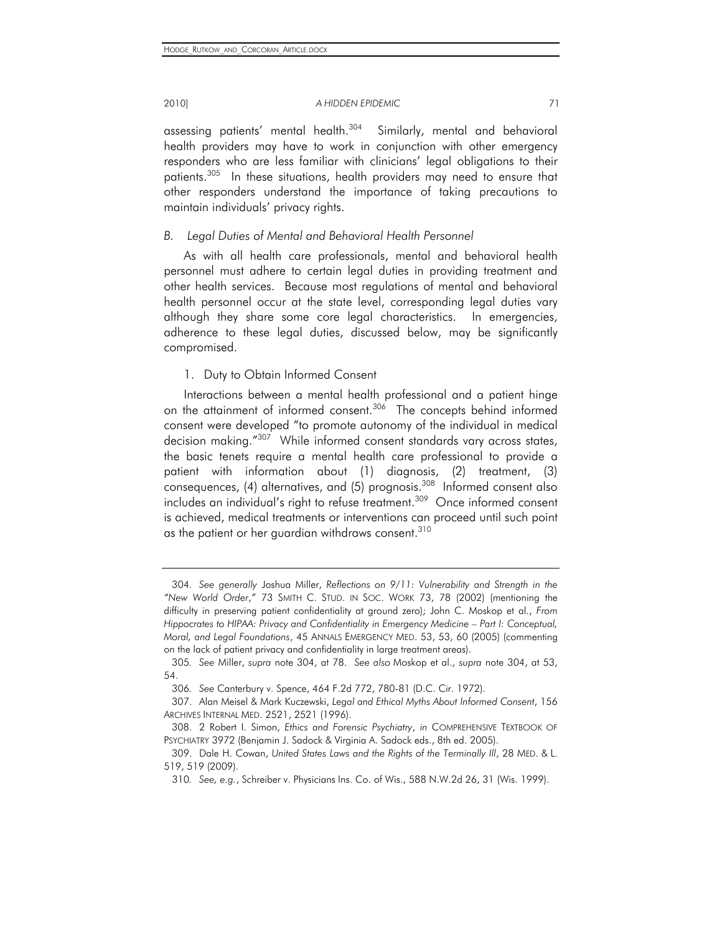assessing patients' mental health.<sup>304</sup> Similarly, mental and behavioral health providers may have to work in conjunction with other emergency responders who are less familiar with clinicians' legal obligations to their patients.<sup>305</sup> In these situations, health providers may need to ensure that other responders understand the importance of taking precautions to maintain individuals' privacy rights.

# **B.** Legal Duties of Mental and Behavioral Health Personnel

As with all health care professionals, mental and behavioral health personnel must adhere to certain legal duties in providing treatment and other health services. Because most regulations of mental and behavioral health personnel occur at the state level, corresponding legal duties vary although they share some core legal characteristics. In emergencies, adherence to these legal duties, discussed below, may be significantly compromised.

# 1. Duty to Obtain Informed Consent

Interactions between a mental health professional and a patient hinge on the attainment of informed consent.<sup>306</sup> The concepts behind informed consent were developed "to promote autonomy of the individual in medical decision making."<sup>307</sup> While informed consent standards vary across states, the basic tenets require a mental health care professional to provide a patient with information about (1) diagnosis, (2) treatment, (3) consequences, (4) alternatives, and (5) prognosis.<sup>308</sup> Informed consent also includes an individual's right to refuse treatment.<sup>309</sup> Once informed consent is achieved, medical treatments or interventions can proceed until such point as the patient or her guardian withdraws consent.<sup>310</sup>

<sup>304</sup>*. See generally* Joshua Miller, *Reflections on 9/11: Vulnerability and Strength in the "New World Order*,*"* 73 SMITH C. STUD. IN SOC. WORK 73, 78 (2002) (mentioning the difficulty in preserving patient confidentiality at ground zero); John C. Moskop et al., *From Hippocrates to HIPAA: Privacy and Confidentiality in Emergency Medicine – Part I: Conceptual, Moral, and Legal Foundations*, 45 ANNALS EMERGENCY MED. 53, 53, 60 (2005) (commenting on the lack of patient privacy and confidentiality in large treatment areas).

<sup>305</sup>*. See* Miller, *supra* note 304, at 78. *See also* Moskop et al., *supra* note 304, at 53, 54.

<sup>306</sup>*. See* Canterbury v. Spence, 464 F.2d 772, 780-81 (D.C. Cir. 1972).

 <sup>307.</sup> Alan Meisel & Mark Kuczewski, *Legal and Ethical Myths About Informed Consent*, 156 ARCHIVES INTERNAL MED. 2521, 2521 (1996).

 <sup>308. 2</sup> Robert I. Simon, *Ethics and Forensic Psychiatry*, *in* COMPREHENSIVE TEXTBOOK OF PSYCHIATRY 3972 (Benjamin J. Sadock & Virginia A. Sadock eds., 8th ed. 2005).

 <sup>309.</sup> Dale H. Cowan, *United States Laws and the Rights of the Terminally Ill*, 28 MED. & L. 519, 519 (2009).

<sup>310</sup>*. See, e.g.*, Schreiber v. Physicians Ins. Co. of Wis., 588 N.W.2d 26, 31 (Wis. 1999).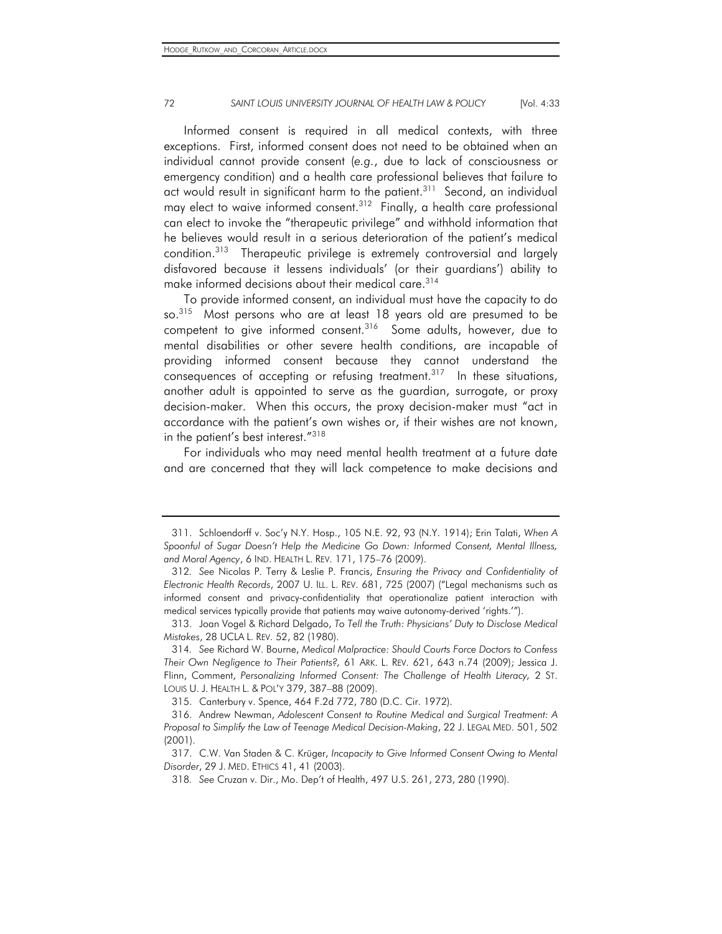Informed consent is required in all medical contexts, with three exceptions. First, informed consent does not need to be obtained when an individual cannot provide consent (*e.g.*, due to lack of consciousness or emergency condition) and a health care professional believes that failure to act would result in significant harm to the patient.<sup>311</sup> Second, an individual may elect to waive informed consent.<sup>312</sup> Finally, a health care professional can elect to invoke the "therapeutic privilege" and withhold information that he believes would result in a serious deterioration of the patient's medical condition.<sup>313</sup> Therapeutic privilege is extremely controversial and largely disfavored because it lessens individuals' (or their guardians') ability to make informed decisions about their medical care.314

To provide informed consent, an individual must have the capacity to do so.<sup>315</sup> Most persons who are at least 18 years old are presumed to be competent to give informed consent.316 Some adults, however, due to mental disabilities or other severe health conditions, are incapable of providing informed consent because they cannot understand the consequences of accepting or refusing treatment. $317$  In these situations, another adult is appointed to serve as the guardian, surrogate, or proxy decision-maker. When this occurs, the proxy decision-maker must "act in accordance with the patient's own wishes or, if their wishes are not known, in the patient's best interest."<sup>318</sup>

For individuals who may need mental health treatment at a future date and are concerned that they will lack competence to make decisions and

 <sup>311.</sup> Schloendorff v. Soc'y N.Y. Hosp., 105 N.E. 92, 93 (N.Y. 1914); Erin Talati, *When A Spoonful of Sugar Doesn't Help the Medicine Go Down: Informed Consent, Mental Illness, and Moral Agency*, 6 IND. HEALTH L. REV. 171, 175–76 (2009).

<sup>312</sup>*. See* Nicolas P. Terry & Leslie P. Francis, *Ensuring the Privacy and Confidentiality of Electronic Health Records*, 2007 U. ILL. L. REV. 681, 725 (2007) ("Legal mechanisms such as informed consent and privacy-confidentiality that operationalize patient interaction with medical services typically provide that patients may waive autonomy-derived 'rights.'").

 <sup>313.</sup> Joan Vogel & Richard Delgado, *To Tell the Truth: Physicians' Duty to Disclose Medical Mistakes*, 28 UCLA L. REV. 52, 82 (1980).

<sup>314</sup>*. See* Richard W. Bourne, *Medical Malpractice: Should Courts Force Doctors to Confess Their Own Negligence to Their Patients?,* 61 ARK. L. REV. 621, 643 n.74 (2009); Jessica J. Flinn, Comment, *Personalizing Informed Consent: The Challenge of Health Literacy,* 2 ST. LOUIS U. J. HEALTH L. & POL'Y 379, 387–88 (2009).

 <sup>315.</sup> Canterbury v. Spence, 464 F.2d 772, 780 (D.C. Cir. 1972).

 <sup>316.</sup> Andrew Newman, *Adolescent Consent to Routine Medical and Surgical Treatment: A Proposal to Simplify the Law of Teenage Medical Decision-Making*, 22 J. LEGAL MED. 501, 502 (2001).

 <sup>317.</sup> C.W. Van Staden & C. Krüger, *Incapacity to Give Informed Consent Owing to Mental Disorder*, 29 J. MED. ETHICS 41, 41 (2003).

<sup>318</sup>*. See* Cruzan v. Dir., Mo. Dep't of Health, 497 U.S. 261, 273, 280 (1990).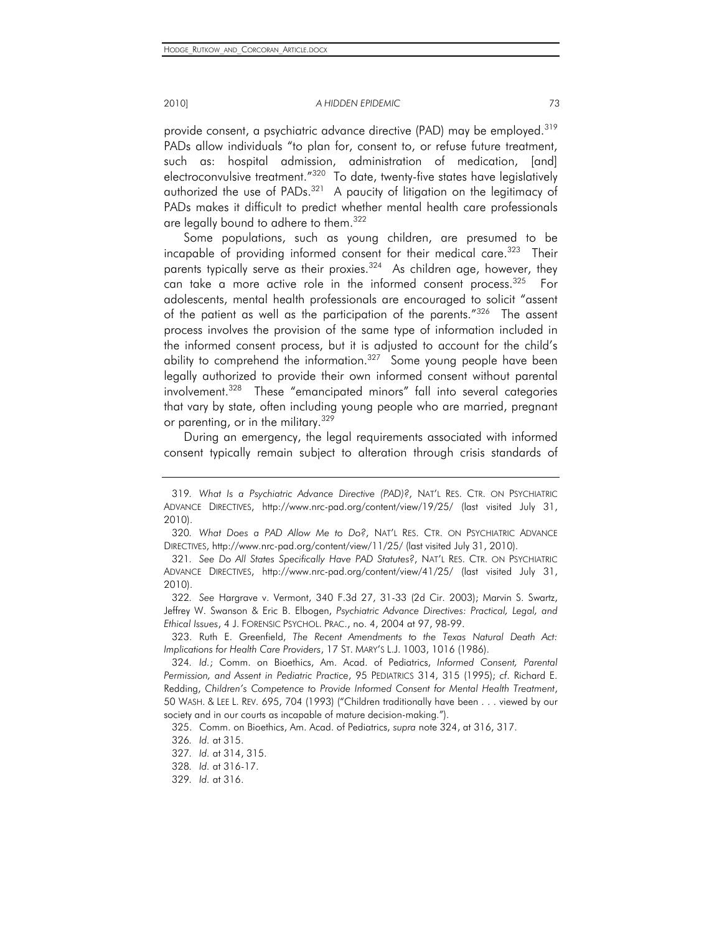provide consent, a psychiatric advance directive (PAD) may be employed.<sup>319</sup> PADs allow individuals "to plan for, consent to, or refuse future treatment, such as: hospital admission, administration of medication, [and] electroconvulsive treatment.<sup>"320</sup> To date, twenty-five states have legislatively authorized the use of PADs.<sup>321</sup> A paucity of litigation on the legitimacy of PADs makes it difficult to predict whether mental health care professionals are legally bound to adhere to them.<sup>322</sup>

Some populations, such as young children, are presumed to be incapable of providing informed consent for their medical care.<sup>323</sup> Their parents typically serve as their proxies.<sup>324</sup> As children age, however, they can take a more active role in the informed consent process.<sup>325</sup> For adolescents, mental health professionals are encouraged to solicit "assent of the patient as well as the participation of the parents."<sup>326</sup> The assent process involves the provision of the same type of information included in the informed consent process, but it is adjusted to account for the child's ability to comprehend the information.<sup>327</sup> Some young people have been legally authorized to provide their own informed consent without parental involvement.<sup>328</sup> These "emancipated minors" fall into several categories that vary by state, often including young people who are married, pregnant or parenting, or in the military.<sup>329</sup>

During an emergency, the legal requirements associated with informed consent typically remain subject to alteration through crisis standards of

 323. Ruth E. Greenfield, *The Recent Amendments to the Texas Natural Death Act: Implications for Health Care Providers*, 17 ST. MARY'S L.J. 1003, 1016 (1986).

<sup>319</sup>*. What Is a Psychiatric Advance Directive (PAD)?*, NAT'L RES. CTR. ON PSYCHIATRIC ADVANCE DIRECTIVES, http://www.nrc-pad.org/content/view/19/25/ (last visited July 31, 2010).

<sup>320</sup>*. What Does a PAD Allow Me to Do?*, NAT'L RES. CTR. ON PSYCHIATRIC ADVANCE DIRECTIVES, http://www.nrc-pad.org/content/view/11/25/ (last visited July 31, 2010).

<sup>321</sup>*. See Do All States Specifically Have PAD Statutes?*, NAT'L RES. CTR. ON PSYCHIATRIC ADVANCE DIRECTIVES, http://www.nrc-pad.org/content/view/41/25/ (last visited July 31, 2010).

<sup>322</sup>*. See* Hargrave v. Vermont, 340 F.3d 27, 31-33 (2d Cir. 2003); Marvin S. Swartz, Jeffrey W. Swanson & Eric B. Elbogen, *Psychiatric Advance Directives: Practical, Legal, and Ethical Issues*, 4 J. FORENSIC PSYCHOL. PRAC., no. 4, 2004 at 97, 98-99.

<sup>324</sup>*. Id.*; Comm. on Bioethics, Am. Acad. of Pediatrics, *Informed Consent, Parental Permission, and Assent in Pediatric Practice*, 95 PEDIATRICS 314, 315 (1995); *cf*. Richard E. Redding, *Children's Competence to Provide Informed Consent for Mental Health Treatment*, 50 WASH. & LEE L. REV. 695, 704 (1993) ("Children traditionally have been . . . viewed by our society and in our courts as incapable of mature decision-making.").

 <sup>325.</sup> Comm. on Bioethics, Am. Acad. of Pediatrics, *supra* note 324, at 316, 317.

<sup>326</sup>*. Id.* at 315.

<sup>327</sup>*. Id.* at 314, 315.

<sup>328</sup>*. Id.* at 316-17.

<sup>329</sup>*. Id.* at 316.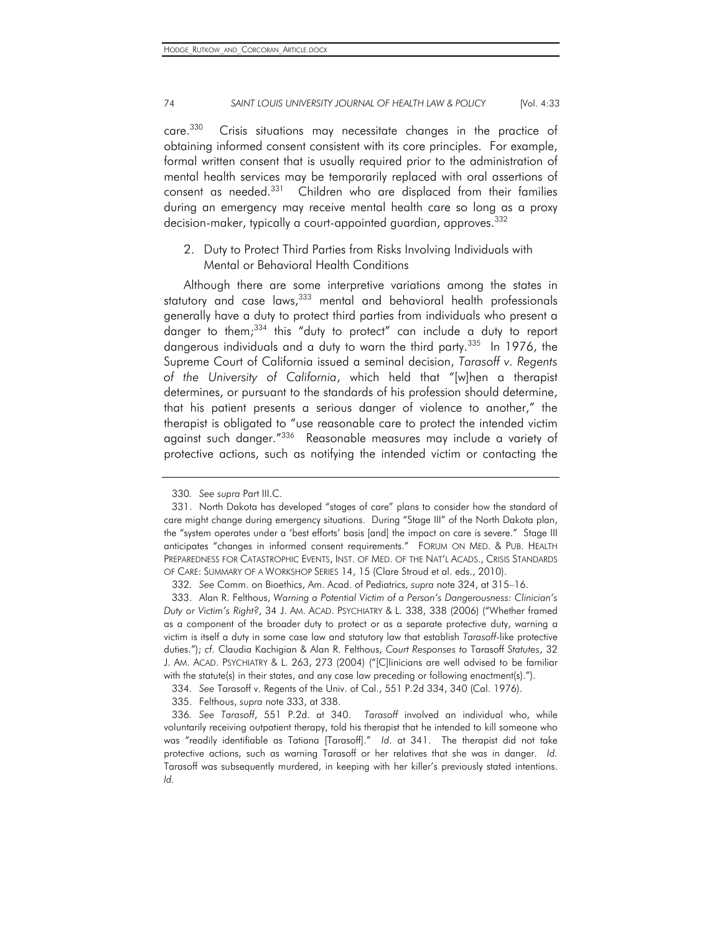HODGE\_RUTKOW\_AND\_CORCORAN\_ARTICLE.DOCX

# 74 *SAINT LOUIS UNIVERSITY JOURNAL OF HEALTH LAW & POLICY* [Vol. 4:33

care.<sup>330</sup> Crisis situations may necessitate changes in the practice of obtaining informed consent consistent with its core principles. For example, formal written consent that is usually required prior to the administration of mental health services may be temporarily replaced with oral assertions of consent as needed.<sup>331</sup> Children who are displaced from their families during an emergency may receive mental health care so long as a proxy decision-maker, typically a court-appointed quardian, approves.<sup>332</sup>

2. Duty to Protect Third Parties from Risks Involving Individuals with Mental or Behavioral Health Conditions

Although there are some interpretive variations among the states in statutory and case laws,<sup>333</sup> mental and behavioral health professionals generally have a duty to protect third parties from individuals who present a danger to them;<sup>334</sup> this "duty to protect" can include a duty to report dangerous individuals and a duty to warn the third party.<sup>335</sup> In 1976, the Supreme Court of California issued a seminal decision, *Tarasoff v. Regents of the University of California*, which held that "[w]hen a therapist determines, or pursuant to the standards of his profession should determine, that his patient presents a serious danger of violence to another," the therapist is obligated to "use reasonable care to protect the intended victim against such danger."336 Reasonable measures may include a variety of protective actions, such as notifying the intended victim or contacting the

334*. See* Tarasoff v. Regents of the Univ. of Cal., 551 P.2d 334, 340 (Cal. 1976).

335. Felthous, *supra* note 333, at 338.

<sup>330</sup>*. See supra* Part III.C.

 <sup>331.</sup> North Dakota has developed "stages of care" plans to consider how the standard of care might change during emergency situations. During "Stage III" of the North Dakota plan, the "system operates under a 'best efforts' basis [and] the impact on care is severe." Stage III anticipates "changes in informed consent requirements." FORUM ON MED. & PUB. HEALTH PREPAREDNESS FOR CATASTROPHIC EVENTS, INST. OF MED. OF THE NAT'L ACADS., CRISIS STANDARDS OF CARE: SUMMARY OF A WORKSHOP SERIES 14, 15 (Clare Stroud et al. eds., 2010).

<sup>332</sup>*. See* Comm. on Bioethics, Am. Acad. of Pediatrics, *supra* note 324, at 315–16.

 <sup>333.</sup> Alan R. Felthous, *Warning a Potential Victim of a Person's Dangerousness: Clinician's Duty or Victim's Right?*, 34 J. AM. ACAD. PSYCHIATRY & L. 338, 338 (2006) ("Whether framed as a component of the broader duty to protect or as a separate protective duty, warning a victim is itself a duty in some case law and statutory law that establish *Tarasoff*-like protective duties."); *cf*. Claudia Kachigian & Alan R. Felthous, *Court Responses to* Tarasoff *Statutes*, 32 J. AM. ACAD. PSYCHIATRY & L. 263, 273 (2004) ("[C]linicians are well advised to be familiar with the statute(s) in their states, and any case law preceding or following enactment(s).").

<sup>336</sup>*. See Tarasoff*, 551 P.2d. at 340. *Tarasoff* involved an individual who, while voluntarily receiving outpatient therapy, told his therapist that he intended to kill someone who was "readily identifiable as Tatiana [Tarasoff]." *Id*. at 341. The therapist did not take protective actions, such as warning Tarasoff or her relatives that she was in danger. *Id.* Tarasoff was subsequently murdered, in keeping with her killer's previously stated intentions. *Id.*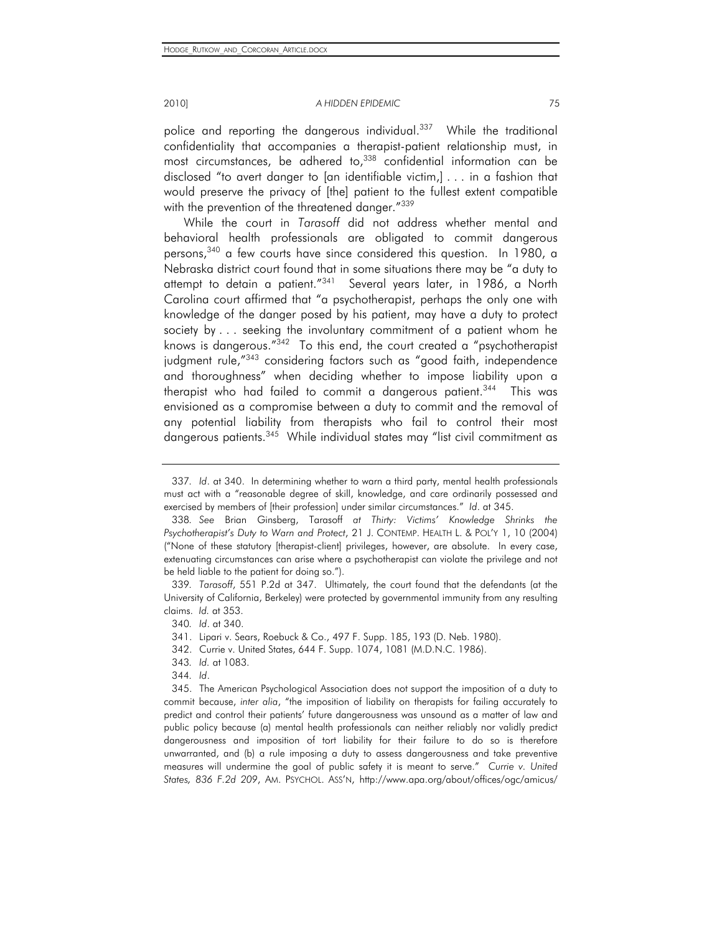police and reporting the dangerous individual.<sup>337</sup> While the traditional confidentiality that accompanies a therapist-patient relationship must, in most circumstances, be adhered to,  $338$  confidential information can be disclosed "to avert danger to [an identifiable victim,] . . . in a fashion that would preserve the privacy of [the] patient to the fullest extent compatible with the prevention of the threatened danger."339

While the court in *Tarasoff* did not address whether mental and behavioral health professionals are obligated to commit dangerous persons,<sup>340</sup> a few courts have since considered this question. In 1980, a Nebraska district court found that in some situations there may be "a duty to attempt to detain a patient."<sup>341</sup> Several years later, in 1986, a North Carolina court affirmed that "a psychotherapist, perhaps the only one with knowledge of the danger posed by his patient, may have a duty to protect society by . . . seeking the involuntary commitment of a patient whom he knows is dangerous."<sup>342</sup> To this end, the court created a "psychotherapist judgment rule,<sup>"343</sup> considering factors such as "good faith, independence and thoroughness" when deciding whether to impose liability upon a therapist who had failed to commit a dangerous patient.<sup>344</sup> This was envisioned as a compromise between a duty to commit and the removal of any potential liability from therapists who fail to control their most dangerous patients.<sup>345</sup> While individual states may "list civil commitment as

339*. Tarasoff*, 551 P.2d at 347. Ultimately, the court found that the defendants (at the University of California, Berkeley) were protected by governmental immunity from any resulting claims. *Id.* at 353.

341. Lipari v. Sears, Roebuck & Co., 497 F. Supp. 185, 193 (D. Neb. 1980).

- 342. Currie v. United States, 644 F. Supp. 1074, 1081 (M.D.N.C. 1986).
- 343*. Id.* at 1083.

344*. Id*.

 345. The American Psychological Association does not support the imposition of a duty to commit because, *inter alia*, "the imposition of liability on therapists for failing accurately to predict and control their patients' future dangerousness was unsound as a matter of law and public policy because (a) mental health professionals can neither reliably nor validly predict dangerousness and imposition of tort liability for their failure to do so is therefore unwarranted, and (b) a rule imposing a duty to assess dangerousness and take preventive measures will undermine the goal of public safety it is meant to serve." *Currie v. United States, 836 F.2d 209*, AM. PSYCHOL. ASS'N, http://www.apa.org/about/offices/ogc/amicus/

<sup>337</sup>*. Id*. at 340. In determining whether to warn a third party, mental health professionals must act with a "reasonable degree of skill, knowledge, and care ordinarily possessed and exercised by members of [their profession] under similar circumstances." *Id*. at 345.

<sup>338</sup>*. See* Brian Ginsberg, Tarasoff *at Thirty: Victims' Knowledge Shrinks the Psychotherapist's Duty to Warn and Protect*, 21 J. CONTEMP. HEALTH L. & POL'Y 1, 10 (2004) ("None of these statutory [therapist-client] privileges, however, are absolute. In every case, extenuating circumstances can arise where a psychotherapist can violate the privilege and not be held liable to the patient for doing so.").

<sup>340</sup>*. Id*. at 340.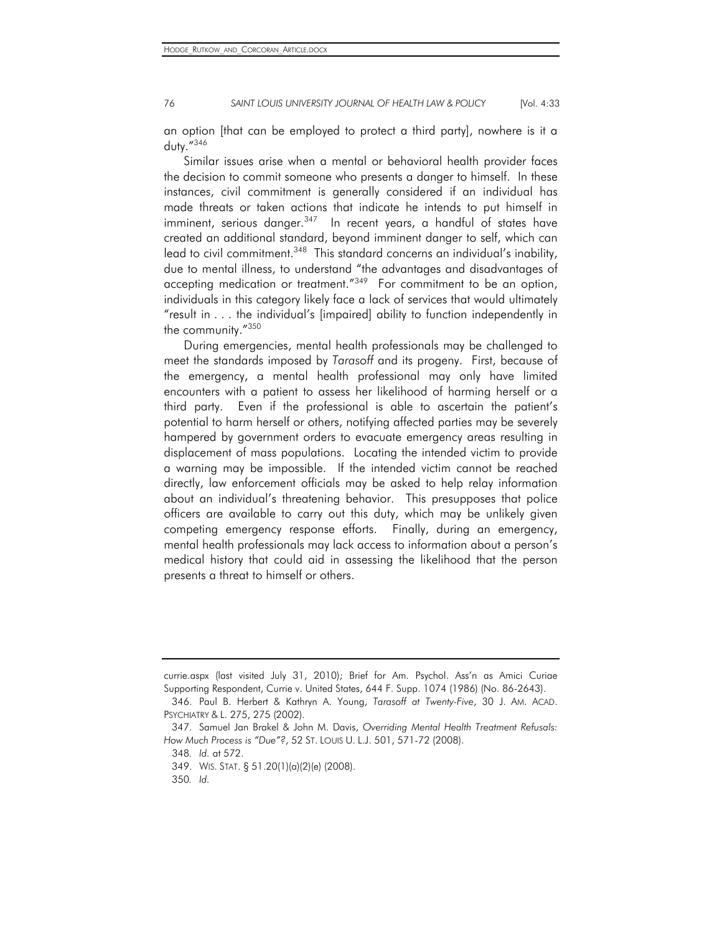an option [that can be employed to protect a third party], nowhere is it a duty."346

Similar issues arise when a mental or behavioral health provider faces the decision to commit someone who presents a danger to himself. In these instances, civil commitment is generally considered if an individual has made threats or taken actions that indicate he intends to put himself in imminent, serious danger.  $347$  In recent years, a handful of states have created an additional standard, beyond imminent danger to self, which can lead to civil commitment.<sup>348</sup> This standard concerns an individual's inability, due to mental illness, to understand "the advantages and disadvantages of accepting medication or treatment."<sup>349</sup> For commitment to be an option, individuals in this category likely face a lack of services that would ultimately "result in . . . the individual's [impaired] ability to function independently in the community."350

During emergencies, mental health professionals may be challenged to meet the standards imposed by *Tarasoff* and its progeny. First, because of the emergency, a mental health professional may only have limited encounters with a patient to assess her likelihood of harming herself or a third party. Even if the professional is able to ascertain the patient's potential to harm herself or others, notifying affected parties may be severely hampered by government orders to evacuate emergency areas resulting in displacement of mass populations. Locating the intended victim to provide a warning may be impossible. If the intended victim cannot be reached directly, law enforcement officials may be asked to help relay information about an individual's threatening behavior. This presupposes that police officers are available to carry out this duty, which may be unlikely given competing emergency response efforts. Finally, during an emergency, mental health professionals may lack access to information about a person's medical history that could aid in assessing the likelihood that the person presents a threat to himself or others.

currie.aspx (last visited July 31, 2010); Brief for Am. Psychol. Ass'n as Amici Curiae Supporting Respondent, Currie v. United States, 644 F. Supp. 1074 (1986) (No. 86-2643).

 <sup>346.</sup> Paul B. Herbert & Kathryn A. Young, *Tarasoff at Twenty-Five*, 30 J. AM. ACAD. PSYCHIATRY & L. 275, 275 (2002).

 <sup>347.</sup> Samuel Jan Brakel & John M. Davis, *Overriding Mental Health Treatment Refusals: How Much Process is "Due"?*, 52 ST. LOUIS U. L.J. 501, 571-72 (2008).

<sup>348</sup>*. Id.* at 572.

 <sup>349.</sup> WIS. STAT. § 51.20(1)(a)(2)(e) (2008).

<sup>350</sup>*. Id.*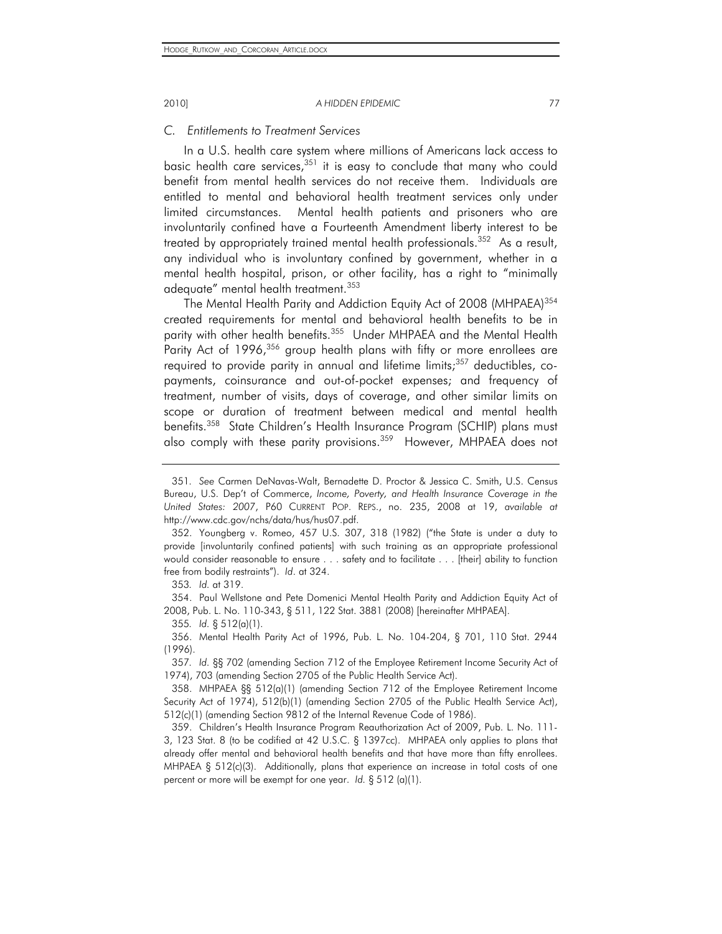# *C. Entitlements to Treatment Services*

In a U.S. health care system where millions of Americans lack access to basic health care services,  $351$  it is easy to conclude that many who could benefit from mental health services do not receive them. Individuals are entitled to mental and behavioral health treatment services only under limited circumstances. Mental health patients and prisoners who are involuntarily confined have a Fourteenth Amendment liberty interest to be treated by appropriately trained mental health professionals.<sup>352</sup> As a result, any individual who is involuntary confined by government, whether in a mental health hospital, prison, or other facility, has a right to "minimally adequate" mental health treatment.<sup>353</sup>

The Mental Health Parity and Addiction Equity Act of 2008 (MHPAEA)<sup>354</sup> created requirements for mental and behavioral health benefits to be in parity with other health benefits.<sup>355</sup> Under MHPAEA and the Mental Health Parity Act of 1996,<sup>356</sup> group health plans with fifty or more enrollees are required to provide parity in annual and lifetime limits;<sup>357</sup> deductibles, copayments, coinsurance and out-of-pocket expenses; and frequency of treatment, number of visits, days of coverage, and other similar limits on scope or duration of treatment between medical and mental health benefits.<sup>358</sup> State Children's Health Insurance Program (SCHIP) plans must also comply with these parity provisions.<sup>359</sup> However, MHPAEA does not

 354. Paul Wellstone and Pete Domenici Mental Health Parity and Addiction Equity Act of 2008, Pub. L. No. 110-343, § 511, 122 Stat. 3881 (2008) [hereinafter MHPAEA].

355*. Id.* § 512(a)(1).

 356. Mental Health Parity Act of 1996, Pub. L. No. 104-204, § 701, 110 Stat. 2944 (1996).

357*. Id.* §§ 702 (amending Section 712 of the Employee Retirement Income Security Act of 1974), 703 (amending Section 2705 of the Public Health Service Act).

<sup>351</sup>*. See* Carmen DeNavas-Walt, Bernadette D. Proctor & Jessica C. Smith, U.S. Census Bureau, U.S. Dep't of Commerce, *Income, Poverty, and Health Insurance Coverage in the United States: 2007*, P60 CURRENT POP. REPS., no. 235, 2008 at 19, *available at* http://www.cdc.gov/nchs/data/hus/hus07.pdf.

 <sup>352.</sup> Youngberg v. Romeo, 457 U.S. 307, 318 (1982) ("the State is under a duty to provide [involuntarily confined patients] with such training as an appropriate professional would consider reasonable to ensure . . . safety and to facilitate . . . [their] ability to function free from bodily restraints"). *Id*. at 324.

<sup>353</sup>*. Id.* at 319.

 <sup>358.</sup> MHPAEA §§ 512(a)(1) (amending Section 712 of the Employee Retirement Income Security Act of 1974), 512(b)(1) (amending Section 2705 of the Public Health Service Act), 512(c)(1) (amending Section 9812 of the Internal Revenue Code of 1986).

 <sup>359.</sup> Children's Health Insurance Program Reauthorization Act of 2009, Pub. L. No. 111- 3, 123 Stat. 8 (to be codified at 42 U.S.C. § 1397cc). MHPAEA only applies to plans that already offer mental and behavioral health benefits and that have more than fifty enrollees. MHPAEA  $\S$  512(c)(3). Additionally, plans that experience an increase in total costs of one percent or more will be exempt for one year. *Id.* § 512 (a)(1).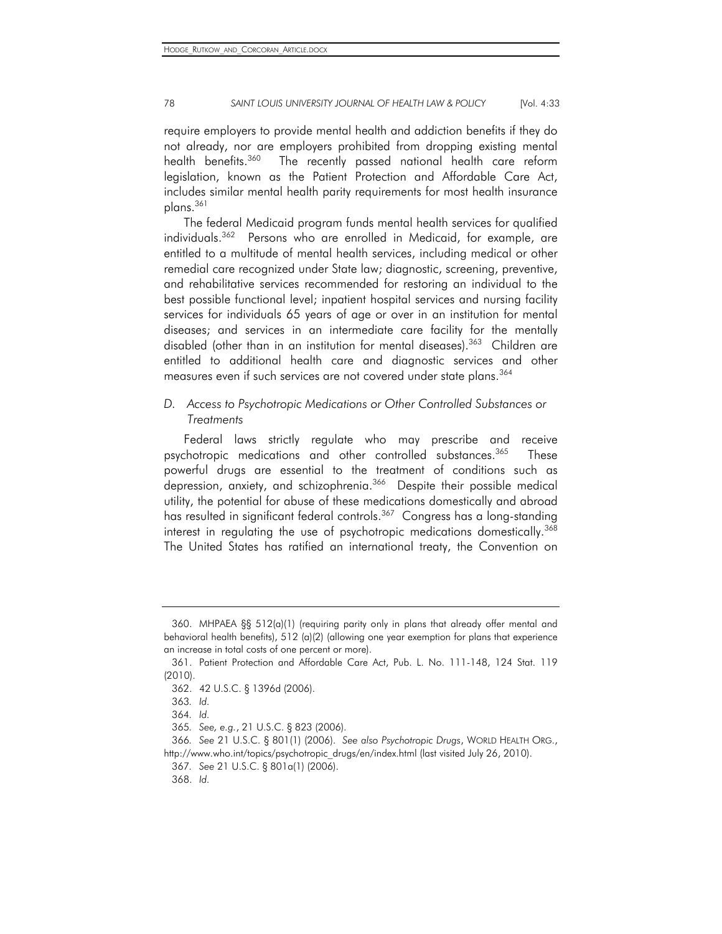require employers to provide mental health and addiction benefits if they do not already, nor are employers prohibited from dropping existing mental health benefits.<sup>360</sup> The recently passed national health care reform legislation, known as the Patient Protection and Affordable Care Act, includes similar mental health parity requirements for most health insurance plans.<sup>361</sup>

The federal Medicaid program funds mental health services for qualified individuals.<sup>362</sup> Persons who are enrolled in Medicaid, for example, are entitled to a multitude of mental health services, including medical or other remedial care recognized under State law; diagnostic, screening, preventive, and rehabilitative services recommended for restoring an individual to the best possible functional level; inpatient hospital services and nursing facility services for individuals 65 years of age or over in an institution for mental diseases; and services in an intermediate care facility for the mentally disabled (other than in an institution for mental diseases).<sup>363</sup> Children are entitled to additional health care and diagnostic services and other measures even if such services are not covered under state plans.<sup>364</sup>

# *D. Access to Psychotropic Medications or Other Controlled Substances or Treatments*

Federal laws strictly regulate who may prescribe and receive psychotropic medications and other controlled substances.<sup>365</sup> These powerful drugs are essential to the treatment of conditions such as depression, anxiety, and schizophrenia.366 Despite their possible medical utility, the potential for abuse of these medications domestically and abroad has resulted in significant federal controls.<sup>367</sup> Congress has a long-standing interest in regulating the use of psychotropic medications domestically.<sup>368</sup> The United States has ratified an international treaty, the Convention on

 <sup>360.</sup> MHPAEA §§ 512(a)(1) (requiring parity only in plans that already offer mental and behavioral health benefits), 512 (a)(2) (allowing one year exemption for plans that experience an increase in total costs of one percent or more).

 <sup>361.</sup> Patient Protection and Affordable Care Act, Pub. L. No. 111-148, 124 Stat. 119 (2010).

 <sup>362. 42</sup> U.S.C. § 1396d (2006).

<sup>363</sup>*. Id.*

<sup>364</sup>*. Id.*

<sup>365</sup>*. See, e.g.*, 21 U.S.C. § 823 (2006).

<sup>366</sup>*. See* 21 U.S.C. § 801(1) (2006). *See also Psychotropic Drugs*, WORLD HEALTH ORG., http://www.who.int/topics/psychotropic\_drugs/en/index.html (last visited July 26, 2010).

<sup>367</sup>*. See* 21 U.S.C. § 801a(1) (2006).

 <sup>368.</sup> *Id.*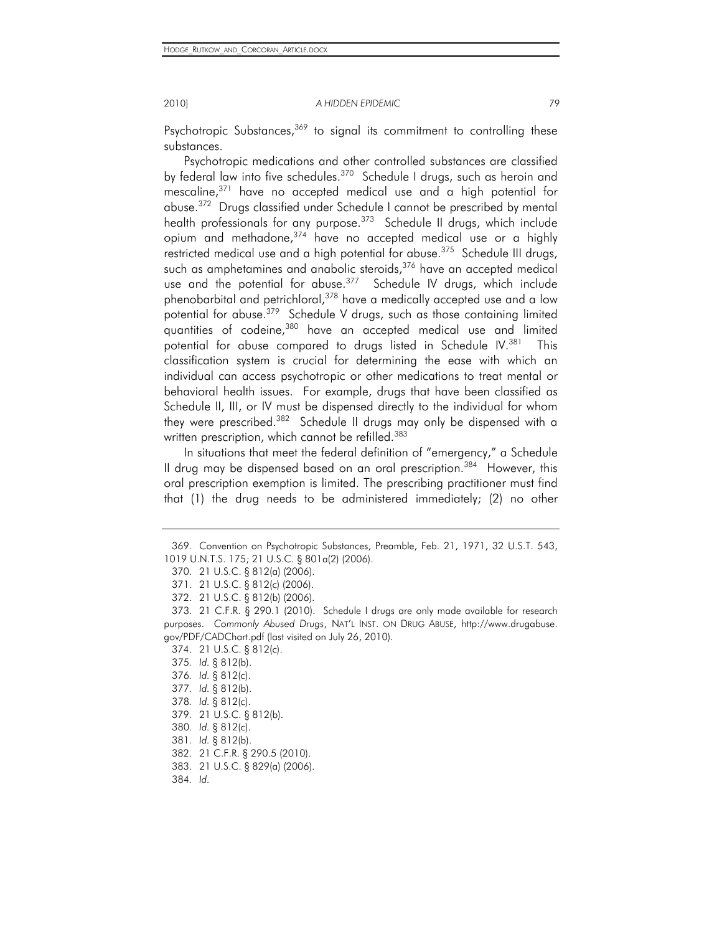Psychotropic Substances,  $369$  to signal its commitment to controlling these substances.

Psychotropic medications and other controlled substances are classified by federal law into five schedules.<sup>370</sup> Schedule I drugs, such as heroin and mescaline, $371$  have no accepted medical use and a high potential for abuse.<sup>372</sup> Drugs classified under Schedule I cannot be prescribed by mental health professionals for any purpose.<sup>373</sup> Schedule II drugs, which include opium and methadone, $374$  have no accepted medical use or a highly restricted medical use and a high potential for abuse.<sup>375</sup> Schedule III drugs, such as amphetamines and anabolic steroids,<sup>376</sup> have an accepted medical use and the potential for abuse.<sup>377</sup> Schedule IV drugs, which include phenobarbital and petrichloral,378 have a medically accepted use and a low potential for abuse.<sup>379</sup> Schedule V drugs, such as those containing limited quantities of codeine,<sup>380</sup> have an accepted medical use and limited potential for abuse compared to drugs listed in Schedule  $IV.^{381}$  This classification system is crucial for determining the ease with which an individual can access psychotropic or other medications to treat mental or behavioral health issues. For example, drugs that have been classified as Schedule II, III, or IV must be dispensed directly to the individual for whom they were prescribed.<sup>382</sup> Schedule II drugs may only be dispensed with a written prescription, which cannot be refilled.<sup>383</sup>

In situations that meet the federal definition of "emergency," a Schedule II drug may be dispensed based on an oral prescription.<sup>384</sup> However, this oral prescription exemption is limited. The prescribing practitioner must find that (1) the drug needs to be administered immediately; (2) no other

 <sup>369.</sup> Convention on Psychotropic Substances, Preamble, Feb. 21, 1971, 32 U.S.T. 543, 1019 U.N.T.S. 175; 21 U.S.C. § 801a(2) (2006).

 <sup>370. 21</sup> U.S.C. § 812(a) (2006).

 <sup>371. 21</sup> U.S.C. § 812(c) (2006).

 <sup>372. 21</sup> U.S.C. § 812(b) (2006).

 <sup>373. 21</sup> C.F.R. § 290.1 (2010). Schedule I drugs are only made available for research purposes. *Commonly Abused Drugs*, NAT'L INST. ON DRUG ABUSE, http://www.drugabuse. gov/PDF/CADChart.pdf (last visited on July 26, 2010).

 <sup>374. 21</sup> U.S.C. § 812(c).

<sup>375</sup>*. Id.* § 812(b).

<sup>376</sup>*. Id.* § 812(c).

<sup>377</sup>*. Id.* § 812(b).

<sup>378</sup>*. Id.* § 812(c).

 <sup>379. 21</sup> U.S.C. § 812(b).

<sup>380</sup>*. Id.* § 812(c).

<sup>381</sup>*. Id.* § 812(b).

 <sup>382. 21</sup> C.F.R. § 290.5 (2010).

 <sup>383. 21</sup> U.S.C. § 829(a) (2006).

<sup>384</sup>*. Id.*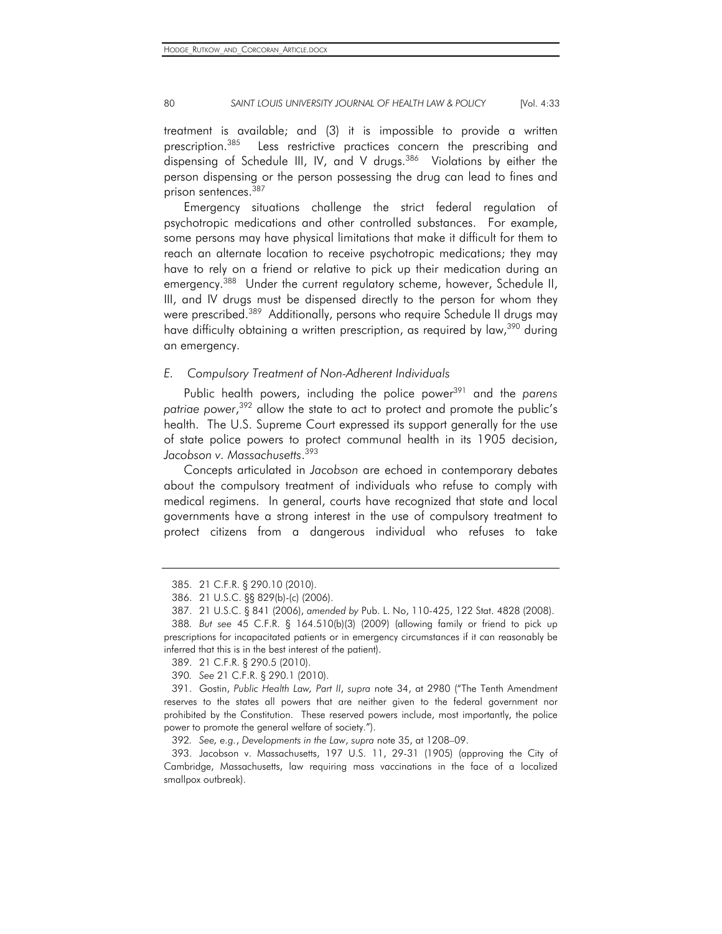treatment is available; and (3) it is impossible to provide a written prescription.385 Less restrictive practices concern the prescribing and dispensing of Schedule III, IV, and V drugs.<sup>386</sup> Violations by either the person dispensing or the person possessing the drug can lead to fines and prison sentences.<sup>387</sup>

Emergency situations challenge the strict federal regulation of psychotropic medications and other controlled substances. For example, some persons may have physical limitations that make it difficult for them to reach an alternate location to receive psychotropic medications; they may have to rely on a friend or relative to pick up their medication during an emergency.<sup>388</sup> Under the current regulatory scheme, however, Schedule II, III, and IV drugs must be dispensed directly to the person for whom they were prescribed.<sup>389</sup> Additionally, persons who require Schedule II drugs may have difficulty obtaining a written prescription, as required by law,<sup>390</sup> during an emergency.

# *E. Compulsory Treatment of Non-Adherent Individuals*

Public health powers, including the police power<sup>391</sup> and the parens *patriae power*, 392 allow the state to act to protect and promote the public's health. The U.S. Supreme Court expressed its support generally for the use of state police powers to protect communal health in its 1905 decision, *Jacobson v. Massachusetts*. 393

Concepts articulated in *Jacobson* are echoed in contemporary debates about the compulsory treatment of individuals who refuse to comply with medical regimens. In general, courts have recognized that state and local governments have a strong interest in the use of compulsory treatment to protect citizens from a dangerous individual who refuses to take

 <sup>385. 21</sup> C.F.R. § 290.10 (2010).

 <sup>386. 21</sup> U.S.C. §§ 829(b)-(c) (2006).

 <sup>387. 21</sup> U.S.C. § 841 (2006), *amended by* Pub. L. No, 110-425, 122 Stat. 4828 (2008).

<sup>388</sup>*. But see* 45 C.F.R. § 164.510(b)(3) (2009) (allowing family or friend to pick up prescriptions for incapacitated patients or in emergency circumstances if it can reasonably be inferred that this is in the best interest of the patient).

 <sup>389. 21</sup> C.F.R. § 290.5 (2010).

<sup>390</sup>*. See* 21 C.F.R. § 290.1 (2010).

 <sup>391.</sup> Gostin, *Public Health Law, Part II*, *supra* note 34, at 2980 ("The Tenth Amendment reserves to the states all powers that are neither given to the federal government nor prohibited by the Constitution. These reserved powers include, most importantly, the police power to promote the general welfare of society.").

<sup>392</sup>*. See, e.g.*, *Developments in the Law*, *supra* note 35, at 1208–09.

 <sup>393.</sup> Jacobson v. Massachusetts, 197 U.S. 11, 29-31 (1905) (approving the City of Cambridge, Massachusetts, law requiring mass vaccinations in the face of a localized smallpox outbreak).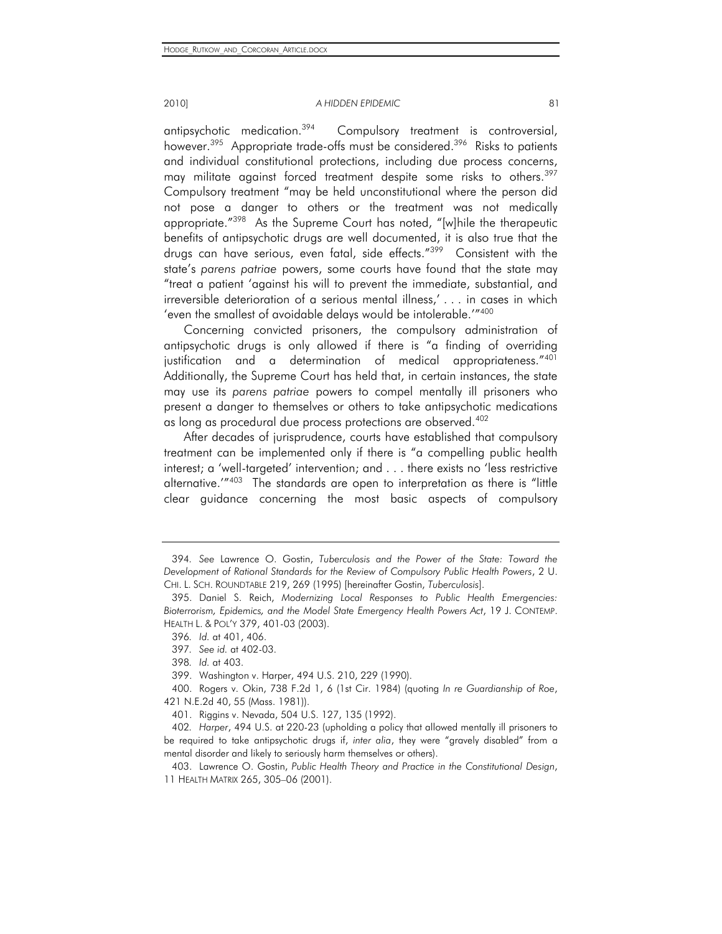antipsychotic medication.<sup>394</sup> Compulsory treatment is controversial, however.<sup>395</sup> Appropriate trade-offs must be considered.<sup>396</sup> Risks to patients and individual constitutional protections, including due process concerns, may militate against forced treatment despite some risks to others.<sup>397</sup> Compulsory treatment "may be held unconstitutional where the person did not pose a danger to others or the treatment was not medically appropriate."398 As the Supreme Court has noted, "[w]hile the therapeutic benefits of antipsychotic drugs are well documented, it is also true that the drugs can have serious, even fatal, side effects."<sup>399</sup> Consistent with the state's *parens patriae* powers, some courts have found that the state may "treat a patient 'against his will to prevent the immediate, substantial, and irreversible deterioration of a serious mental illness,' . . . in cases in which 'even the smallest of avoidable delays would be intolerable.'"400

Concerning convicted prisoners, the compulsory administration of antipsychotic drugs is only allowed if there is "a finding of overriding justification and a determination of medical appropriateness."401 Additionally, the Supreme Court has held that, in certain instances, the state may use its *parens patriae* powers to compel mentally ill prisoners who present a danger to themselves or others to take antipsychotic medications as long as procedural due process protections are observed.<sup>402</sup>

After decades of jurisprudence, courts have established that compulsory treatment can be implemented only if there is "a compelling public health interest; a 'well-targeted' intervention; and . . . there exists no 'less restrictive alternative.'"403 The standards are open to interpretation as there is "little clear guidance concerning the most basic aspects of compulsory

<sup>394</sup>*. See* Lawrence O. Gostin, *Tuberculosis and the Power of the State: Toward the Development of Rational Standards for the Review of Compulsory Public Health Powers*, 2 U. CHI. L. SCH. ROUNDTABLE 219, 269 (1995) [hereinafter Gostin, *Tuberculosis*].

 <sup>395.</sup> Daniel S. Reich, *Modernizing Local Responses to Public Health Emergencies: Bioterrorism, Epidemics, and the Model State Emergency Health Powers Act*, 19 J. CONTEMP. HEALTH L. & POL'Y 379, 401-03 (2003).

<sup>396</sup>*. Id.* at 401, 406.

<sup>397</sup>*. See id.* at 402-03.

<sup>398</sup>*. Id.* at 403.

 <sup>399.</sup> Washington v. Harper, 494 U.S. 210, 229 (1990).

 <sup>400.</sup> Rogers v. Okin, 738 F.2d 1, 6 (1st Cir. 1984) (quoting *In re Guardianship of Roe*, 421 N.E.2d 40, 55 (Mass. 1981)).

 <sup>401.</sup> Riggins v. Nevada, 504 U.S. 127, 135 (1992).

<sup>402</sup>*. Harper*, 494 U.S. at 220-23 (upholding a policy that allowed mentally ill prisoners to be required to take antipsychotic drugs if, *inter alia*, they were "gravely disabled" from a mental disorder and likely to seriously harm themselves or others).

 <sup>403.</sup> Lawrence O. Gostin, *Public Health Theory and Practice in the Constitutional Design*, 11 HEALTH MATRIX 265, 305–06 (2001).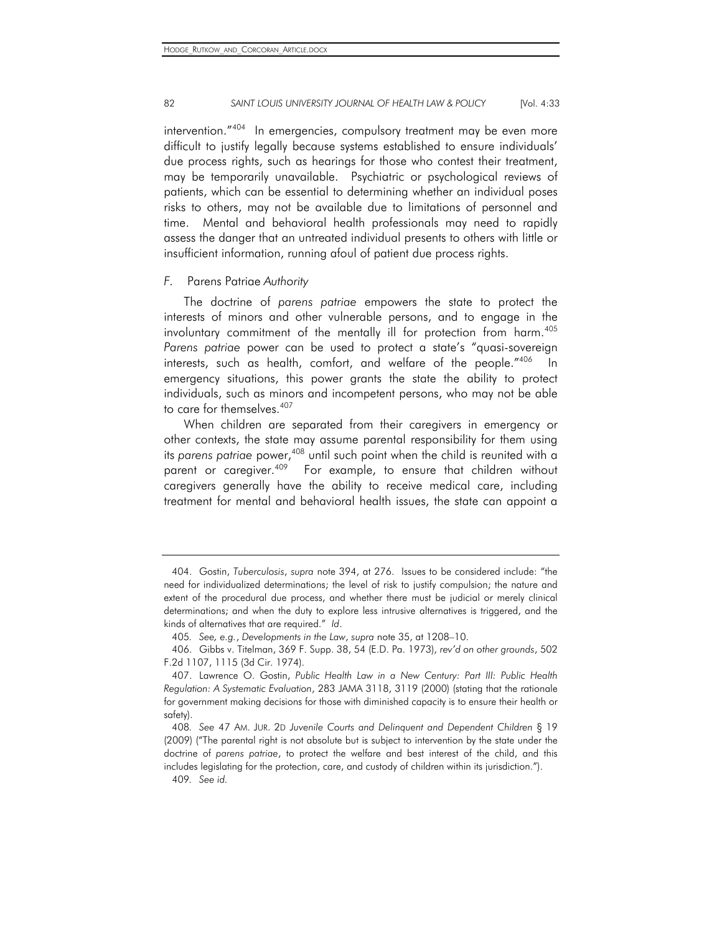intervention."<sup>404</sup> In emergencies, compulsory treatment may be even more difficult to justify legally because systems established to ensure individuals' due process rights, such as hearings for those who contest their treatment, may be temporarily unavailable. Psychiatric or psychological reviews of patients, which can be essential to determining whether an individual poses risks to others, may not be available due to limitations of personnel and time. Mental and behavioral health professionals may need to rapidly assess the danger that an untreated individual presents to others with little or insufficient information, running afoul of patient due process rights.

#### *F.* Parens Patriae *Authority*

The doctrine of *parens patriae* empowers the state to protect the interests of minors and other vulnerable persons, and to engage in the involuntary commitment of the mentally ill for protection from harm.405 *Parens patriae* power can be used to protect a state's "quasi-sovereign interests, such as health, comfort, and welfare of the people."406 In emergency situations, this power grants the state the ability to protect individuals, such as minors and incompetent persons, who may not be able to care for themselves.<sup>407</sup>

When children are separated from their caregivers in emergency or other contexts, the state may assume parental responsibility for them using its parens patriae power,<sup>408</sup> until such point when the child is reunited with a parent or caregiver.<sup>409</sup> For example, to ensure that children without caregivers generally have the ability to receive medical care, including treatment for mental and behavioral health issues, the state can appoint a

 <sup>404.</sup> Gostin, *Tuberculosis*, *supra* note 394, at 276. Issues to be considered include: "the need for individualized determinations; the level of risk to justify compulsion; the nature and extent of the procedural due process, and whether there must be judicial or merely clinical determinations; and when the duty to explore less intrusive alternatives is triggered, and the kinds of alternatives that are required." *Id*.

<sup>405</sup>*. See, e.g.*, *Developments in the Law*, *supra* note 35, at 1208–10.

 <sup>406.</sup> Gibbs v. Titelman, 369 F. Supp. 38, 54 (E.D. Pa. 1973), *rev'd on other grounds*, 502 F.2d 1107, 1115 (3d Cir. 1974).

 <sup>407.</sup> Lawrence O. Gostin, *Public Health Law in a New Century: Part III: Public Health Regulation: A Systematic Evaluation*, 283 JAMA 3118, 3119 (2000) (stating that the rationale for government making decisions for those with diminished capacity is to ensure their health or safety).

<sup>408</sup>*. See* 47 AM. JUR. 2D *Juvenile Courts and Delinquent and Dependent Children* § 19 (2009) ("The parental right is not absolute but is subject to intervention by the state under the doctrine of *parens patriae*, to protect the welfare and best interest of the child, and this includes legislating for the protection, care, and custody of children within its jurisdiction."). 409*. See id.*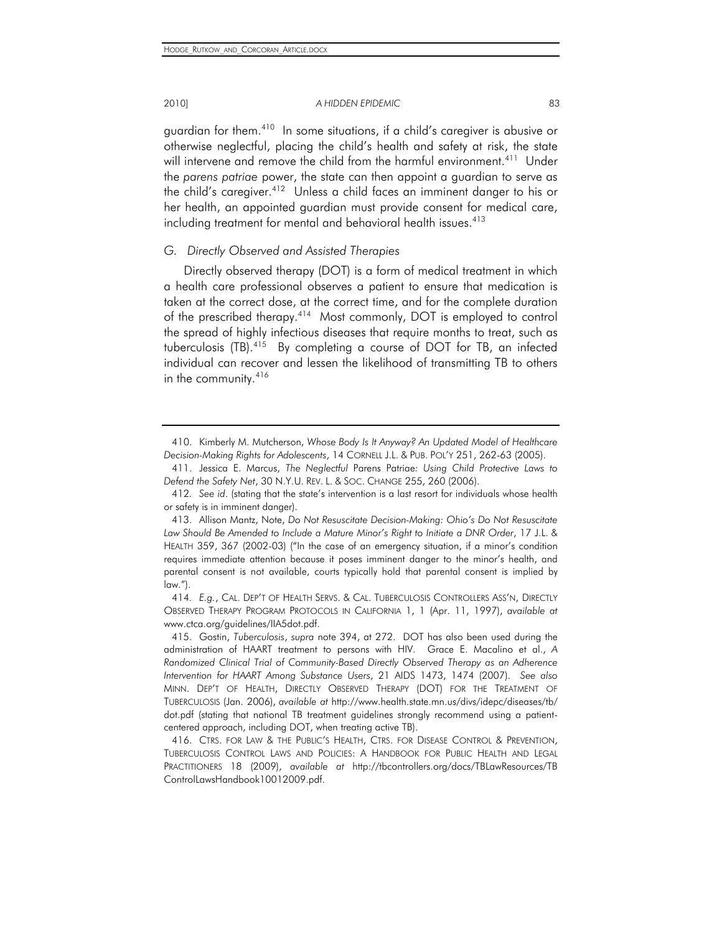guardian for them.410 In some situations, if a child's caregiver is abusive or otherwise neglectful, placing the child's health and safety at risk, the state will intervene and remove the child from the harmful environment.<sup>411</sup> Under the *parens patriae* power, the state can then appoint a guardian to serve as the child's caregiver.<sup>412</sup> Unless a child faces an imminent danger to his or her health, an appointed guardian must provide consent for medical care, including treatment for mental and behavioral health issues.<sup>413</sup>

# *G. Directly Observed and Assisted Therapies*

Directly observed therapy (DOT) is a form of medical treatment in which a health care professional observes a patient to ensure that medication is taken at the correct dose, at the correct time, and for the complete duration of the prescribed therapy.<sup>414</sup> Most commonly, DOT is employed to control the spread of highly infectious diseases that require months to treat, such as tuberculosis (TB).415 By completing a course of DOT for TB, an infected individual can recover and lessen the likelihood of transmitting TB to others in the community.<sup>416</sup>

 <sup>410.</sup> Kimberly M. Mutcherson, *Whose Body Is It Anyway? An Updated Model of Healthcare Decision-Making Rights for Adolescents*, 14 CORNELL J.L. & PUB. POL'Y 251, 262-63 (2005).

 <sup>411.</sup> Jessica E. Marcus, *The Neglectful* Parens Patriae*: Using Child Protective Laws to Defend the Safety Net*, 30 N.Y.U. REV. L. & SOC. CHANGE 255, 260 (2006).

<sup>412</sup>*. See id*. (stating that the state's intervention is a last resort for individuals whose health or safety is in imminent danger).

 <sup>413.</sup> Allison Mantz, Note, *Do Not Resuscitate Decision-Making: Ohio's Do Not Resuscitate Law Should Be Amended to Include a Mature Minor's Right to Initiate a DNR Order*, 17 J.L. & HEALTH 359, 367 (2002-03) ("In the case of an emergency situation, if a minor's condition requires immediate attention because it poses imminent danger to the minor's health, and parental consent is not available, courts typically hold that parental consent is implied by law.").

<sup>414</sup>*. E.g.*, CAL. DEP'T OF HEALTH SERVS. & CAL. TUBERCULOSIS CONTROLLERS ASS'N, DIRECTLY OBSERVED THERAPY PROGRAM PROTOCOLS IN CALIFORNIA 1, 1 (Apr. 11, 1997), *available at*  www.ctca.org/guidelines/IIA5dot.pdf.

 <sup>415.</sup> Gostin, *Tuberculosis*, *supra* note 394, at 272. DOT has also been used during the administration of HAART treatment to persons with HIV. Grace E. Macalino et al., *A Randomized Clinical Trial of Community-Based Directly Observed Therapy as an Adherence Intervention for HAART Among Substance Users*, 21 AIDS 1473, 1474 (2007). *See also*  MINN. DEP'T OF HEALTH, DIRECTLY OBSERVED THERAPY (DOT) FOR THE TREATMENT OF TUBERCULOSIS (Jan. 2006), *available at* http://www.health.state.mn.us/divs/idepc/diseases/tb/ dot.pdf (stating that national TB treatment guidelines strongly recommend using a patientcentered approach, including DOT, when treating active TB).

 <sup>416.</sup> CTRS. FOR LAW & THE PUBLIC'S HEALTH, CTRS. FOR DISEASE CONTROL & PREVENTION, TUBERCULOSIS CONTROL LAWS AND POLICIES: A HANDBOOK FOR PUBLIC HEALTH AND LEGAL PRACTITIONERS 18 (2009), *available at* http://tbcontrollers.org/docs/TBLawResources/TB ControlLawsHandbook10012009.pdf.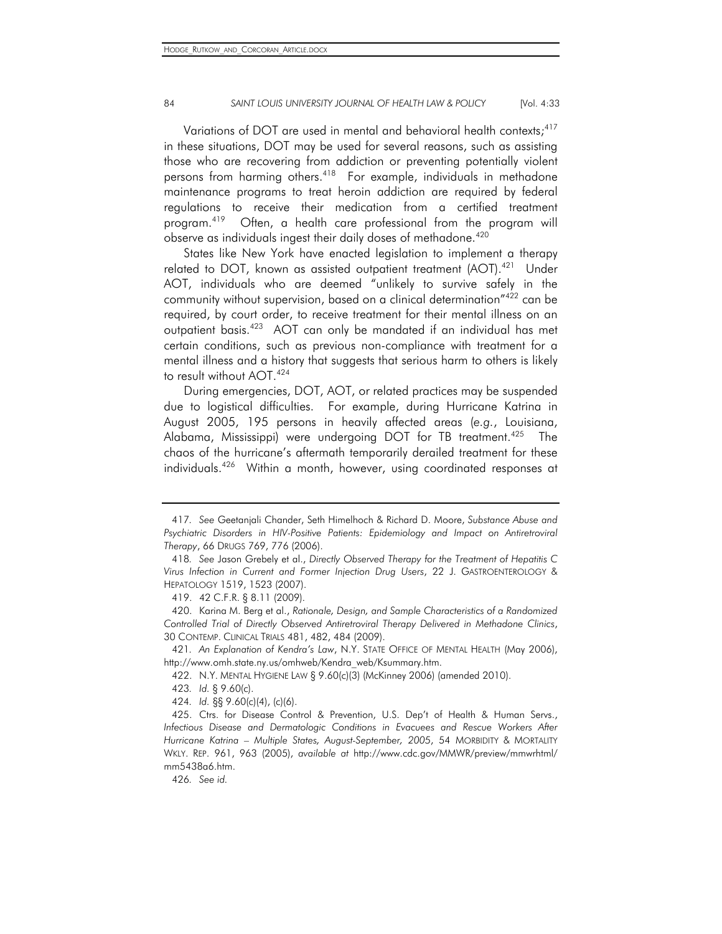Variations of DOT are used in mental and behavioral health contexts;<sup>417</sup> in these situations, DOT may be used for several reasons, such as assisting those who are recovering from addiction or preventing potentially violent persons from harming others.<sup>418</sup> For example, individuals in methadone maintenance programs to treat heroin addiction are required by federal regulations to receive their medication from a certified treatment program.419 Often, a health care professional from the program will observe as individuals ingest their daily doses of methadone.<sup>420</sup>

States like New York have enacted legislation to implement a therapy related to DOT, known as assisted outpatient treatment (AOT).<sup>421</sup> Under AOT, individuals who are deemed "unlikely to survive safely in the community without supervision, based on a clinical determination<sup>"422</sup> can be required, by court order, to receive treatment for their mental illness on an outpatient basis.<sup>423</sup> AOT can only be mandated if an individual has met certain conditions, such as previous non-compliance with treatment for a mental illness and a history that suggests that serious harm to others is likely to result without AOT.<sup>424</sup>

During emergencies, DOT, AOT, or related practices may be suspended due to logistical difficulties. For example, during Hurricane Katrina in August 2005, 195 persons in heavily affected areas (*e.g.*, Louisiana, Alabama, Mississippi) were undergoing DOT for TB treatment.<sup>425</sup> The chaos of the hurricane's aftermath temporarily derailed treatment for these individuals.<sup>426</sup> Within a month, however, using coordinated responses at

421*. An Explanation of Kendra's Law*, N.Y. STATE OFFICE OF MENTAL HEALTH (May 2006), http://www.omh.state.ny.us/omhweb/Kendra\_web/Ksummary.htm.

422. N.Y. MENTAL HYGIENE LAW § 9.60(c)(3) (McKinney 2006) (amended 2010).

423*. Id.* § 9.60(c).

424*. Id.* §§ 9.60(c)(4), (c)(6).

426*. See id.*

<sup>417</sup>*. See* Geetanjali Chander, Seth Himelhoch & Richard D. Moore, *Substance Abuse and*  Psychiatric Disorders in HIV-Positive Patients: Epidemiology and Impact on Antiretroviral *Therapy*, 66 DRUGS 769, 776 (2006).

<sup>418</sup>*. See* Jason Grebely et al., *Directly Observed Therapy for the Treatment of Hepatitis C Virus Infection in Current and Former Injection Drug Users*, 22 J. GASTROENTEROLOGY & HEPATOLOGY 1519, 1523 (2007).

 <sup>419. 42</sup> C.F.R. § 8.11 (2009).

 <sup>420.</sup> Karina M. Berg et al., *Rationale, Design, and Sample Characteristics of a Randomized Controlled Trial of Directly Observed Antiretroviral Therapy Delivered in Methadone Clinics*, 30 CONTEMP. CLINICAL TRIALS 481, 482, 484 (2009).

 <sup>425.</sup> Ctrs. for Disease Control & Prevention, U.S. Dep't of Health & Human Servs., *Infectious Disease and Dermatologic Conditions in Evacuees and Rescue Workers After Hurricane Katrina – Multiple States, August-September, 2005*, 54 MORBIDITY & MORTALITY WKLY. REP. 961, 963 (2005), *available at* http://www.cdc.gov/MMWR/preview/mmwrhtml/ mm5438a6.htm.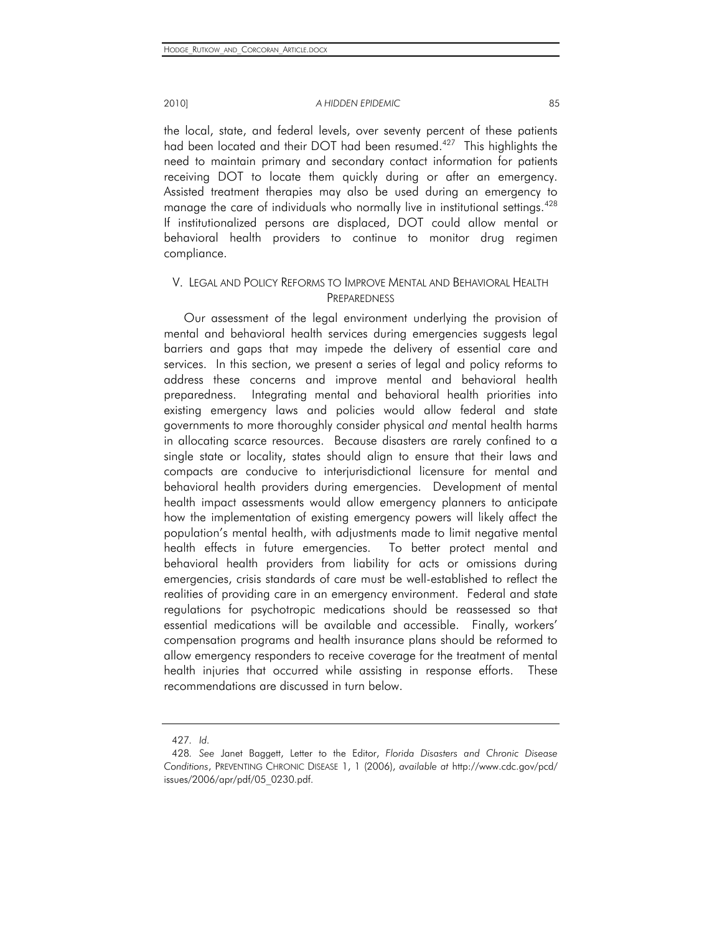the local, state, and federal levels, over seventy percent of these patients had been located and their DOT had been resumed.<sup>427</sup> This highlights the need to maintain primary and secondary contact information for patients receiving DOT to locate them quickly during or after an emergency. Assisted treatment therapies may also be used during an emergency to manage the care of individuals who normally live in institutional settings.<sup>428</sup> If institutionalized persons are displaced, DOT could allow mental or behavioral health providers to continue to monitor drug regimen compliance.

# V. LEGAL AND POLICY REFORMS TO IMPROVE MENTAL AND BEHAVIORAL HEALTH PREPAREDNESS

Our assessment of the legal environment underlying the provision of mental and behavioral health services during emergencies suggests legal barriers and gaps that may impede the delivery of essential care and services. In this section, we present a series of legal and policy reforms to address these concerns and improve mental and behavioral health preparedness. Integrating mental and behavioral health priorities into existing emergency laws and policies would allow federal and state governments to more thoroughly consider physical *and* mental health harms in allocating scarce resources. Because disasters are rarely confined to a single state or locality, states should align to ensure that their laws and compacts are conducive to interjurisdictional licensure for mental and behavioral health providers during emergencies. Development of mental health impact assessments would allow emergency planners to anticipate how the implementation of existing emergency powers will likely affect the population's mental health, with adjustments made to limit negative mental health effects in future emergencies. To better protect mental and behavioral health providers from liability for acts or omissions during emergencies, crisis standards of care must be well-established to reflect the realities of providing care in an emergency environment. Federal and state regulations for psychotropic medications should be reassessed so that essential medications will be available and accessible. Finally, workers' compensation programs and health insurance plans should be reformed to allow emergency responders to receive coverage for the treatment of mental health injuries that occurred while assisting in response efforts. These recommendations are discussed in turn below.

<sup>427</sup>*. Id.*

<sup>428</sup>*. See* Janet Baggett, Letter to the Editor, *Florida Disasters and Chronic Disease Conditions*, PREVENTING CHRONIC DISEASE 1, 1 (2006), *available at* http://www.cdc.gov/pcd/ issues/2006/apr/pdf/05\_0230.pdf.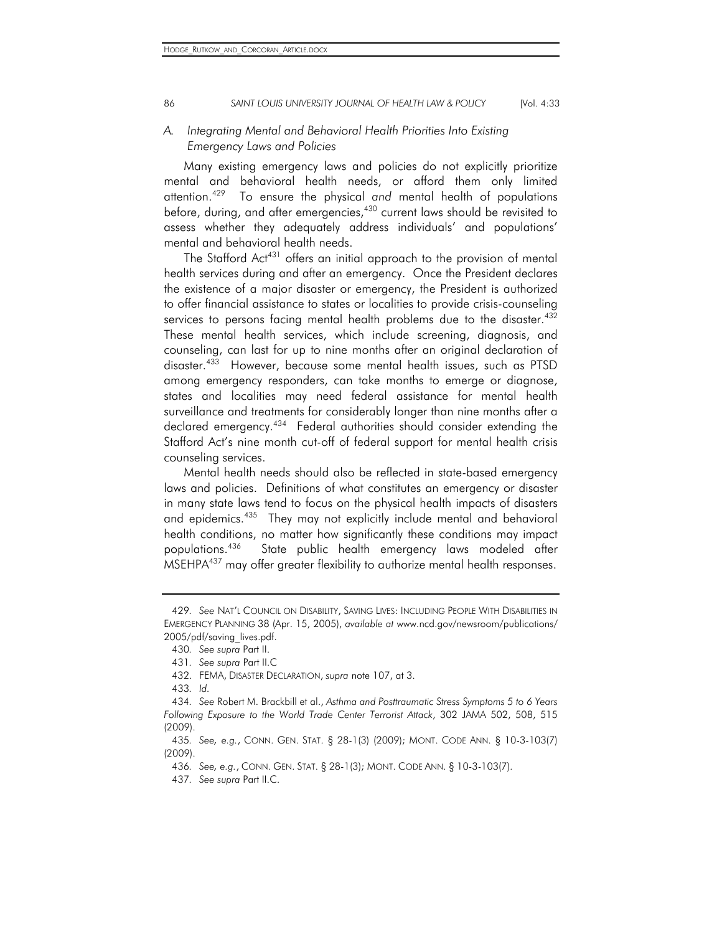# *A. Integrating Mental and Behavioral Health Priorities Into Existing Emergency Laws and Policies*

Many existing emergency laws and policies do not explicitly prioritize mental and behavioral health needs, or afford them only limited attention.429 To ensure the physical *and* mental health of populations before, during, and after emergencies,<sup>430</sup> current laws should be revisited to assess whether they adequately address individuals' and populations' mental and behavioral health needs.

The Stafford Act<sup>431</sup> offers an initial approach to the provision of mental health services during and after an emergency. Once the President declares the existence of a major disaster or emergency, the President is authorized to offer financial assistance to states or localities to provide crisis-counseling services to persons facing mental health problems due to the disaster.<sup>432</sup> These mental health services, which include screening, diagnosis, and counseling, can last for up to nine months after an original declaration of disaster.433 However, because some mental health issues, such as PTSD among emergency responders, can take months to emerge or diagnose, states and localities may need federal assistance for mental health surveillance and treatments for considerably longer than nine months after a declared emergency.<sup>434</sup> Federal authorities should consider extending the Stafford Act's nine month cut-off of federal support for mental health crisis counseling services.

Mental health needs should also be reflected in state-based emergency laws and policies. Definitions of what constitutes an emergency or disaster in many state laws tend to focus on the physical health impacts of disasters and epidemics.<sup>435</sup> They may not explicitly include mental and behavioral health conditions, no matter how significantly these conditions may impact populations.436 State public health emergency laws modeled after MSEHPA437 may offer greater flexibility to authorize mental health responses.

433*. Id.*

<sup>429</sup>*. See* NAT'L COUNCIL ON DISABILITY, SAVING LIVES: INCLUDING PEOPLE WITH DISABILITIES IN EMERGENCY PLANNING 38 (Apr. 15, 2005), *available at* www.ncd.gov/newsroom/publications/ 2005/pdf/saving\_lives.pdf.

<sup>430</sup>*. See supra* Part II.

<sup>431</sup>*. See supra* Part II.C

 <sup>432.</sup> FEMA, DISASTER DECLARATION, *supra* note 107, at 3.

<sup>434</sup>*. See* Robert M. Brackbill et al., *Asthma and Posttraumatic Stress Symptoms 5 to 6 Years Following Exposure to the World Trade Center Terrorist Attack*, 302 JAMA 502, 508, 515 (2009).

<sup>435</sup>*. See, e.g.*, CONN. GEN. STAT. § 28-1(3) (2009); MONT. CODE ANN. § 10-3-103(7) (2009).

<sup>436</sup>*. See, e.g.*, CONN. GEN. STAT. § 28-1(3); MONT. CODE ANN. § 10-3-103(7).

<sup>437</sup>*. See supra* Part II.C.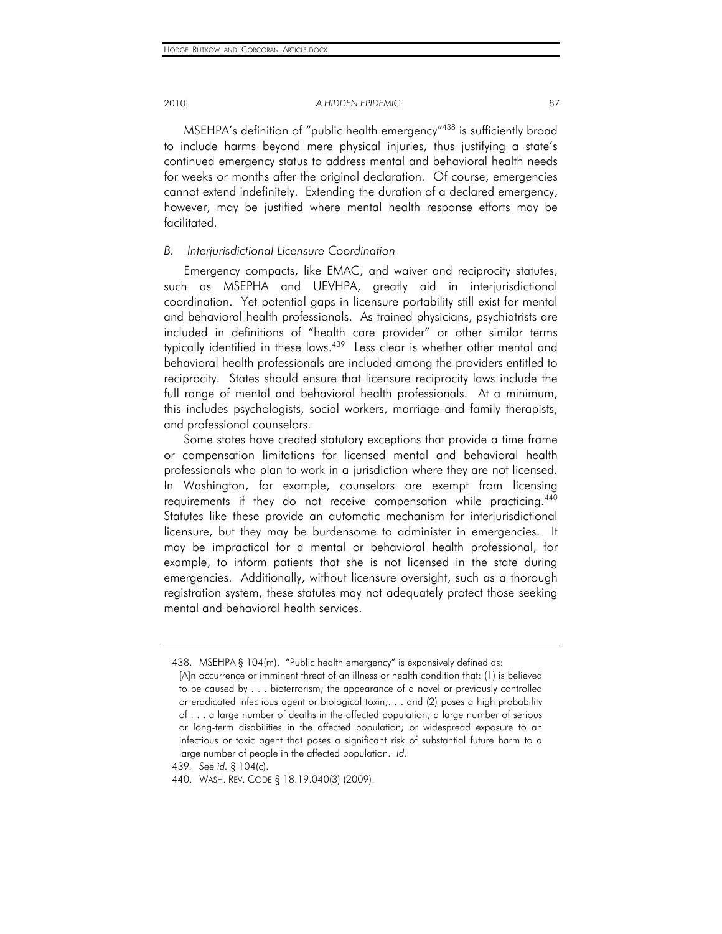MSEHPA's definition of "public health emergency"438 is sufficiently broad to include harms beyond mere physical injuries, thus justifying a state's continued emergency status to address mental and behavioral health needs for weeks or months after the original declaration. Of course, emergencies cannot extend indefinitely. Extending the duration of a declared emergency, however, may be justified where mental health response efforts may be facilitated.

# *B. Interjurisdictional Licensure Coordination*

Emergency compacts, like EMAC, and waiver and reciprocity statutes, such as MSEPHA and UEVHPA, greatly aid in interjurisdictional coordination. Yet potential gaps in licensure portability still exist for mental and behavioral health professionals. As trained physicians, psychiatrists are included in definitions of "health care provider" or other similar terms typically identified in these laws.<sup>439</sup> Less clear is whether other mental and behavioral health professionals are included among the providers entitled to reciprocity. States should ensure that licensure reciprocity laws include the full range of mental and behavioral health professionals. At a minimum, this includes psychologists, social workers, marriage and family therapists, and professional counselors.

Some states have created statutory exceptions that provide a time frame or compensation limitations for licensed mental and behavioral health professionals who plan to work in a jurisdiction where they are not licensed. In Washington, for example, counselors are exempt from licensing requirements if they do not receive compensation while practicing.<sup>440</sup> Statutes like these provide an automatic mechanism for interjurisdictional licensure, but they may be burdensome to administer in emergencies. It may be impractical for a mental or behavioral health professional, for example, to inform patients that she is not licensed in the state during emergencies. Additionally, without licensure oversight, such as a thorough registration system, these statutes may not adequately protect those seeking mental and behavioral health services.

 <sup>438.</sup> MSEHPA § 104(m). "Public health emergency" is expansively defined as:

<sup>[</sup>A]n occurrence or imminent threat of an illness or health condition that: (1) is believed to be caused by . . . bioterrorism; the appearance of a novel or previously controlled or eradicated infectious agent or biological toxin;. . . and (2) poses a high probability of . . . a large number of deaths in the affected population; a large number of serious or long-term disabilities in the affected population; or widespread exposure to an infectious or toxic agent that poses a significant risk of substantial future harm to a large number of people in the affected population. *Id.*

<sup>439</sup>*. See id.* § 104(c).

 <sup>440.</sup> WASH. REV. CODE § 18.19.040(3) (2009).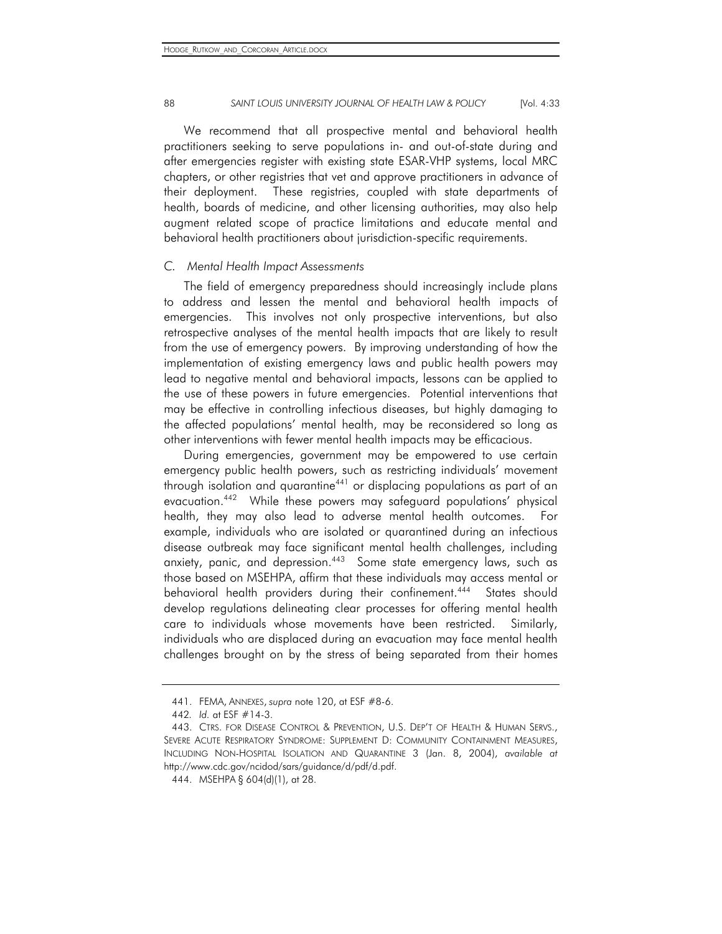We recommend that all prospective mental and behavioral health practitioners seeking to serve populations in- and out-of-state during and after emergencies register with existing state ESAR-VHP systems, local MRC chapters, or other registries that vet and approve practitioners in advance of their deployment. These registries, coupled with state departments of health, boards of medicine, and other licensing authorities, may also help augment related scope of practice limitations and educate mental and behavioral health practitioners about jurisdiction-specific requirements.

# *C. Mental Health Impact Assessments*

The field of emergency preparedness should increasingly include plans to address and lessen the mental and behavioral health impacts of emergencies. This involves not only prospective interventions, but also retrospective analyses of the mental health impacts that are likely to result from the use of emergency powers. By improving understanding of how the implementation of existing emergency laws and public health powers may lead to negative mental and behavioral impacts, lessons can be applied to the use of these powers in future emergencies. Potential interventions that may be effective in controlling infectious diseases, but highly damaging to the affected populations' mental health, may be reconsidered so long as other interventions with fewer mental health impacts may be efficacious.

During emergencies, government may be empowered to use certain emergency public health powers, such as restricting individuals' movement through isolation and quarantine<sup>441</sup> or displacing populations as part of an evacuation.442 While these powers may safeguard populations' physical health, they may also lead to adverse mental health outcomes. For example, individuals who are isolated or quarantined during an infectious disease outbreak may face significant mental health challenges, including anxiety, panic, and depression.<sup>443</sup> Some state emergency laws, such as those based on MSEHPA, affirm that these individuals may access mental or behavioral health providers during their confinement.<sup>444</sup> States should develop regulations delineating clear processes for offering mental health care to individuals whose movements have been restricted. Similarly, individuals who are displaced during an evacuation may face mental health challenges brought on by the stress of being separated from their homes

 <sup>441.</sup> FEMA, ANNEXES, *supra* note 120, at ESF #8-6.

<sup>442</sup>*. Id.* at ESF #14-3.

 <sup>443.</sup> CTRS. FOR DISEASE CONTROL & PREVENTION, U.S. DEP'T OF HEALTH & HUMAN SERVS., SEVERE ACUTE RESPIRATORY SYNDROME: SUPPLEMENT D: COMMUNITY CONTAINMENT MEASURES, INCLUDING NON-HOSPITAL ISOLATION AND QUARANTINE 3 (Jan. 8, 2004), *available at* http://www.cdc.gov/ncidod/sars/guidance/d/pdf/d.pdf.

 <sup>444.</sup> MSEHPA § 604(d)(1), at 28.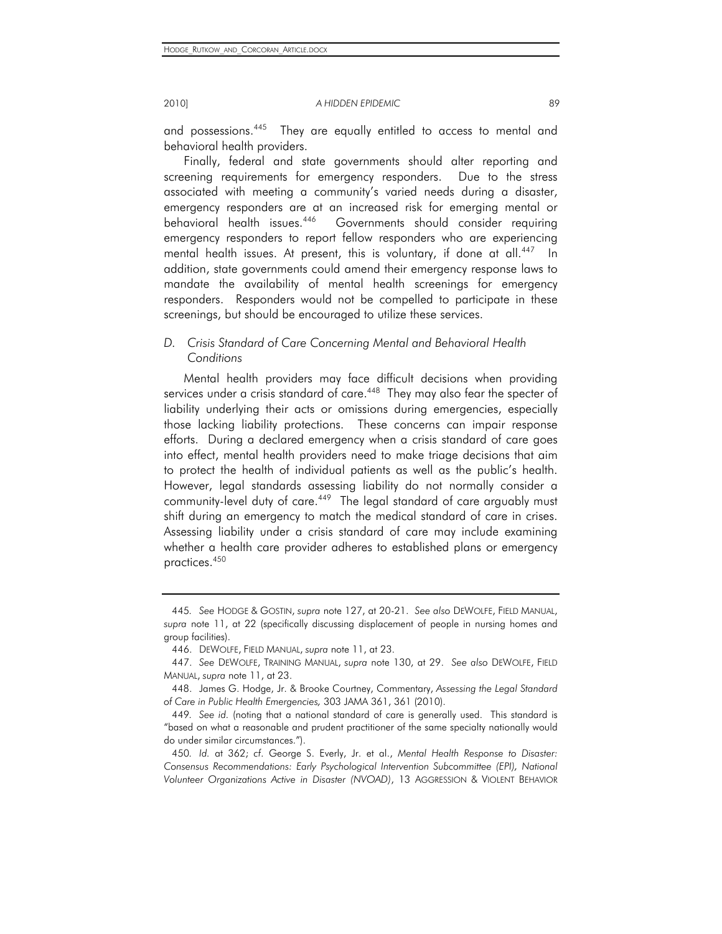and possessions.<sup>445</sup> They are equally entitled to access to mental and behavioral health providers.

Finally, federal and state governments should alter reporting and screening requirements for emergency responders. Due to the stress associated with meeting a community's varied needs during a disaster, emergency responders are at an increased risk for emerging mental or behavioral health issues.<sup>446</sup> Governments should consider requiring emergency responders to report fellow responders who are experiencing mental health issues. At present, this is voluntary, if done at all.<sup>447</sup> In addition, state governments could amend their emergency response laws to mandate the availability of mental health screenings for emergency responders. Responders would not be compelled to participate in these screenings, but should be encouraged to utilize these services.

# *D. Crisis Standard of Care Concerning Mental and Behavioral Health Conditions*

Mental health providers may face difficult decisions when providing services under a crisis standard of care.<sup>448</sup> They may also fear the specter of liability underlying their acts or omissions during emergencies, especially those lacking liability protections. These concerns can impair response efforts. During a declared emergency when a crisis standard of care goes into effect, mental health providers need to make triage decisions that aim to protect the health of individual patients as well as the public's health. However, legal standards assessing liability do not normally consider a community-level duty of care.<sup>449</sup> The legal standard of care arguably must shift during an emergency to match the medical standard of care in crises. Assessing liability under a crisis standard of care may include examining whether a health care provider adheres to established plans or emergency practices.450

<sup>445</sup>*. See* HODGE & GOSTIN, *supra* note 127, at 20-21. *See also* DEWOLFE, FIELD MANUAL, *supra* note 11, at 22 (specifically discussing displacement of people in nursing homes and group facilities).

 <sup>446.</sup> DEWOLFE, FIELD MANUAL, *supra* note 11, at 23.

 <sup>447.</sup> *See* DEWOLFE, TRAINING MANUAL, *supra* note 130, at 29. *See also* DEWOLFE, FIELD MANUAL, *supra* note 11, at 23.

 <sup>448.</sup> James G. Hodge, Jr. & Brooke Courtney, Commentary, *Assessing the Legal Standard of Care in Public Health Emergencies,* 303 JAMA 361, 361 (2010).

<sup>449</sup>*. See id.* (noting that a national standard of care is generally used. This standard is "based on what a reasonable and prudent practitioner of the same specialty nationally would do under similar circumstances.").

<sup>450</sup>*. Id.* at 362; *cf*. George S. Everly, Jr. et al., *Mental Health Response to Disaster: Consensus Recommendations: Early Psychological Intervention Subcommittee (EPI), National Volunteer Organizations Active in Disaster (NVOAD)*, 13 AGGRESSION & VIOLENT BEHAVIOR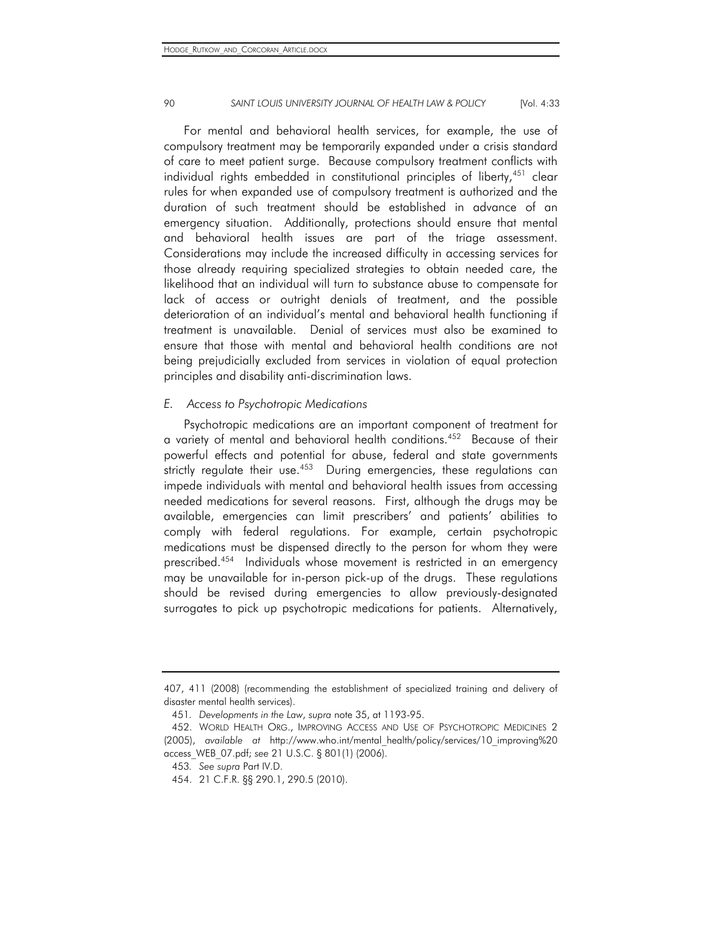For mental and behavioral health services, for example, the use of compulsory treatment may be temporarily expanded under a crisis standard of care to meet patient surge. Because compulsory treatment conflicts with individual rights embedded in constitutional principles of liberty,<sup>451</sup> clear rules for when expanded use of compulsory treatment is authorized and the duration of such treatment should be established in advance of an emergency situation. Additionally, protections should ensure that mental and behavioral health issues are part of the triage assessment. Considerations may include the increased difficulty in accessing services for those already requiring specialized strategies to obtain needed care, the likelihood that an individual will turn to substance abuse to compensate for lack of access or outright denials of treatment, and the possible deterioration of an individual's mental and behavioral health functioning if treatment is unavailable. Denial of services must also be examined to ensure that those with mental and behavioral health conditions are not being prejudicially excluded from services in violation of equal protection principles and disability anti-discrimination laws.

# *E. Access to Psychotropic Medications*

Psychotropic medications are an important component of treatment for a variety of mental and behavioral health conditions.452 Because of their powerful effects and potential for abuse, federal and state governments strictly regulate their use.<sup>453</sup> During emergencies, these regulations can impede individuals with mental and behavioral health issues from accessing needed medications for several reasons. First, although the drugs may be available, emergencies can limit prescribers' and patients' abilities to comply with federal regulations. For example, certain psychotropic medications must be dispensed directly to the person for whom they were prescribed.<sup>454</sup> Individuals whose movement is restricted in an emergency may be unavailable for in-person pick-up of the drugs. These regulations should be revised during emergencies to allow previously-designated surrogates to pick up psychotropic medications for patients. Alternatively,

<sup>407, 411 (2008) (</sup>recommending the establishment of specialized training and delivery of disaster mental health services).

<sup>451</sup>*. Developments in the Law*, *supra* note 35, at 1193-95.

 <sup>452.</sup> WORLD HEALTH ORG., IMPROVING ACCESS AND USE OF PSYCHOTROPIC MEDICINES 2 (2005), *available at* http://www.who.int/mental\_health/policy/services/10\_improving%20 access\_WEB\_07.pdf; *see* 21 U.S.C. § 801(1) (2006).

<sup>453</sup>*. See supra* Part IV.D.

 <sup>454. 21</sup> C.F.R. §§ 290.1, 290.5 (2010).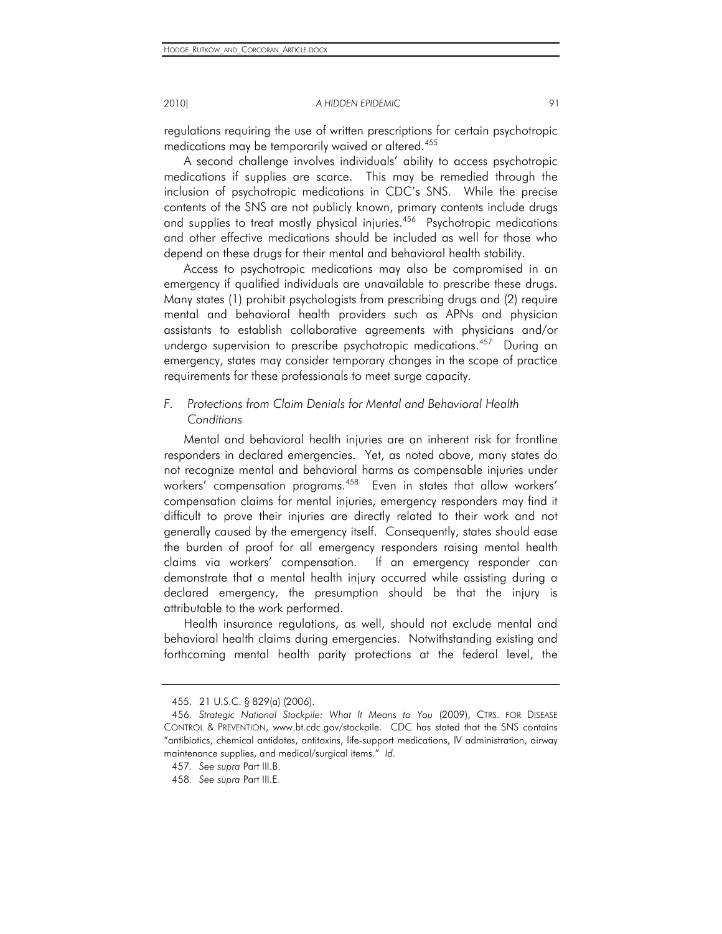regulations requiring the use of written prescriptions for certain psychotropic medications may be temporarily waived or altered.455

A second challenge involves individuals' ability to access psychotropic medications if supplies are scarce. This may be remedied through the inclusion of psychotropic medications in CDC's SNS. While the precise contents of the SNS are not publicly known, primary contents include drugs and supplies to treat mostly physical injuries.<sup>456</sup> Psychotropic medications and other effective medications should be included as well for those who depend on these drugs for their mental and behavioral health stability.

Access to psychotropic medications may also be compromised in an emergency if qualified individuals are unavailable to prescribe these drugs. Many states (1) prohibit psychologists from prescribing drugs and (2) require mental and behavioral health providers such as APNs and physician assistants to establish collaborative agreements with physicians and/or undergo supervision to prescribe psychotropic medications.<sup>457</sup> During an emergency, states may consider temporary changes in the scope of practice requirements for these professionals to meet surge capacity.

# *F. Protections from Claim Denials for Mental and Behavioral Health Conditions*

Mental and behavioral health injuries are an inherent risk for frontline responders in declared emergencies. Yet, as noted above, many states do not recognize mental and behavioral harms as compensable injuries under workers' compensation programs.<sup>458</sup> Even in states that allow workers' compensation claims for mental injuries, emergency responders may find it difficult to prove their injuries are directly related to their work and not generally caused by the emergency itself. Consequently, states should ease the burden of proof for all emergency responders raising mental health claims via workers' compensation. If an emergency responder can demonstrate that a mental health injury occurred while assisting during a declared emergency, the presumption should be that the injury is attributable to the work performed.

Health insurance regulations, as well, should not exclude mental and behavioral health claims during emergencies. Notwithstanding existing and forthcoming mental health parity protections at the federal level, the

 <sup>455. 21</sup> U.S.C. § 829(a) (2006).

<sup>456</sup>*. Strategic National Stockpile: What It Means to You* (2009), CTRS. FOR DISEASE CONTROL & PREVENTION, www.bt.cdc.gov/stockpile. CDC has stated that the SNS contains "antibiotics, chemical antidotes, antitoxins, life-support medications, IV administration, airway maintenance supplies, and medical/surgical items." *Id.*

<sup>457</sup>*. See supra* Part III.B.

<sup>458</sup>*. See supra* Part III.E.